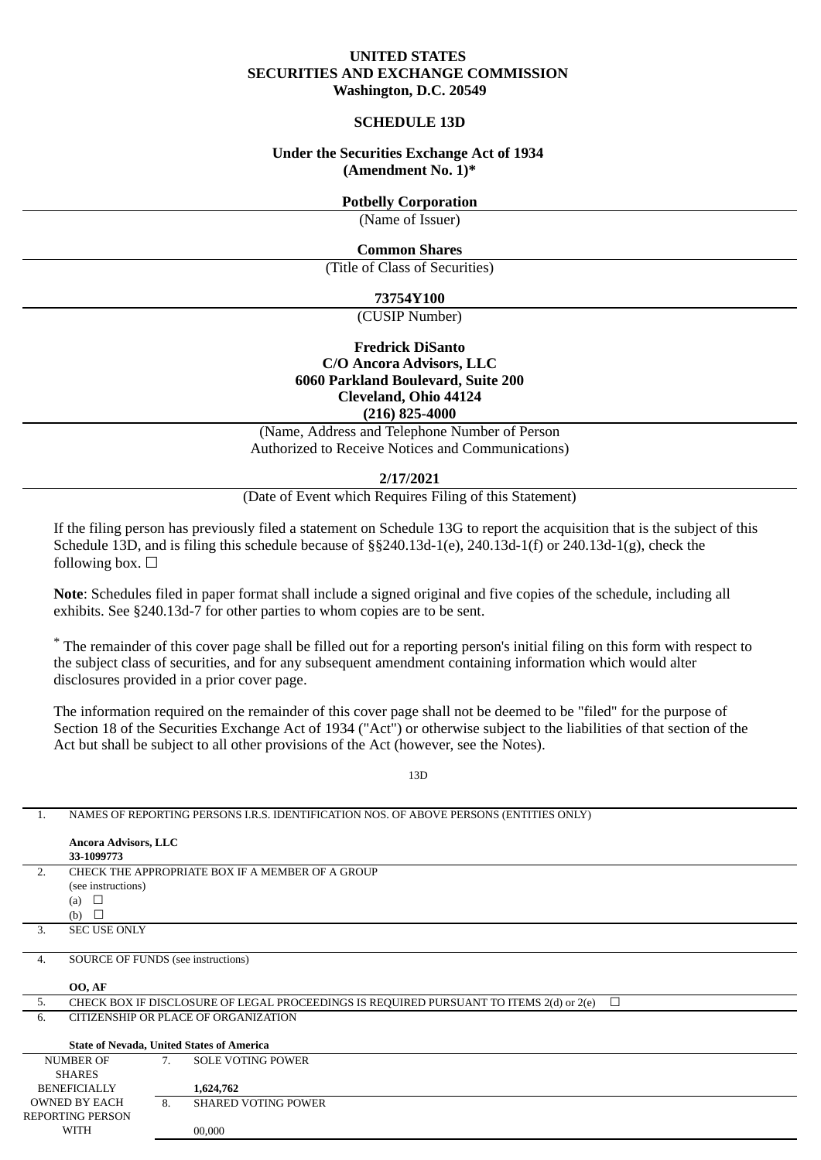# **UNITED STATES SECURITIES AND EXCHANGE COMMISSION Washington, D.C. 20549**

# **SCHEDULE 13D**

# **Under the Securities Exchange Act of 1934 (Amendment No. 1)\***

# **Potbelly Corporation**

(Name of Issuer)

# **Common Shares**

(Title of Class of Securities)

# **73754Y100**

(CUSIP Number)

# **Fredrick DiSanto C/O Ancora Advisors, LLC 6060 Parkland Boulevard, Suite 200 Cleveland, Ohio 44124 (216) 825-4000**

(Name, Address and Telephone Number of Person Authorized to Receive Notices and Communications)

**2/17/2021**

(Date of Event which Requires Filing of this Statement)

If the filing person has previously filed a statement on Schedule 13G to report the acquisition that is the subject of this Schedule 13D, and is filing this schedule because of §§240.13d-1(e), 240.13d-1(f) or 240.13d-1(g), check the following box.  $\Box$ 

**Note**: Schedules filed in paper format shall include a signed original and five copies of the schedule, including all exhibits. See §240.13d-7 for other parties to whom copies are to be sent.

\* The remainder of this cover page shall be filled out for a reporting person's initial filing on this form with respect to the subject class of securities, and for any subsequent amendment containing information which would alter disclosures provided in a prior cover page.

The information required on the remainder of this cover page shall not be deemed to be "filed" for the purpose of Section 18 of the Securities Exchange Act of 1934 ("Act") or otherwise subject to the liabilities of that section of the Act but shall be subject to all other provisions of the Act (however, see the Notes).

1. NAMES OF REPORTING PERSONS I.R.S. IDENTIFICATION NOS. OF ABOVE PERSONS (ENTITIES ONLY)

WITH

00,000

13D

### **Ancora Advisors, LLC 33-1099773** 2. CHECK THE APPROPRIATE BOX IF A MEMBER OF A GROUP (see instructions)  $(a)$   $\Box$ (b)  $\Box$ 3. SEC USE ONLY 4. SOURCE OF FUNDS (see instructions) **OO, AF** 5. CHECK BOX IF DISCLOSURE OF LEGAL PROCEEDINGS IS REQUIRED PURSUANT TO ITEMS  $2(d)$  or  $2(e)$   $\Box$ 6. CITIZENSHIP OR PLACE OF ORGANIZATION **State of Nevada, United States of America** NUMBER OF SHARES **BENEFICIALLY** OWNED BY EACH REPORTING PERSON 7. SOLE VOTING POWER **1,624,762** 8. SHARED VOTING POWER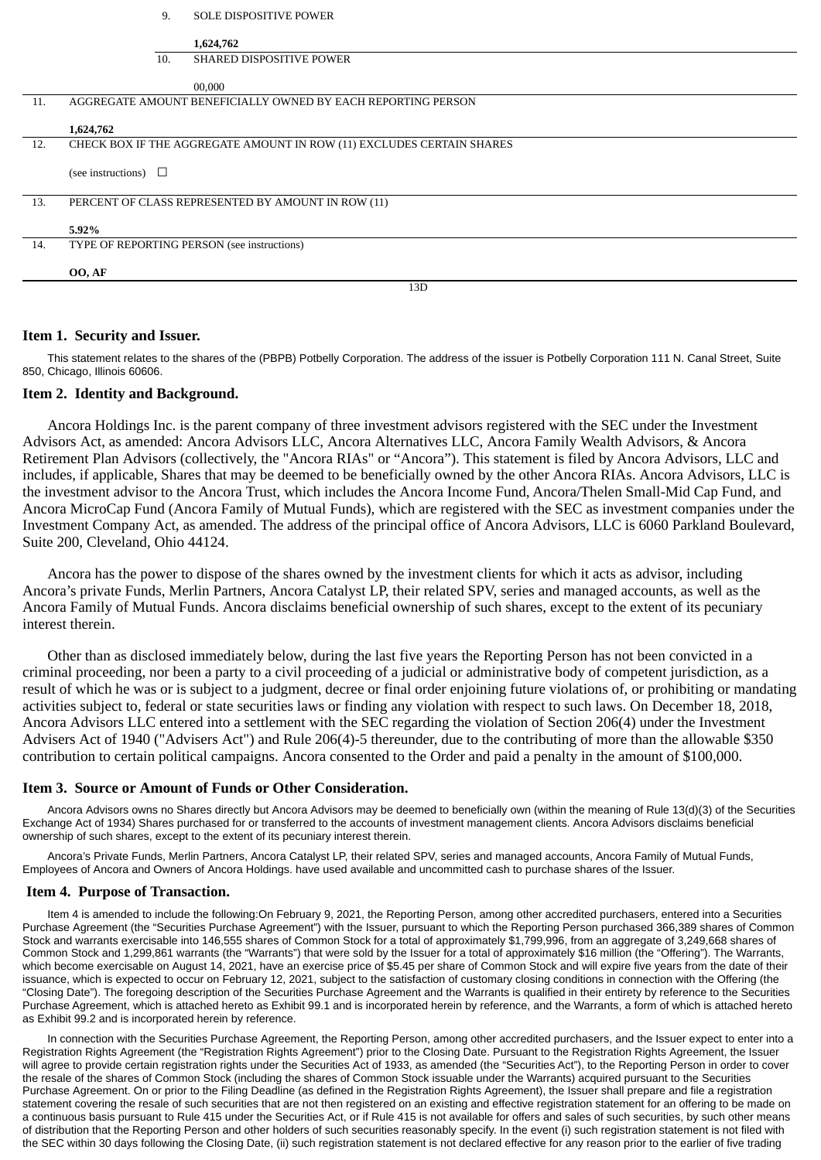|     | 9.<br><b>SOLE DISPOSITIVE POWER</b>                                   |
|-----|-----------------------------------------------------------------------|
|     | 1,624,762                                                             |
|     | <b>SHARED DISPOSITIVE POWER</b><br>10.                                |
|     | 00,000                                                                |
| 11. | AGGREGATE AMOUNT BENEFICIALLY OWNED BY EACH REPORTING PERSON          |
|     | 1,624,762                                                             |
| 12. | CHECK BOX IF THE AGGREGATE AMOUNT IN ROW (11) EXCLUDES CERTAIN SHARES |
|     | (see instructions) $\Box$                                             |
| 13. | PERCENT OF CLASS REPRESENTED BY AMOUNT IN ROW (11)                    |
|     | 5.92%                                                                 |
| 14. | TYPE OF REPORTING PERSON (see instructions)                           |
|     | OO, AF                                                                |
|     | 13D                                                                   |

# **Item 1. Security and Issuer.**

This statement relates to the shares of the (PBPB) Potbelly Corporation. The address of the issuer is Potbelly Corporation 111 N. Canal Street, Suite 850, Chicago, Illinois 60606.

### **Item 2. Identity and Background.**

Ancora Holdings Inc. is the parent company of three investment advisors registered with the SEC under the Investment Advisors Act, as amended: Ancora Advisors LLC, Ancora Alternatives LLC, Ancora Family Wealth Advisors, & Ancora Retirement Plan Advisors (collectively, the "Ancora RIAs" or "Ancora"). This statement is filed by Ancora Advisors, LLC and includes, if applicable, Shares that may be deemed to be beneficially owned by the other Ancora RIAs. Ancora Advisors, LLC is the investment advisor to the Ancora Trust, which includes the Ancora Income Fund, Ancora/Thelen Small-Mid Cap Fund, and Ancora MicroCap Fund (Ancora Family of Mutual Funds), which are registered with the SEC as investment companies under the Investment Company Act, as amended. The address of the principal office of Ancora Advisors, LLC is 6060 Parkland Boulevard, Suite 200, Cleveland, Ohio 44124.

Ancora has the power to dispose of the shares owned by the investment clients for which it acts as advisor, including Ancora's private Funds, Merlin Partners, Ancora Catalyst LP, their related SPV, series and managed accounts, as well as the Ancora Family of Mutual Funds. Ancora disclaims beneficial ownership of such shares, except to the extent of its pecuniary interest therein.

Other than as disclosed immediately below, during the last five years the Reporting Person has not been convicted in a criminal proceeding, nor been a party to a civil proceeding of a judicial or administrative body of competent jurisdiction, as a result of which he was or is subject to a judgment, decree or final order enjoining future violations of, or prohibiting or mandating activities subject to, federal or state securities laws or finding any violation with respect to such laws. On December 18, 2018, Ancora Advisors LLC entered into a settlement with the SEC regarding the violation of Section 206(4) under the Investment Advisers Act of 1940 ("Advisers Act") and Rule 206(4)-5 thereunder, due to the contributing of more than the allowable \$350 contribution to certain political campaigns. Ancora consented to the Order and paid a penalty in the amount of \$100,000.

### **Item 3. Source or Amount of Funds or Other Consideration.**

Ancora Advisors owns no Shares directly but Ancora Advisors may be deemed to beneficially own (within the meaning of Rule 13(d)(3) of the Securities Exchange Act of 1934) Shares purchased for or transferred to the accounts of investment management clients. Ancora Advisors disclaims beneficial ownership of such shares, except to the extent of its pecuniary interest therein.

Ancora's Private Funds, Merlin Partners, Ancora Catalyst LP, their related SPV, series and managed accounts, Ancora Family of Mutual Funds, Employees of Ancora and Owners of Ancora Holdings. have used available and uncommitted cash to purchase shares of the Issuer.

### **Item 4. Purpose of Transaction.**

Item 4 is amended to include the following:On February 9, 2021, the Reporting Person, among other accredited purchasers, entered into a Securities Purchase Agreement (the "Securities Purchase Agreement") with the Issuer, pursuant to which the Reporting Person purchased 366,389 shares of Common Stock and warrants exercisable into 146,555 shares of Common Stock for a total of approximately \$1,799,996, from an aggregate of 3,249,668 shares of Common Stock and 1,299,861 warrants (the "Warrants") that were sold by the Issuer for a total of approximately \$16 million (the "Offering"). The Warrants, which become exercisable on August 14, 2021, have an exercise price of \$5.45 per share of Common Stock and will expire five years from the date of their issuance, which is expected to occur on February 12, 2021, subject to the satisfaction of customary closing conditions in connection with the Offering (the "Closing Date"). The foregoing description of the Securities Purchase Agreement and the Warrants is qualified in their entirety by reference to the Securities Purchase Agreement, which is attached hereto as Exhibit 99.1 and is incorporated herein by reference, and the Warrants, a form of which is attached hereto as Exhibit 99.2 and is incorporated herein by reference.

In connection with the Securities Purchase Agreement, the Reporting Person, among other accredited purchasers, and the Issuer expect to enter into a Registration Rights Agreement (the "Registration Rights Agreement") prior to the Closing Date. Pursuant to the Registration Rights Agreement, the Issuer will agree to provide certain registration rights under the Securities Act of 1933, as amended (the "Securities Act"), to the Reporting Person in order to cover the resale of the shares of Common Stock (including the shares of Common Stock issuable under the Warrants) acquired pursuant to the Securities Purchase Agreement. On or prior to the Filing Deadline (as defined in the Registration Rights Agreement), the Issuer shall prepare and file a registration statement covering the resale of such securities that are not then registered on an existing and effective registration statement for an offering to be made on a continuous basis pursuant to Rule 415 under the Securities Act, or if Rule 415 is not available for offers and sales of such securities, by such other means of distribution that the Reporting Person and other holders of such securities reasonably specify. In the event (i) such registration statement is not filed with the SEC within 30 days following the Closing Date, (ii) such registration statement is not declared effective for any reason prior to the earlier of five trading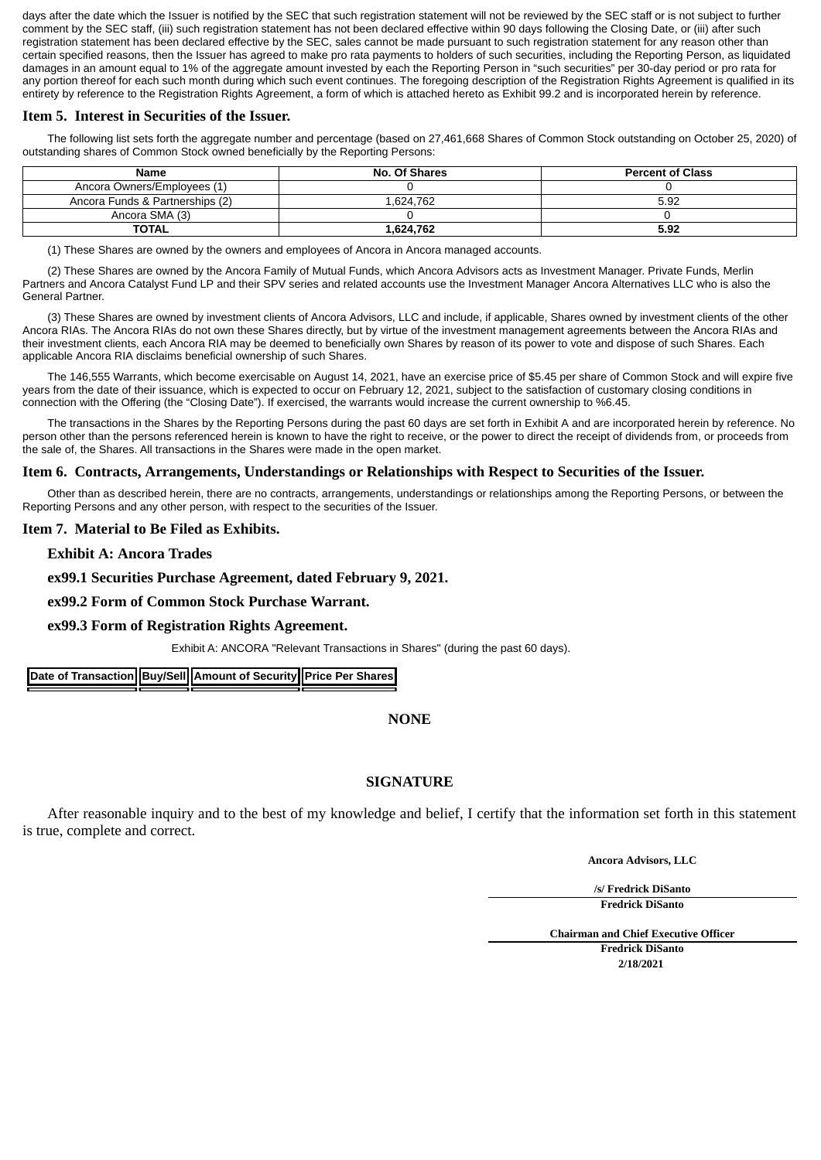days after the date which the Issuer is notified by the SEC that such registration statement will not be reviewed by the SEC staff or is not subject to further comment by the SEC staff, (iii) such registration statement has not been declared effective within 90 days following the Closing Date, or (iii) after such registration statement has been declared effective by the SEC, sales cannot be made pursuant to such registration statement for any reason other than certain specified reasons, then the Issuer has agreed to make pro rata payments to holders of such securities, including the Reporting Person, as liquidated damages in an amount equal to 1% of the aggregate amount invested by each the Reporting Person in "such securities" per 30-day period or pro rata for any portion thereof for each such month during which such event continues. The foregoing description of the Registration Rights Agreement is qualified in its entirety by reference to the Registration Rights Agreement, a form of which is attached hereto as Exhibit 99.2 and is incorporated herein by reference.

# **Item 5. Interest in Securities of the Issuer.**

The following list sets forth the aggregate number and percentage (based on 27,461,668 Shares of Common Stock outstanding on October 25, 2020) of outstanding shares of Common Stock owned beneficially by the Reporting Persons:

| Name                            | <b>No. Of Shares</b> | <b>Percent of Class</b> |
|---------------------------------|----------------------|-------------------------|
| Ancora Owners/Employees (1)     |                      |                         |
| Ancora Funds & Partnerships (2) | 1.624.762            | 5.92                    |
| Ancora SMA (3)                  |                      |                         |
| <b>TOTAL</b>                    | 1.624.762            | 5.92                    |

(1) These Shares are owned by the owners and employees of Ancora in Ancora managed accounts.

(2) These Shares are owned by the Ancora Family of Mutual Funds, which Ancora Advisors acts as Investment Manager. Private Funds, Merlin Partners and Ancora Catalyst Fund LP and their SPV series and related accounts use the Investment Manager Ancora Alternatives LLC who is also the General Partner.

(3) These Shares are owned by investment clients of Ancora Advisors, LLC and include, if applicable, Shares owned by investment clients of the other Ancora RIAs. The Ancora RIAs do not own these Shares directly, but by virtue of the investment management agreements between the Ancora RIAs and their investment clients, each Ancora RIA may be deemed to beneficially own Shares by reason of its power to vote and dispose of such Shares. Each applicable Ancora RIA disclaims beneficial ownership of such Shares.

The 146,555 Warrants, which become exercisable on August 14, 2021, have an exercise price of \$5.45 per share of Common Stock and will expire five years from the date of their issuance, which is expected to occur on February 12, 2021, subject to the satisfaction of customary closing conditions in connection with the Offering (the "Closing Date"). If exercised, the warrants would increase the current ownership to %6.45.

The transactions in the Shares by the Reporting Persons during the past 60 days are set forth in Exhibit A and are incorporated herein by reference. No person other than the persons referenced herein is known to have the right to receive, or the power to direct the receipt of dividends from, or proceeds from the sale of, the Shares. All transactions in the Shares were made in the open market.

# **Item 6. Contracts, Arrangements, Understandings or Relationships with Respect to Securities of the Issuer.**

Other than as described herein, there are no contracts, arrangements, understandings or relationships among the Reporting Persons, or between the Reporting Persons and any other person, with respect to the securities of the Issuer.

# **Item 7. Material to Be Filed as Exhibits.**

**Exhibit A: Ancora Trades**

# **ex99.1 Securities Purchase Agreement, dated February 9, 2021.**

**ex99.2 Form of Common Stock Purchase Warrant.**

# **ex99.3 Form of Registration Rights Agreement.**

Exhibit A: ANCORA "Relevant Transactions in Shares" (during the past 60 days).

**Date of Transaction Buy/Sell Amount of Security Price Per Shares** 

# **NONE**

# **SIGNATURE**

After reasonable inquiry and to the best of my knowledge and belief, I certify that the information set forth in this statement is true, complete and correct.

**Ancora Advisors, LLC**

**/s/ Fredrick DiSanto Fredrick DiSanto**

**Chairman and Chief Executive Officer Fredrick DiSanto 2/18/2021**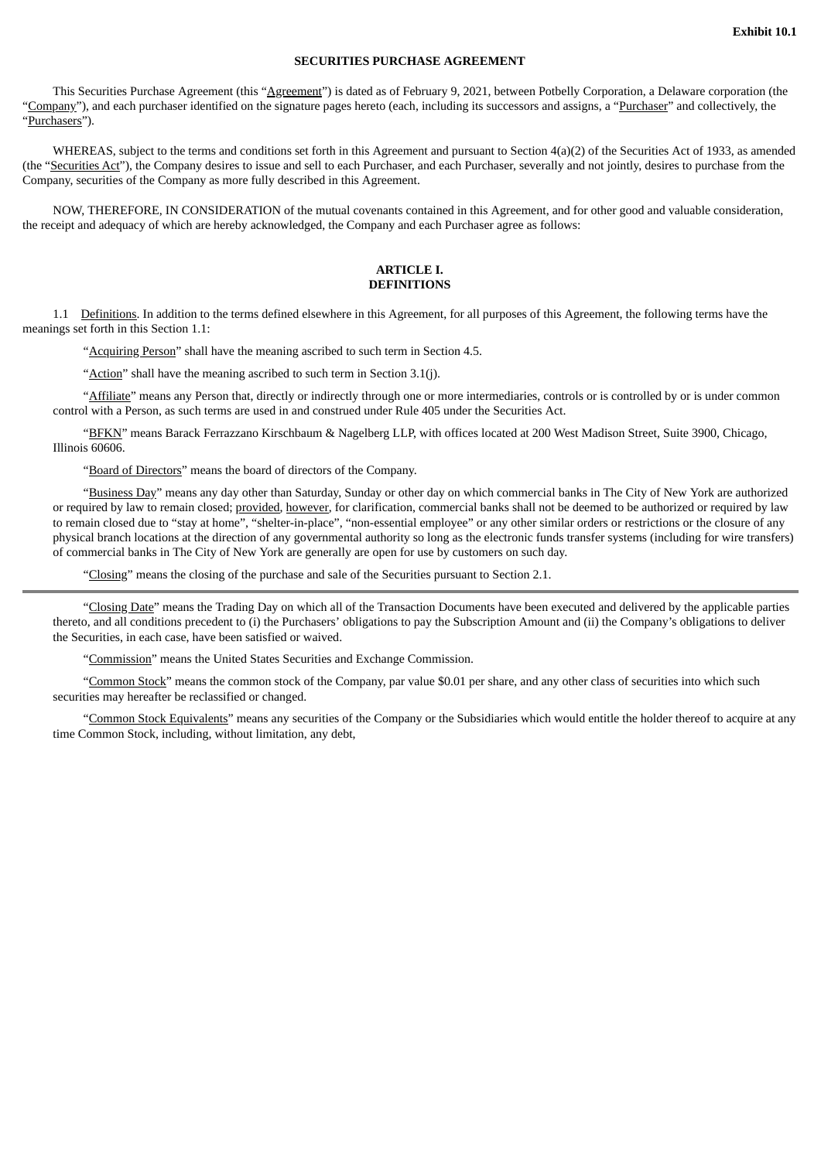#### **SECURITIES PURCHASE AGREEMENT**

This Securities Purchase Agreement (this "Agreement") is dated as of February 9, 2021, between Potbelly Corporation, a Delaware corporation (the "Company"), and each purchaser identified on the signature pages hereto (each, including its successors and assigns, a "Purchaser" and collectively, the "Purchasers").

WHEREAS, subject to the terms and conditions set forth in this Agreement and pursuant to Section 4(a)(2) of the Securities Act of 1933, as amended (the "Securities Act"), the Company desires to issue and sell to each Purchaser, and each Purchaser, severally and not jointly, desires to purchase from the Company, securities of the Company as more fully described in this Agreement.

NOW, THEREFORE, IN CONSIDERATION of the mutual covenants contained in this Agreement, and for other good and valuable consideration, the receipt and adequacy of which are hereby acknowledged, the Company and each Purchaser agree as follows:

#### **ARTICLE I. DEFINITIONS**

1.1 Definitions. In addition to the terms defined elsewhere in this Agreement, for all purposes of this Agreement, the following terms have the meanings set forth in this Section 1.1:

"Acquiring Person" shall have the meaning ascribed to such term in Section 4.5.

"Action" shall have the meaning ascribed to such term in Section 3.1(j).

"Affiliate" means any Person that, directly or indirectly through one or more intermediaries, controls or is controlled by or is under common control with a Person, as such terms are used in and construed under Rule 405 under the Securities Act.

"BFKN" means Barack Ferrazzano Kirschbaum & Nagelberg LLP, with offices located at 200 West Madison Street, Suite 3900, Chicago, Illinois 60606.

"Board of Directors" means the board of directors of the Company.

"Business Day" means any day other than Saturday, Sunday or other day on which commercial banks in The City of New York are authorized or required by law to remain closed; provided, however, for clarification, commercial banks shall not be deemed to be authorized or required by law to remain closed due to "stay at home", "shelter-in-place", "non-essential employee" or any other similar orders or restrictions or the closure of any physical branch locations at the direction of any governmental authority so long as the electronic funds transfer systems (including for wire transfers) of commercial banks in The City of New York are generally are open for use by customers on such day.

"Closing" means the closing of the purchase and sale of the Securities pursuant to Section 2.1.

"Closing Date" means the Trading Day on which all of the Transaction Documents have been executed and delivered by the applicable parties thereto, and all conditions precedent to (i) the Purchasers' obligations to pay the Subscription Amount and (ii) the Company's obligations to deliver the Securities, in each case, have been satisfied or waived.

"Commission" means the United States Securities and Exchange Commission.

"Common Stock" means the common stock of the Company, par value \$0.01 per share, and any other class of securities into which such securities may hereafter be reclassified or changed.

"Common Stock Equivalents" means any securities of the Company or the Subsidiaries which would entitle the holder thereof to acquire at any time Common Stock, including, without limitation, any debt,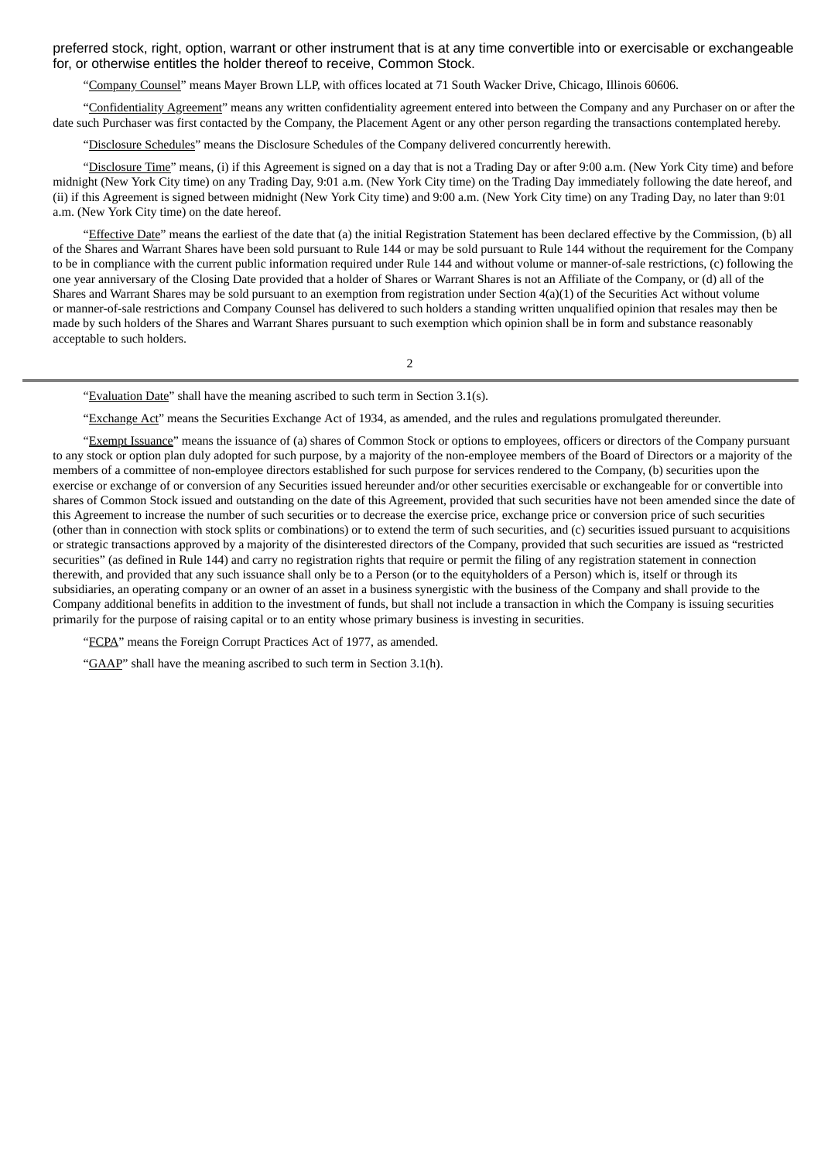preferred stock, right, option, warrant or other instrument that is at any time convertible into or exercisable or exchangeable for, or otherwise entitles the holder thereof to receive, Common Stock.

"Company Counsel" means Mayer Brown LLP, with offices located at 71 South Wacker Drive, Chicago, Illinois 60606.

"Confidentiality Agreement" means any written confidentiality agreement entered into between the Company and any Purchaser on or after the date such Purchaser was first contacted by the Company, the Placement Agent or any other person regarding the transactions contemplated hereby.

"Disclosure Schedules" means the Disclosure Schedules of the Company delivered concurrently herewith.

"Disclosure Time" means, (i) if this Agreement is signed on a day that is not a Trading Day or after 9:00 a.m. (New York City time) and before midnight (New York City time) on any Trading Day, 9:01 a.m. (New York City time) on the Trading Day immediately following the date hereof, and (ii) if this Agreement is signed between midnight (New York City time) and 9:00 a.m. (New York City time) on any Trading Day, no later than 9:01 a.m. (New York City time) on the date hereof.

"Effective Date" means the earliest of the date that (a) the initial Registration Statement has been declared effective by the Commission, (b) all of the Shares and Warrant Shares have been sold pursuant to Rule 144 or may be sold pursuant to Rule 144 without the requirement for the Company to be in compliance with the current public information required under Rule 144 and without volume or manner-of-sale restrictions, (c) following the one year anniversary of the Closing Date provided that a holder of Shares or Warrant Shares is not an Affiliate of the Company, or (d) all of the Shares and Warrant Shares may be sold pursuant to an exemption from registration under Section 4(a)(1) of the Securities Act without volume or manner-of-sale restrictions and Company Counsel has delivered to such holders a standing written unqualified opinion that resales may then be made by such holders of the Shares and Warrant Shares pursuant to such exemption which opinion shall be in form and substance reasonably acceptable to such holders.

2

"Evaluation Date" shall have the meaning ascribed to such term in Section 3.1(s).

"Exchange Act" means the Securities Exchange Act of 1934, as amended, and the rules and regulations promulgated thereunder.

"Exempt Issuance" means the issuance of (a) shares of Common Stock or options to employees, officers or directors of the Company pursuant to any stock or option plan duly adopted for such purpose, by a majority of the non-employee members of the Board of Directors or a majority of the members of a committee of non-employee directors established for such purpose for services rendered to the Company, (b) securities upon the exercise or exchange of or conversion of any Securities issued hereunder and/or other securities exercisable or exchangeable for or convertible into shares of Common Stock issued and outstanding on the date of this Agreement, provided that such securities have not been amended since the date of this Agreement to increase the number of such securities or to decrease the exercise price, exchange price or conversion price of such securities (other than in connection with stock splits or combinations) or to extend the term of such securities, and (c) securities issued pursuant to acquisitions or strategic transactions approved by a majority of the disinterested directors of the Company, provided that such securities are issued as "restricted securities" (as defined in Rule 144) and carry no registration rights that require or permit the filing of any registration statement in connection therewith, and provided that any such issuance shall only be to a Person (or to the equityholders of a Person) which is, itself or through its subsidiaries, an operating company or an owner of an asset in a business synergistic with the business of the Company and shall provide to the Company additional benefits in addition to the investment of funds, but shall not include a transaction in which the Company is issuing securities primarily for the purpose of raising capital or to an entity whose primary business is investing in securities.

"FCPA" means the Foreign Corrupt Practices Act of 1977, as amended.

"GAAP" shall have the meaning ascribed to such term in Section 3.1(h).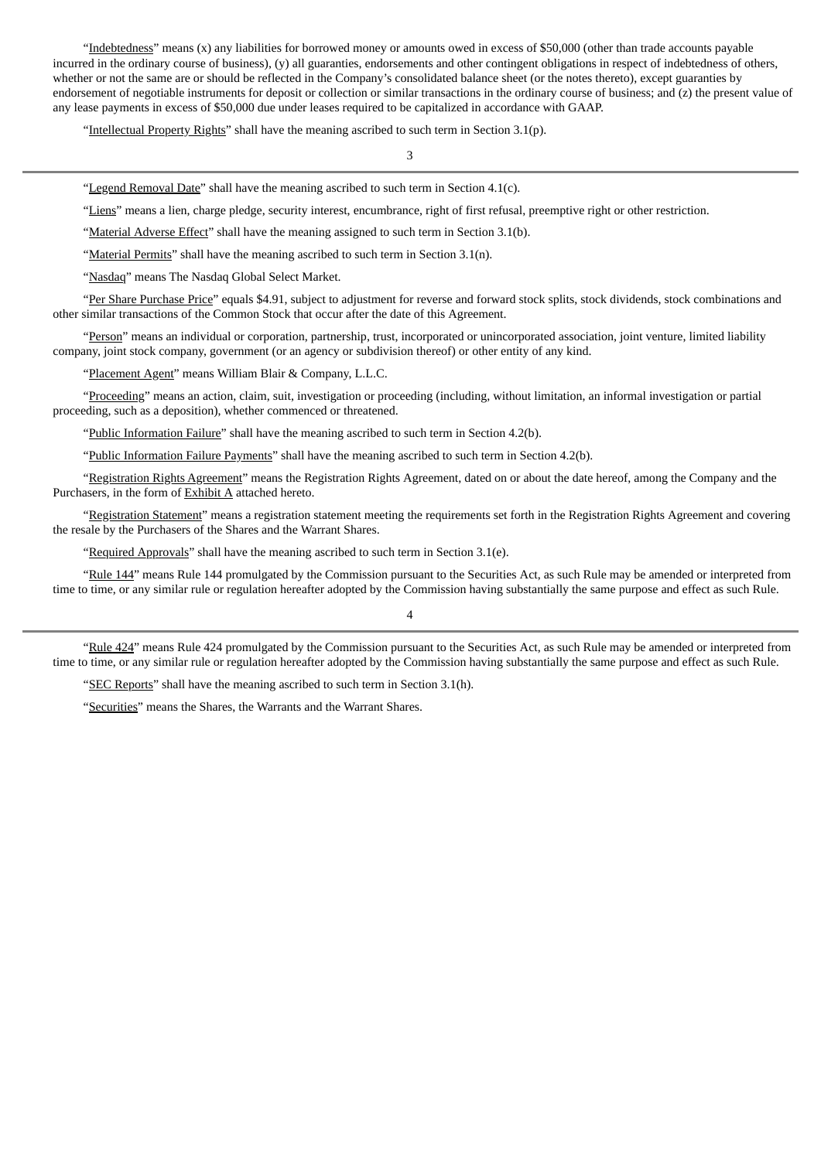"Indebtedness" means (x) any liabilities for borrowed money or amounts owed in excess of \$50,000 (other than trade accounts payable incurred in the ordinary course of business), (y) all guaranties, endorsements and other contingent obligations in respect of indebtedness of others, whether or not the same are or should be reflected in the Company's consolidated balance sheet (or the notes thereto), except guaranties by endorsement of negotiable instruments for deposit or collection or similar transactions in the ordinary course of business; and (z) the present value of any lease payments in excess of \$50,000 due under leases required to be capitalized in accordance with GAAP.

"Intellectual Property Rights" shall have the meaning ascribed to such term in Section 3.1(p).

3

"Legend Removal Date" shall have the meaning ascribed to such term in Section 4.1(c).

"Liens" means a lien, charge pledge, security interest, encumbrance, right of first refusal, preemptive right or other restriction.

"Material Adverse Effect" shall have the meaning assigned to such term in Section 3.1(b).

"Material Permits" shall have the meaning ascribed to such term in Section 3.1(n).

"Nasdaq" means The Nasdaq Global Select Market.

"Per Share Purchase Price" equals \$4.91, subject to adjustment for reverse and forward stock splits, stock dividends, stock combinations and other similar transactions of the Common Stock that occur after the date of this Agreement.

"Person" means an individual or corporation, partnership, trust, incorporated or unincorporated association, joint venture, limited liability company, joint stock company, government (or an agency or subdivision thereof) or other entity of any kind.

"Placement Agent" means William Blair & Company, L.L.C.

"Proceeding" means an action, claim, suit, investigation or proceeding (including, without limitation, an informal investigation or partial proceeding, such as a deposition), whether commenced or threatened.

"Public Information Failure" shall have the meaning ascribed to such term in Section 4.2(b).

"Public Information Failure Payments" shall have the meaning ascribed to such term in Section 4.2(b).

"Registration Rights Agreement" means the Registration Rights Agreement, dated on or about the date hereof, among the Company and the Purchasers, in the form of Exhibit A attached hereto.

"Registration Statement" means a registration statement meeting the requirements set forth in the Registration Rights Agreement and covering the resale by the Purchasers of the Shares and the Warrant Shares.

"Required Approvals" shall have the meaning ascribed to such term in Section  $3.1(e)$ .

"Rule 144" means Rule 144 promulgated by the Commission pursuant to the Securities Act, as such Rule may be amended or interpreted from time to time, or any similar rule or regulation hereafter adopted by the Commission having substantially the same purpose and effect as such Rule.

4

"Rule 424" means Rule 424 promulgated by the Commission pursuant to the Securities Act, as such Rule may be amended or interpreted from time to time, or any similar rule or regulation hereafter adopted by the Commission having substantially the same purpose and effect as such Rule.

"SEC Reports" shall have the meaning ascribed to such term in Section 3.1(h).

"Securities" means the Shares, the Warrants and the Warrant Shares.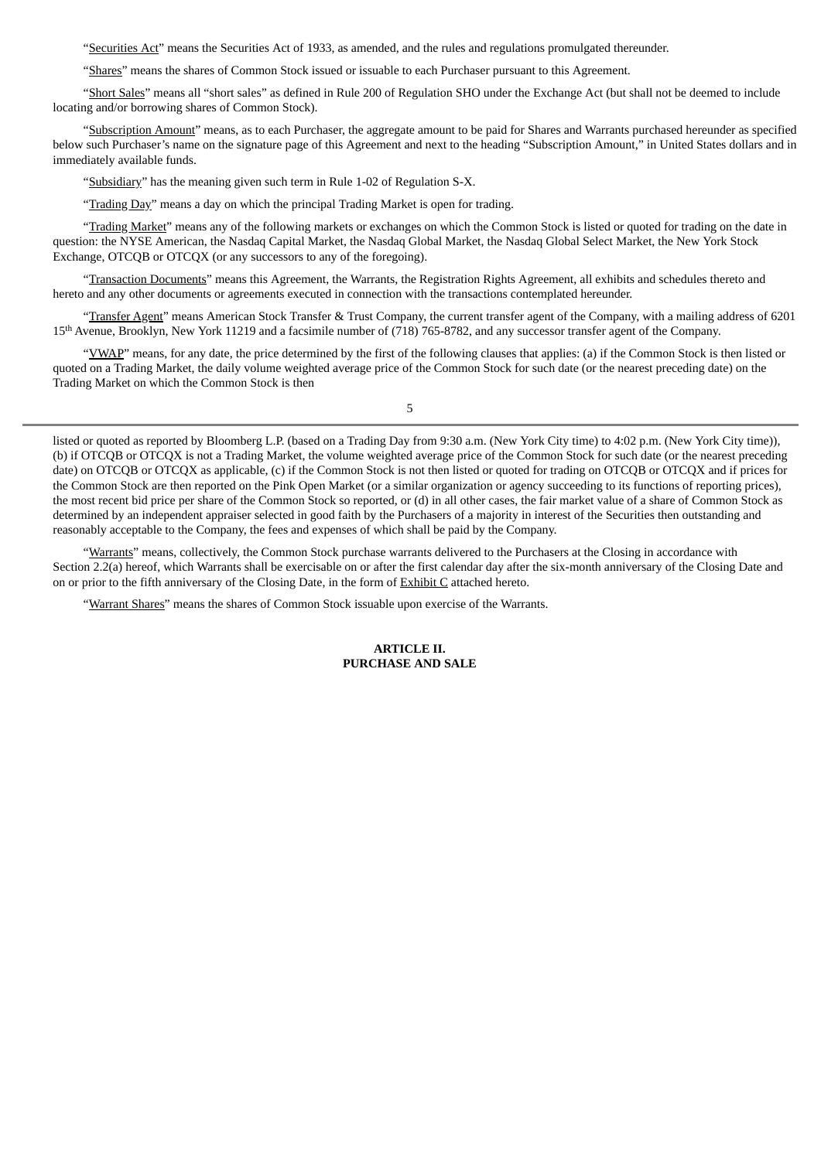"Securities Act" means the Securities Act of 1933, as amended, and the rules and regulations promulgated thereunder.

"Shares" means the shares of Common Stock issued or issuable to each Purchaser pursuant to this Agreement.

"Short Sales" means all "short sales" as defined in Rule 200 of Regulation SHO under the Exchange Act (but shall not be deemed to include locating and/or borrowing shares of Common Stock).

"Subscription Amount" means, as to each Purchaser, the aggregate amount to be paid for Shares and Warrants purchased hereunder as specified below such Purchaser's name on the signature page of this Agreement and next to the heading "Subscription Amount," in United States dollars and in immediately available funds.

"Subsidiary" has the meaning given such term in Rule 1-02 of Regulation S-X.

"Trading Day" means a day on which the principal Trading Market is open for trading.

"Trading Market" means any of the following markets or exchanges on which the Common Stock is listed or quoted for trading on the date in question: the NYSE American, the Nasdaq Capital Market, the Nasdaq Global Market, the Nasdaq Global Select Market, the New York Stock Exchange, OTCQB or OTCQX (or any successors to any of the foregoing).

"Transaction Documents" means this Agreement, the Warrants, the Registration Rights Agreement, all exhibits and schedules thereto and hereto and any other documents or agreements executed in connection with the transactions contemplated hereunder.

"Transfer Agent" means American Stock Transfer & Trust Company, the current transfer agent of the Company, with a mailing address of 6201 15 th Avenue, Brooklyn, New York 11219 and a facsimile number of (718) 765-8782, and any successor transfer agent of the Company.

"YWAP" means, for any date, the price determined by the first of the following clauses that applies: (a) if the Common Stock is then listed or quoted on a Trading Market, the daily volume weighted average price of the Common Stock for such date (or the nearest preceding date) on the Trading Market on which the Common Stock is then

5

listed or quoted as reported by Bloomberg L.P. (based on a Trading Day from 9:30 a.m. (New York City time) to 4:02 p.m. (New York City time)), (b) if OTCQB or OTCQX is not a Trading Market, the volume weighted average price of the Common Stock for such date (or the nearest preceding date) on OTCQB or OTCQX as applicable, (c) if the Common Stock is not then listed or quoted for trading on OTCQB or OTCQX and if prices for the Common Stock are then reported on the Pink Open Market (or a similar organization or agency succeeding to its functions of reporting prices), the most recent bid price per share of the Common Stock so reported, or (d) in all other cases, the fair market value of a share of Common Stock as determined by an independent appraiser selected in good faith by the Purchasers of a majority in interest of the Securities then outstanding and reasonably acceptable to the Company, the fees and expenses of which shall be paid by the Company.

"Warrants" means, collectively, the Common Stock purchase warrants delivered to the Purchasers at the Closing in accordance with Section 2.2(a) hereof, which Warrants shall be exercisable on or after the first calendar day after the six-month anniversary of the Closing Date and on or prior to the fifth anniversary of the Closing Date, in the form of Exhibit C attached hereto.

"Warrant Shares" means the shares of Common Stock issuable upon exercise of the Warrants.

#### **ARTICLE II. PURCHASE AND SALE**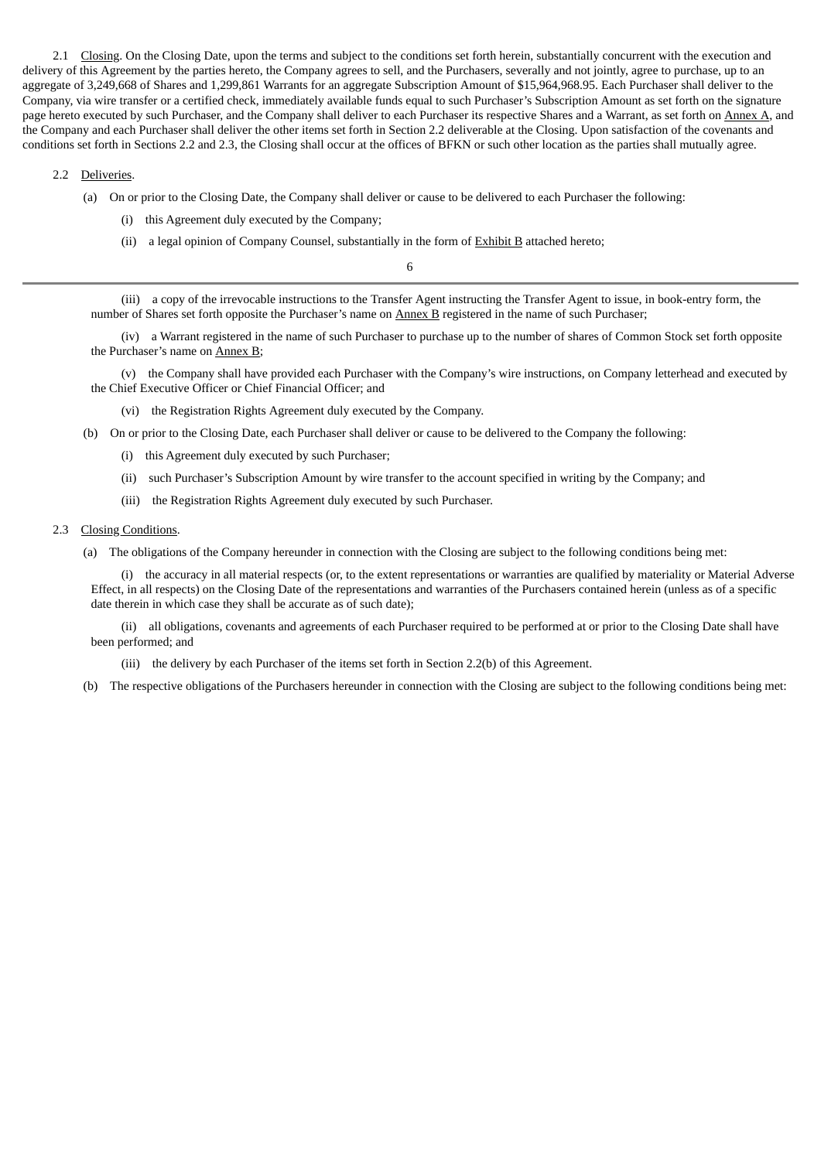2.1 Closing. On the Closing Date, upon the terms and subject to the conditions set forth herein, substantially concurrent with the execution and delivery of this Agreement by the parties hereto, the Company agrees to sell, and the Purchasers, severally and not jointly, agree to purchase, up to an aggregate of 3,249,668 of Shares and 1,299,861 Warrants for an aggregate Subscription Amount of \$15,964,968.95. Each Purchaser shall deliver to the Company, via wire transfer or a certified check, immediately available funds equal to such Purchaser's Subscription Amount as set forth on the signature page hereto executed by such Purchaser, and the Company shall deliver to each Purchaser its respective Shares and a Warrant, as set forth on Annex A, and the Company and each Purchaser shall deliver the other items set forth in Section 2.2 deliverable at the Closing. Upon satisfaction of the covenants and conditions set forth in Sections 2.2 and 2.3, the Closing shall occur at the offices of BFKN or such other location as the parties shall mutually agree.

#### 2.2 Deliveries.

- (a) On or prior to the Closing Date, the Company shall deliver or cause to be delivered to each Purchaser the following:
	- (i) this Agreement duly executed by the Company;
	- (ii) a legal opinion of Company Counsel, substantially in the form of Exhibit B attached hereto;

6

(iii) a copy of the irrevocable instructions to the Transfer Agent instructing the Transfer Agent to issue, in book-entry form, the number of Shares set forth opposite the Purchaser's name on Annex B registered in the name of such Purchaser;

(iv) a Warrant registered in the name of such Purchaser to purchase up to the number of shares of Common Stock set forth opposite the Purchaser's name on Annex B;

(v) the Company shall have provided each Purchaser with the Company's wire instructions, on Company letterhead and executed by the Chief Executive Officer or Chief Financial Officer; and

(vi) the Registration Rights Agreement duly executed by the Company.

- (b) On or prior to the Closing Date, each Purchaser shall deliver or cause to be delivered to the Company the following:
	- (i) this Agreement duly executed by such Purchaser;
	- (ii) such Purchaser's Subscription Amount by wire transfer to the account specified in writing by the Company; and
	- (iii) the Registration Rights Agreement duly executed by such Purchaser.

### 2.3 Closing Conditions.

(a) The obligations of the Company hereunder in connection with the Closing are subject to the following conditions being met:

(i) the accuracy in all material respects (or, to the extent representations or warranties are qualified by materiality or Material Adverse Effect, in all respects) on the Closing Date of the representations and warranties of the Purchasers contained herein (unless as of a specific date therein in which case they shall be accurate as of such date);

(ii) all obligations, covenants and agreements of each Purchaser required to be performed at or prior to the Closing Date shall have been performed; and

- (iii) the delivery by each Purchaser of the items set forth in Section 2.2(b) of this Agreement.
- (b) The respective obligations of the Purchasers hereunder in connection with the Closing are subject to the following conditions being met: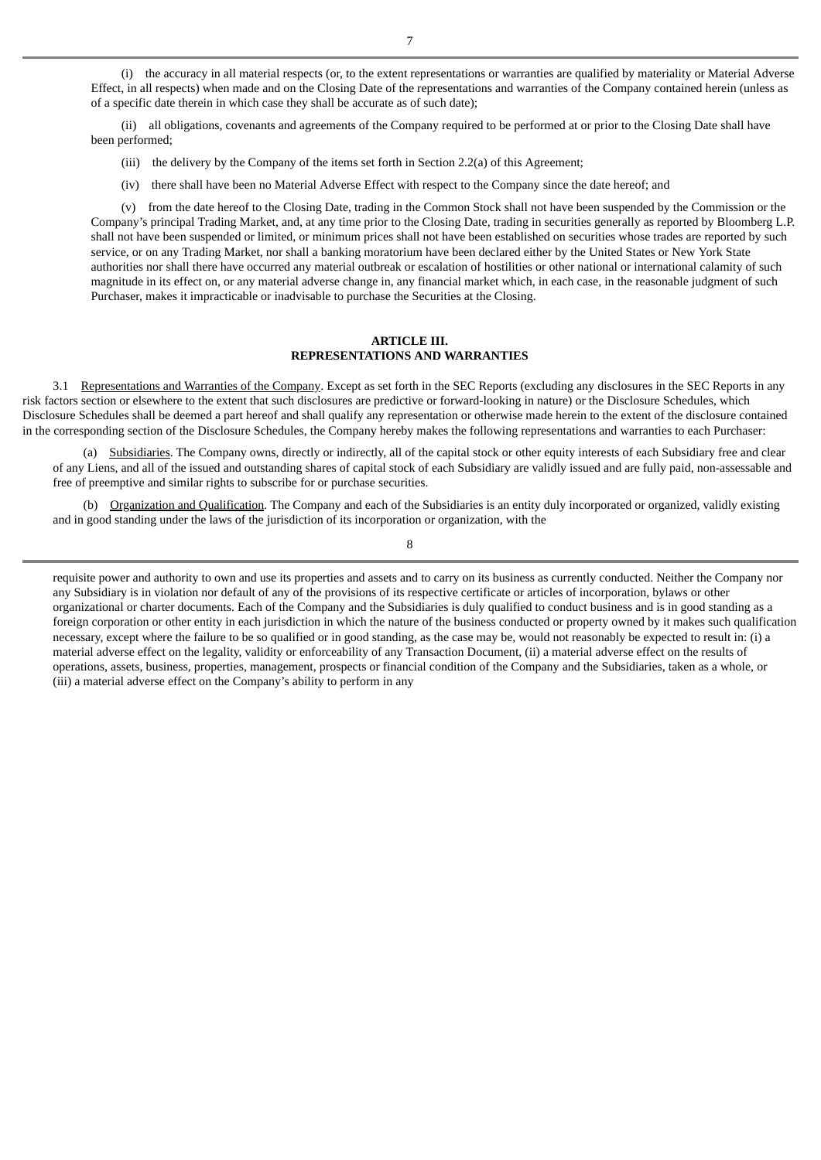(i) the accuracy in all material respects (or, to the extent representations or warranties are qualified by materiality or Material Adverse Effect, in all respects) when made and on the Closing Date of the representations and warranties of the Company contained herein (unless as of a specific date therein in which case they shall be accurate as of such date);

(ii) all obligations, covenants and agreements of the Company required to be performed at or prior to the Closing Date shall have been performed;

- (iii) the delivery by the Company of the items set forth in Section 2.2(a) of this Agreement;
- (iv) there shall have been no Material Adverse Effect with respect to the Company since the date hereof; and

(v) from the date hereof to the Closing Date, trading in the Common Stock shall not have been suspended by the Commission or the Company's principal Trading Market, and, at any time prior to the Closing Date, trading in securities generally as reported by Bloomberg L.P. shall not have been suspended or limited, or minimum prices shall not have been established on securities whose trades are reported by such service, or on any Trading Market, nor shall a banking moratorium have been declared either by the United States or New York State authorities nor shall there have occurred any material outbreak or escalation of hostilities or other national or international calamity of such magnitude in its effect on, or any material adverse change in, any financial market which, in each case, in the reasonable judgment of such Purchaser, makes it impracticable or inadvisable to purchase the Securities at the Closing.

### **ARTICLE III. REPRESENTATIONS AND WARRANTIES**

3.1 Representations and Warranties of the Company. Except as set forth in the SEC Reports (excluding any disclosures in the SEC Reports in any risk factors section or elsewhere to the extent that such disclosures are predictive or forward-looking in nature) or the Disclosure Schedules, which Disclosure Schedules shall be deemed a part hereof and shall qualify any representation or otherwise made herein to the extent of the disclosure contained in the corresponding section of the Disclosure Schedules, the Company hereby makes the following representations and warranties to each Purchaser:

(a) Subsidiaries. The Company owns, directly or indirectly, all of the capital stock or other equity interests of each Subsidiary free and clear of any Liens, and all of the issued and outstanding shares of capital stock of each Subsidiary are validly issued and are fully paid, non-assessable and free of preemptive and similar rights to subscribe for or purchase securities.

(b) Organization and Qualification. The Company and each of the Subsidiaries is an entity duly incorporated or organized, validly existing and in good standing under the laws of the jurisdiction of its incorporation or organization, with the

8

requisite power and authority to own and use its properties and assets and to carry on its business as currently conducted. Neither the Company nor any Subsidiary is in violation nor default of any of the provisions of its respective certificate or articles of incorporation, bylaws or other organizational or charter documents. Each of the Company and the Subsidiaries is duly qualified to conduct business and is in good standing as a foreign corporation or other entity in each jurisdiction in which the nature of the business conducted or property owned by it makes such qualification necessary, except where the failure to be so qualified or in good standing, as the case may be, would not reasonably be expected to result in: (i) a material adverse effect on the legality, validity or enforceability of any Transaction Document, (ii) a material adverse effect on the results of operations, assets, business, properties, management, prospects or financial condition of the Company and the Subsidiaries, taken as a whole, or (iii) a material adverse effect on the Company's ability to perform in any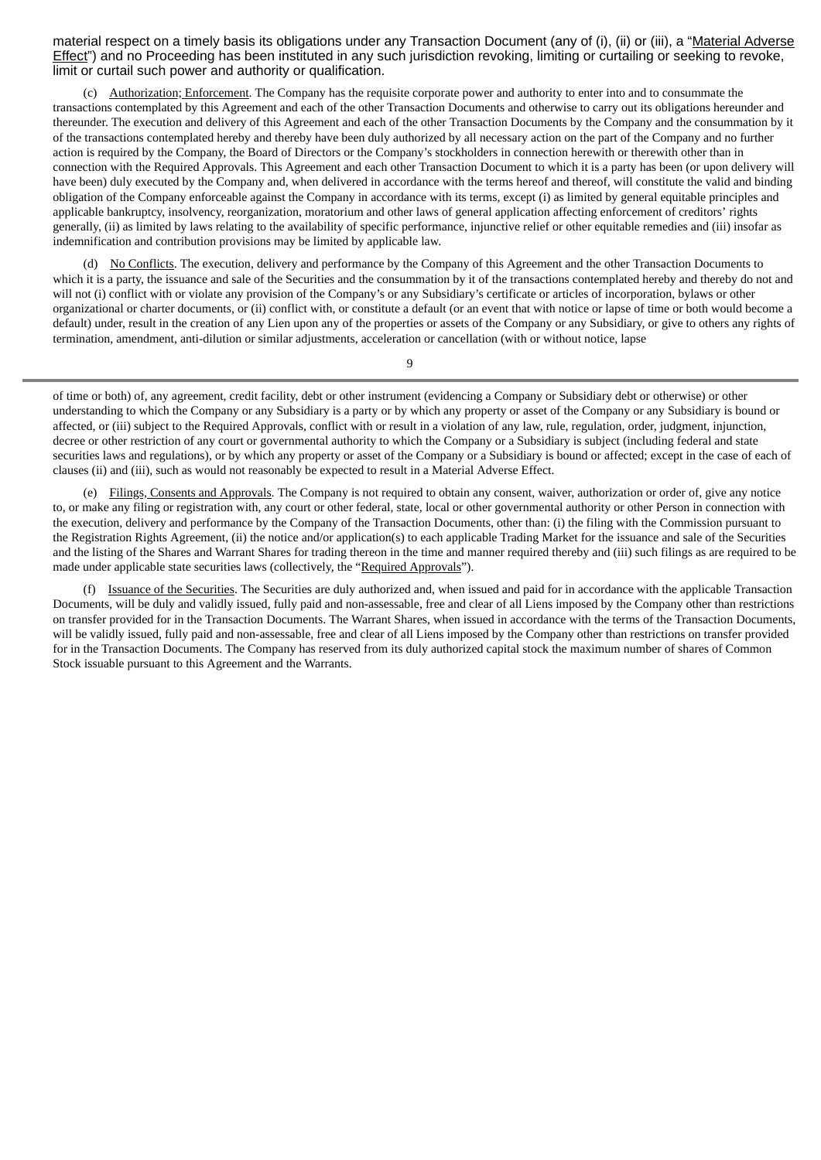material respect on a timely basis its obligations under any Transaction Document (any of (i), (ii) or (iii), a "Material Adverse Effect") and no Proceeding has been instituted in any such jurisdiction revoking, limiting or curtailing or seeking to revoke, limit or curtail such power and authority or qualification.

(c) Authorization; Enforcement. The Company has the requisite corporate power and authority to enter into and to consummate the transactions contemplated by this Agreement and each of the other Transaction Documents and otherwise to carry out its obligations hereunder and thereunder. The execution and delivery of this Agreement and each of the other Transaction Documents by the Company and the consummation by it of the transactions contemplated hereby and thereby have been duly authorized by all necessary action on the part of the Company and no further action is required by the Company, the Board of Directors or the Company's stockholders in connection herewith or therewith other than in connection with the Required Approvals. This Agreement and each other Transaction Document to which it is a party has been (or upon delivery will have been) duly executed by the Company and, when delivered in accordance with the terms hereof and thereof, will constitute the valid and binding obligation of the Company enforceable against the Company in accordance with its terms, except (i) as limited by general equitable principles and applicable bankruptcy, insolvency, reorganization, moratorium and other laws of general application affecting enforcement of creditors' rights generally, (ii) as limited by laws relating to the availability of specific performance, injunctive relief or other equitable remedies and (iii) insofar as indemnification and contribution provisions may be limited by applicable law.

(d) No Conflicts. The execution, delivery and performance by the Company of this Agreement and the other Transaction Documents to which it is a party, the issuance and sale of the Securities and the consummation by it of the transactions contemplated hereby and thereby do not and will not (i) conflict with or violate any provision of the Company's or any Subsidiary's certificate or articles of incorporation, bylaws or other organizational or charter documents, or (ii) conflict with, or constitute a default (or an event that with notice or lapse of time or both would become a default) under, result in the creation of any Lien upon any of the properties or assets of the Company or any Subsidiary, or give to others any rights of termination, amendment, anti-dilution or similar adjustments, acceleration or cancellation (with or without notice, lapse

9

of time or both) of, any agreement, credit facility, debt or other instrument (evidencing a Company or Subsidiary debt or otherwise) or other understanding to which the Company or any Subsidiary is a party or by which any property or asset of the Company or any Subsidiary is bound or affected, or (iii) subject to the Required Approvals, conflict with or result in a violation of any law, rule, regulation, order, judgment, injunction, decree or other restriction of any court or governmental authority to which the Company or a Subsidiary is subject (including federal and state securities laws and regulations), or by which any property or asset of the Company or a Subsidiary is bound or affected; except in the case of each of clauses (ii) and (iii), such as would not reasonably be expected to result in a Material Adverse Effect.

(e) Filings, Consents and Approvals. The Company is not required to obtain any consent, waiver, authorization or order of, give any notice to, or make any filing or registration with, any court or other federal, state, local or other governmental authority or other Person in connection with the execution, delivery and performance by the Company of the Transaction Documents, other than: (i) the filing with the Commission pursuant to the Registration Rights Agreement, (ii) the notice and/or application(s) to each applicable Trading Market for the issuance and sale of the Securities and the listing of the Shares and Warrant Shares for trading thereon in the time and manner required thereby and (iii) such filings as are required to be made under applicable state securities laws (collectively, the "Required Approvals").

(f) Issuance of the Securities. The Securities are duly authorized and, when issued and paid for in accordance with the applicable Transaction Documents, will be duly and validly issued, fully paid and non-assessable, free and clear of all Liens imposed by the Company other than restrictions on transfer provided for in the Transaction Documents. The Warrant Shares, when issued in accordance with the terms of the Transaction Documents, will be validly issued, fully paid and non-assessable, free and clear of all Liens imposed by the Company other than restrictions on transfer provided for in the Transaction Documents. The Company has reserved from its duly authorized capital stock the maximum number of shares of Common Stock issuable pursuant to this Agreement and the Warrants.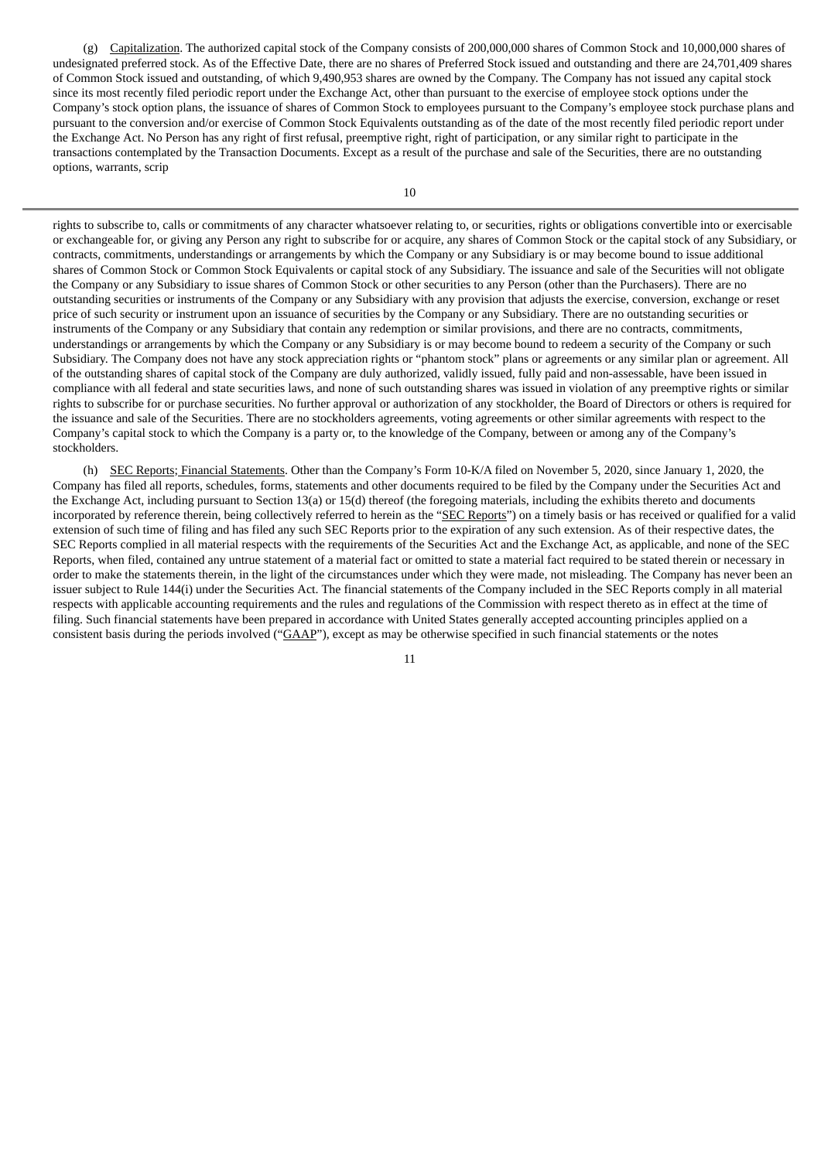(g) Capitalization. The authorized capital stock of the Company consists of 200,000,000 shares of Common Stock and 10,000,000 shares of undesignated preferred stock. As of the Effective Date, there are no shares of Preferred Stock issued and outstanding and there are 24,701,409 shares of Common Stock issued and outstanding, of which 9,490,953 shares are owned by the Company. The Company has not issued any capital stock since its most recently filed periodic report under the Exchange Act, other than pursuant to the exercise of employee stock options under the Company's stock option plans, the issuance of shares of Common Stock to employees pursuant to the Company's employee stock purchase plans and pursuant to the conversion and/or exercise of Common Stock Equivalents outstanding as of the date of the most recently filed periodic report under the Exchange Act. No Person has any right of first refusal, preemptive right, right of participation, or any similar right to participate in the transactions contemplated by the Transaction Documents. Except as a result of the purchase and sale of the Securities, there are no outstanding options, warrants, scrip

rights to subscribe to, calls or commitments of any character whatsoever relating to, or securities, rights or obligations convertible into or exercisable or exchangeable for, or giving any Person any right to subscribe for or acquire, any shares of Common Stock or the capital stock of any Subsidiary, or contracts, commitments, understandings or arrangements by which the Company or any Subsidiary is or may become bound to issue additional shares of Common Stock or Common Stock Equivalents or capital stock of any Subsidiary. The issuance and sale of the Securities will not obligate the Company or any Subsidiary to issue shares of Common Stock or other securities to any Person (other than the Purchasers). There are no outstanding securities or instruments of the Company or any Subsidiary with any provision that adjusts the exercise, conversion, exchange or reset price of such security or instrument upon an issuance of securities by the Company or any Subsidiary. There are no outstanding securities or instruments of the Company or any Subsidiary that contain any redemption or similar provisions, and there are no contracts, commitments, understandings or arrangements by which the Company or any Subsidiary is or may become bound to redeem a security of the Company or such Subsidiary. The Company does not have any stock appreciation rights or "phantom stock" plans or agreements or any similar plan or agreement. All of the outstanding shares of capital stock of the Company are duly authorized, validly issued, fully paid and non-assessable, have been issued in compliance with all federal and state securities laws, and none of such outstanding shares was issued in violation of any preemptive rights or similar rights to subscribe for or purchase securities. No further approval or authorization of any stockholder, the Board of Directors or others is required for the issuance and sale of the Securities. There are no stockholders agreements, voting agreements or other similar agreements with respect to the Company's capital stock to which the Company is a party or, to the knowledge of the Company, between or among any of the Company's stockholders.

(h) SEC Reports; Financial Statements. Other than the Company's Form 10-K/A filed on November 5, 2020, since January 1, 2020, the Company has filed all reports, schedules, forms, statements and other documents required to be filed by the Company under the Securities Act and the Exchange Act, including pursuant to Section 13(a) or 15(d) thereof (the foregoing materials, including the exhibits thereto and documents incorporated by reference therein, being collectively referred to herein as the "SEC Reports") on a timely basis or has received or qualified for a valid extension of such time of filing and has filed any such SEC Reports prior to the expiration of any such extension. As of their respective dates, the SEC Reports complied in all material respects with the requirements of the Securities Act and the Exchange Act, as applicable, and none of the SEC Reports, when filed, contained any untrue statement of a material fact or omitted to state a material fact required to be stated therein or necessary in order to make the statements therein, in the light of the circumstances under which they were made, not misleading. The Company has never been an issuer subject to Rule 144(i) under the Securities Act. The financial statements of the Company included in the SEC Reports comply in all material respects with applicable accounting requirements and the rules and regulations of the Commission with respect thereto as in effect at the time of filing. Such financial statements have been prepared in accordance with United States generally accepted accounting principles applied on a consistent basis during the periods involved ("GAAP"), except as may be otherwise specified in such financial statements or the notes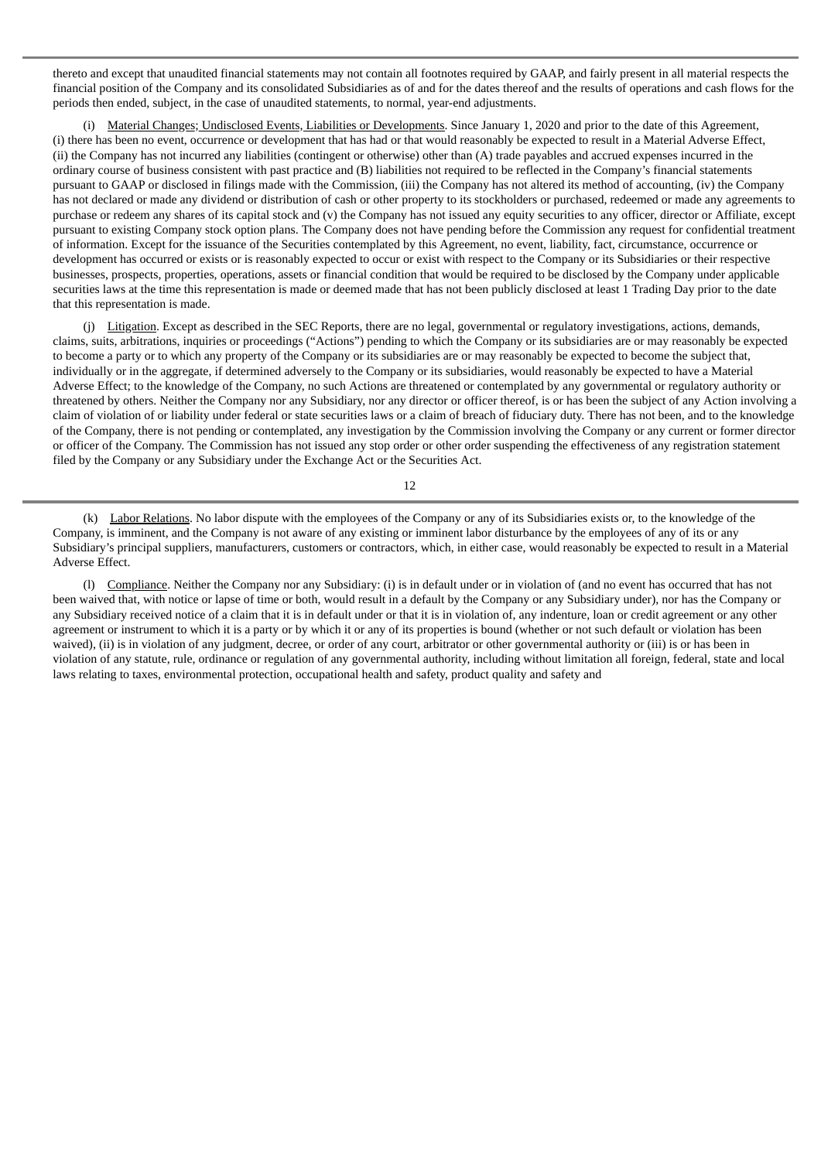thereto and except that unaudited financial statements may not contain all footnotes required by GAAP, and fairly present in all material respects the financial position of the Company and its consolidated Subsidiaries as of and for the dates thereof and the results of operations and cash flows for the periods then ended, subject, in the case of unaudited statements, to normal, year-end adjustments.

(i) Material Changes; Undisclosed Events, Liabilities or Developments. Since January 1, 2020 and prior to the date of this Agreement, (i) there has been no event, occurrence or development that has had or that would reasonably be expected to result in a Material Adverse Effect, (ii) the Company has not incurred any liabilities (contingent or otherwise) other than (A) trade payables and accrued expenses incurred in the ordinary course of business consistent with past practice and (B) liabilities not required to be reflected in the Company's financial statements pursuant to GAAP or disclosed in filings made with the Commission, (iii) the Company has not altered its method of accounting, (iv) the Company has not declared or made any dividend or distribution of cash or other property to its stockholders or purchased, redeemed or made any agreements to purchase or redeem any shares of its capital stock and (v) the Company has not issued any equity securities to any officer, director or Affiliate, except pursuant to existing Company stock option plans. The Company does not have pending before the Commission any request for confidential treatment of information. Except for the issuance of the Securities contemplated by this Agreement, no event, liability, fact, circumstance, occurrence or development has occurred or exists or is reasonably expected to occur or exist with respect to the Company or its Subsidiaries or their respective businesses, prospects, properties, operations, assets or financial condition that would be required to be disclosed by the Company under applicable securities laws at the time this representation is made or deemed made that has not been publicly disclosed at least 1 Trading Day prior to the date that this representation is made.

(j) Litigation. Except as described in the SEC Reports, there are no legal, governmental or regulatory investigations, actions, demands, claims, suits, arbitrations, inquiries or proceedings ("Actions") pending to which the Company or its subsidiaries are or may reasonably be expected to become a party or to which any property of the Company or its subsidiaries are or may reasonably be expected to become the subject that, individually or in the aggregate, if determined adversely to the Company or its subsidiaries, would reasonably be expected to have a Material Adverse Effect; to the knowledge of the Company, no such Actions are threatened or contemplated by any governmental or regulatory authority or threatened by others. Neither the Company nor any Subsidiary, nor any director or officer thereof, is or has been the subject of any Action involving a claim of violation of or liability under federal or state securities laws or a claim of breach of fiduciary duty. There has not been, and to the knowledge of the Company, there is not pending or contemplated, any investigation by the Commission involving the Company or any current or former director or officer of the Company. The Commission has not issued any stop order or other order suspending the effectiveness of any registration statement filed by the Company or any Subsidiary under the Exchange Act or the Securities Act.

12

(k) Labor Relations. No labor dispute with the employees of the Company or any of its Subsidiaries exists or, to the knowledge of the Company, is imminent, and the Company is not aware of any existing or imminent labor disturbance by the employees of any of its or any Subsidiary's principal suppliers, manufacturers, customers or contractors, which, in either case, would reasonably be expected to result in a Material Adverse Effect.

(l) Compliance. Neither the Company nor any Subsidiary: (i) is in default under or in violation of (and no event has occurred that has not been waived that, with notice or lapse of time or both, would result in a default by the Company or any Subsidiary under), nor has the Company or any Subsidiary received notice of a claim that it is in default under or that it is in violation of, any indenture, loan or credit agreement or any other agreement or instrument to which it is a party or by which it or any of its properties is bound (whether or not such default or violation has been waived), (ii) is in violation of any judgment, decree, or order of any court, arbitrator or other governmental authority or (iii) is or has been in violation of any statute, rule, ordinance or regulation of any governmental authority, including without limitation all foreign, federal, state and local laws relating to taxes, environmental protection, occupational health and safety, product quality and safety and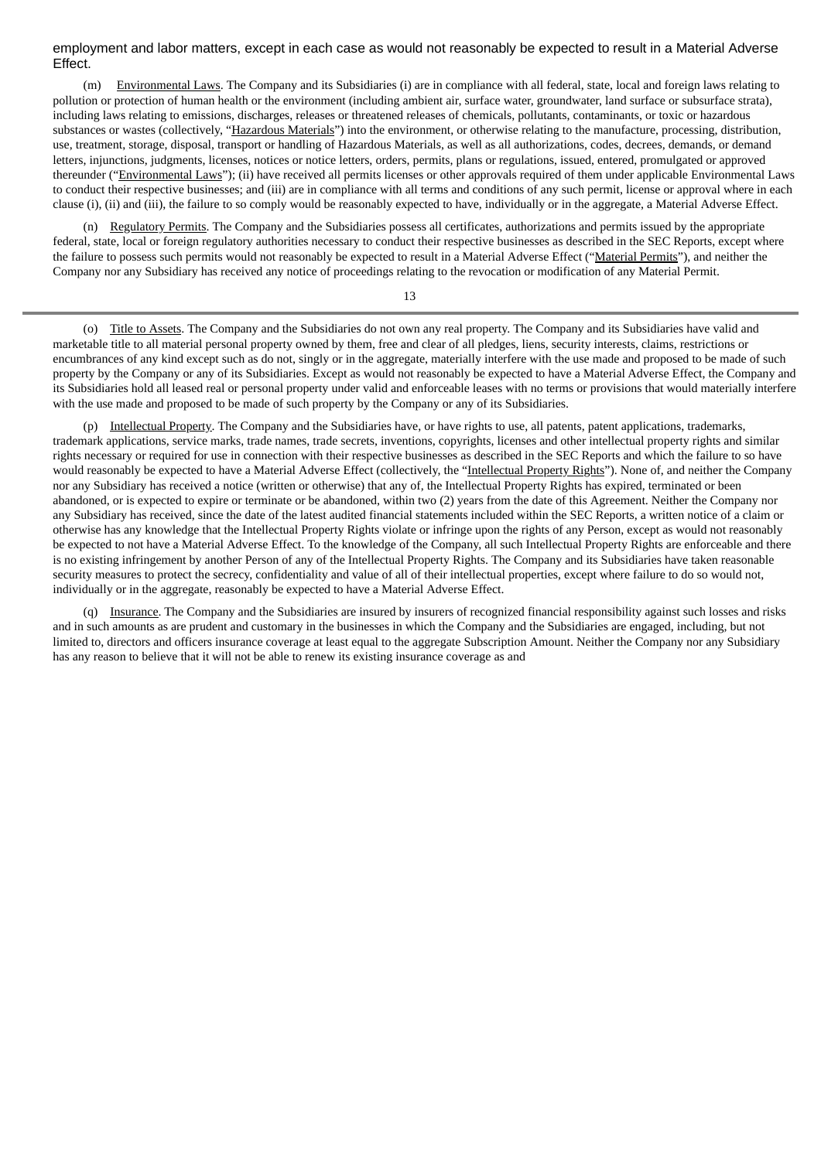### employment and labor matters, except in each case as would not reasonably be expected to result in a Material Adverse Effect.

(m) Environmental Laws. The Company and its Subsidiaries (i) are in compliance with all federal, state, local and foreign laws relating to pollution or protection of human health or the environment (including ambient air, surface water, groundwater, land surface or subsurface strata), including laws relating to emissions, discharges, releases or threatened releases of chemicals, pollutants, contaminants, or toxic or hazardous substances or wastes (collectively, "Hazardous Materials") into the environment, or otherwise relating to the manufacture, processing, distribution, use, treatment, storage, disposal, transport or handling of Hazardous Materials, as well as all authorizations, codes, decrees, demands, or demand letters, injunctions, judgments, licenses, notices or notice letters, orders, permits, plans or regulations, issued, entered, promulgated or approved thereunder ("Environmental Laws"); (ii) have received all permits licenses or other approvals required of them under applicable Environmental Laws to conduct their respective businesses; and (iii) are in compliance with all terms and conditions of any such permit, license or approval where in each clause (i), (ii) and (iii), the failure to so comply would be reasonably expected to have, individually or in the aggregate, a Material Adverse Effect.

(n) Regulatory Permits. The Company and the Subsidiaries possess all certificates, authorizations and permits issued by the appropriate federal, state, local or foreign regulatory authorities necessary to conduct their respective businesses as described in the SEC Reports, except where the failure to possess such permits would not reasonably be expected to result in a Material Adverse Effect ("Material Permits"), and neither the Company nor any Subsidiary has received any notice of proceedings relating to the revocation or modification of any Material Permit.

13

(o) Title to Assets. The Company and the Subsidiaries do not own any real property. The Company and its Subsidiaries have valid and marketable title to all material personal property owned by them, free and clear of all pledges, liens, security interests, claims, restrictions or encumbrances of any kind except such as do not, singly or in the aggregate, materially interfere with the use made and proposed to be made of such property by the Company or any of its Subsidiaries. Except as would not reasonably be expected to have a Material Adverse Effect, the Company and its Subsidiaries hold all leased real or personal property under valid and enforceable leases with no terms or provisions that would materially interfere with the use made and proposed to be made of such property by the Company or any of its Subsidiaries.

(p) Intellectual Property. The Company and the Subsidiaries have, or have rights to use, all patents, patent applications, trademarks, trademark applications, service marks, trade names, trade secrets, inventions, copyrights, licenses and other intellectual property rights and similar rights necessary or required for use in connection with their respective businesses as described in the SEC Reports and which the failure to so have would reasonably be expected to have a Material Adverse Effect (collectively, the "Intellectual Property Rights"). None of, and neither the Company nor any Subsidiary has received a notice (written or otherwise) that any of, the Intellectual Property Rights has expired, terminated or been abandoned, or is expected to expire or terminate or be abandoned, within two (2) years from the date of this Agreement. Neither the Company nor any Subsidiary has received, since the date of the latest audited financial statements included within the SEC Reports, a written notice of a claim or otherwise has any knowledge that the Intellectual Property Rights violate or infringe upon the rights of any Person, except as would not reasonably be expected to not have a Material Adverse Effect. To the knowledge of the Company, all such Intellectual Property Rights are enforceable and there is no existing infringement by another Person of any of the Intellectual Property Rights. The Company and its Subsidiaries have taken reasonable security measures to protect the secrecy, confidentiality and value of all of their intellectual properties, except where failure to do so would not, individually or in the aggregate, reasonably be expected to have a Material Adverse Effect.

(q) Insurance. The Company and the Subsidiaries are insured by insurers of recognized financial responsibility against such losses and risks and in such amounts as are prudent and customary in the businesses in which the Company and the Subsidiaries are engaged, including, but not limited to, directors and officers insurance coverage at least equal to the aggregate Subscription Amount. Neither the Company nor any Subsidiary has any reason to believe that it will not be able to renew its existing insurance coverage as and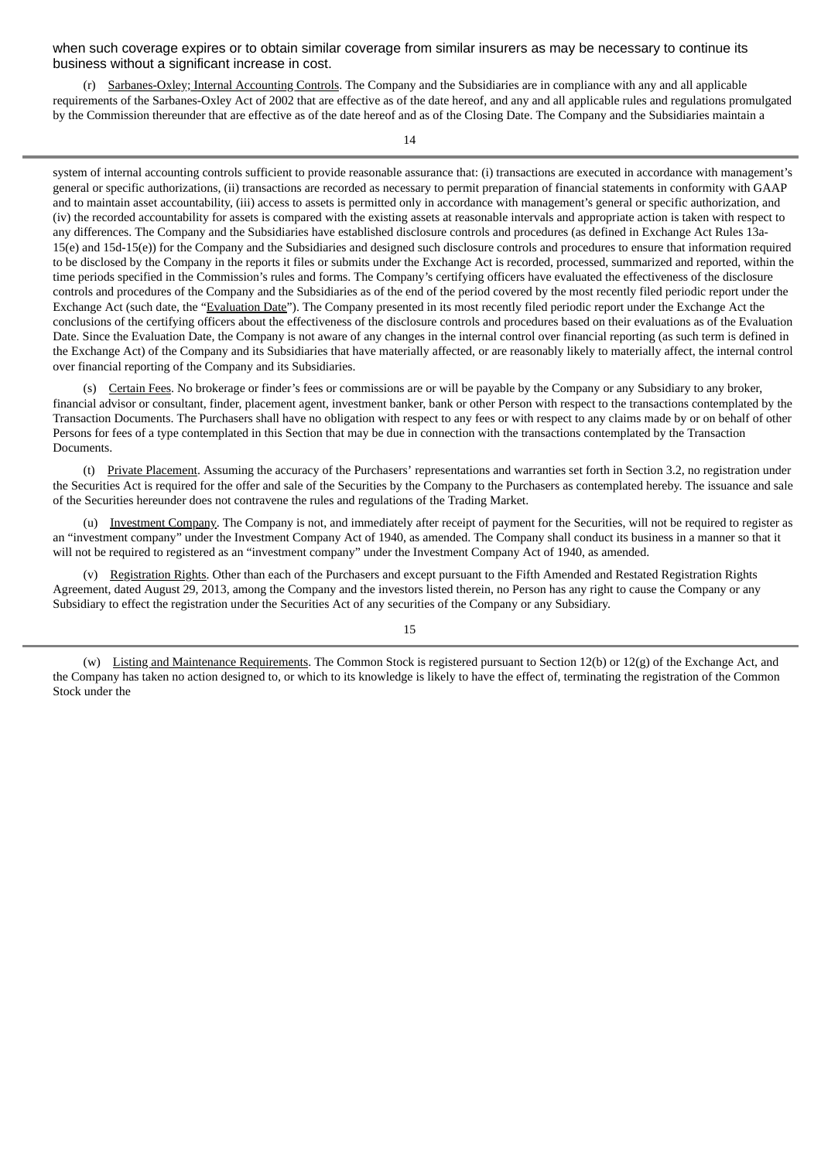when such coverage expires or to obtain similar coverage from similar insurers as may be necessary to continue its business without a significant increase in cost.

(r) Sarbanes-Oxley; Internal Accounting Controls. The Company and the Subsidiaries are in compliance with any and all applicable requirements of the Sarbanes-Oxley Act of 2002 that are effective as of the date hereof, and any and all applicable rules and regulations promulgated by the Commission thereunder that are effective as of the date hereof and as of the Closing Date. The Company and the Subsidiaries maintain a

system of internal accounting controls sufficient to provide reasonable assurance that: (i) transactions are executed in accordance with management's general or specific authorizations, (ii) transactions are recorded as necessary to permit preparation of financial statements in conformity with GAAP and to maintain asset accountability, (iii) access to assets is permitted only in accordance with management's general or specific authorization, and (iv) the recorded accountability for assets is compared with the existing assets at reasonable intervals and appropriate action is taken with respect to any differences. The Company and the Subsidiaries have established disclosure controls and procedures (as defined in Exchange Act Rules 13a-15(e) and 15d-15(e)) for the Company and the Subsidiaries and designed such disclosure controls and procedures to ensure that information required to be disclosed by the Company in the reports it files or submits under the Exchange Act is recorded, processed, summarized and reported, within the time periods specified in the Commission's rules and forms. The Company's certifying officers have evaluated the effectiveness of the disclosure controls and procedures of the Company and the Subsidiaries as of the end of the period covered by the most recently filed periodic report under the Exchange Act (such date, the "Evaluation Date"). The Company presented in its most recently filed periodic report under the Exchange Act the conclusions of the certifying officers about the effectiveness of the disclosure controls and procedures based on their evaluations as of the Evaluation Date. Since the Evaluation Date, the Company is not aware of any changes in the internal control over financial reporting (as such term is defined in the Exchange Act) of the Company and its Subsidiaries that have materially affected, or are reasonably likely to materially affect, the internal control over financial reporting of the Company and its Subsidiaries.

(s) Certain Fees. No brokerage or finder's fees or commissions are or will be payable by the Company or any Subsidiary to any broker, financial advisor or consultant, finder, placement agent, investment banker, bank or other Person with respect to the transactions contemplated by the Transaction Documents. The Purchasers shall have no obligation with respect to any fees or with respect to any claims made by or on behalf of other Persons for fees of a type contemplated in this Section that may be due in connection with the transactions contemplated by the Transaction **Documents** 

(t) Private Placement. Assuming the accuracy of the Purchasers' representations and warranties set forth in Section 3.2, no registration under the Securities Act is required for the offer and sale of the Securities by the Company to the Purchasers as contemplated hereby. The issuance and sale of the Securities hereunder does not contravene the rules and regulations of the Trading Market.

(u) Investment Company. The Company is not, and immediately after receipt of payment for the Securities, will not be required to register as an "investment company" under the Investment Company Act of 1940, as amended. The Company shall conduct its business in a manner so that it will not be required to registered as an "investment company" under the Investment Company Act of 1940, as amended.

(v) Registration Rights. Other than each of the Purchasers and except pursuant to the Fifth Amended and Restated Registration Rights Agreement, dated August 29, 2013, among the Company and the investors listed therein, no Person has any right to cause the Company or any Subsidiary to effect the registration under the Securities Act of any securities of the Company or any Subsidiary.

15

<sup>(</sup>w) Listing and Maintenance Requirements. The Common Stock is registered pursuant to Section 12(b) or 12(g) of the Exchange Act, and the Company has taken no action designed to, or which to its knowledge is likely to have the effect of, terminating the registration of the Common Stock under the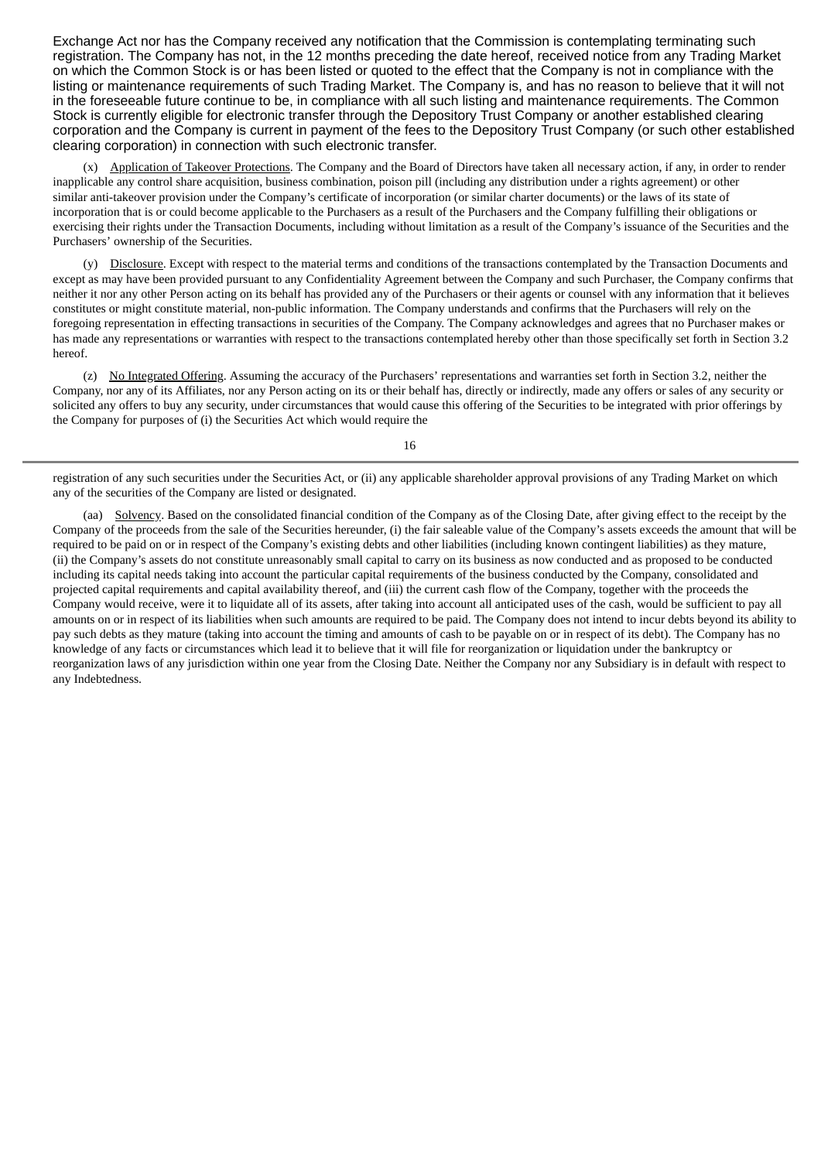Exchange Act nor has the Company received any notification that the Commission is contemplating terminating such registration. The Company has not, in the 12 months preceding the date hereof, received notice from any Trading Market on which the Common Stock is or has been listed or quoted to the effect that the Company is not in compliance with the listing or maintenance requirements of such Trading Market. The Company is, and has no reason to believe that it will not in the foreseeable future continue to be, in compliance with all such listing and maintenance requirements. The Common Stock is currently eligible for electronic transfer through the Depository Trust Company or another established clearing corporation and the Company is current in payment of the fees to the Depository Trust Company (or such other established clearing corporation) in connection with such electronic transfer.

(x) Application of Takeover Protections. The Company and the Board of Directors have taken all necessary action, if any, in order to render inapplicable any control share acquisition, business combination, poison pill (including any distribution under a rights agreement) or other similar anti-takeover provision under the Company's certificate of incorporation (or similar charter documents) or the laws of its state of incorporation that is or could become applicable to the Purchasers as a result of the Purchasers and the Company fulfilling their obligations or exercising their rights under the Transaction Documents, including without limitation as a result of the Company's issuance of the Securities and the Purchasers' ownership of the Securities.

(y) Disclosure. Except with respect to the material terms and conditions of the transactions contemplated by the Transaction Documents and except as may have been provided pursuant to any Confidentiality Agreement between the Company and such Purchaser, the Company confirms that neither it nor any other Person acting on its behalf has provided any of the Purchasers or their agents or counsel with any information that it believes constitutes or might constitute material, non-public information. The Company understands and confirms that the Purchasers will rely on the foregoing representation in effecting transactions in securities of the Company. The Company acknowledges and agrees that no Purchaser makes or has made any representations or warranties with respect to the transactions contemplated hereby other than those specifically set forth in Section 3.2 hereof.

(z) No Integrated Offering. Assuming the accuracy of the Purchasers' representations and warranties set forth in Section 3.2, neither the Company, nor any of its Affiliates, nor any Person acting on its or their behalf has, directly or indirectly, made any offers or sales of any security or solicited any offers to buy any security, under circumstances that would cause this offering of the Securities to be integrated with prior offerings by the Company for purposes of (i) the Securities Act which would require the

16

registration of any such securities under the Securities Act, or (ii) any applicable shareholder approval provisions of any Trading Market on which any of the securities of the Company are listed or designated.

(aa) Solvency. Based on the consolidated financial condition of the Company as of the Closing Date, after giving effect to the receipt by the Company of the proceeds from the sale of the Securities hereunder, (i) the fair saleable value of the Company's assets exceeds the amount that will be required to be paid on or in respect of the Company's existing debts and other liabilities (including known contingent liabilities) as they mature, (ii) the Company's assets do not constitute unreasonably small capital to carry on its business as now conducted and as proposed to be conducted including its capital needs taking into account the particular capital requirements of the business conducted by the Company, consolidated and projected capital requirements and capital availability thereof, and (iii) the current cash flow of the Company, together with the proceeds the Company would receive, were it to liquidate all of its assets, after taking into account all anticipated uses of the cash, would be sufficient to pay all amounts on or in respect of its liabilities when such amounts are required to be paid. The Company does not intend to incur debts beyond its ability to pay such debts as they mature (taking into account the timing and amounts of cash to be payable on or in respect of its debt). The Company has no knowledge of any facts or circumstances which lead it to believe that it will file for reorganization or liquidation under the bankruptcy or reorganization laws of any jurisdiction within one year from the Closing Date. Neither the Company nor any Subsidiary is in default with respect to any Indebtedness.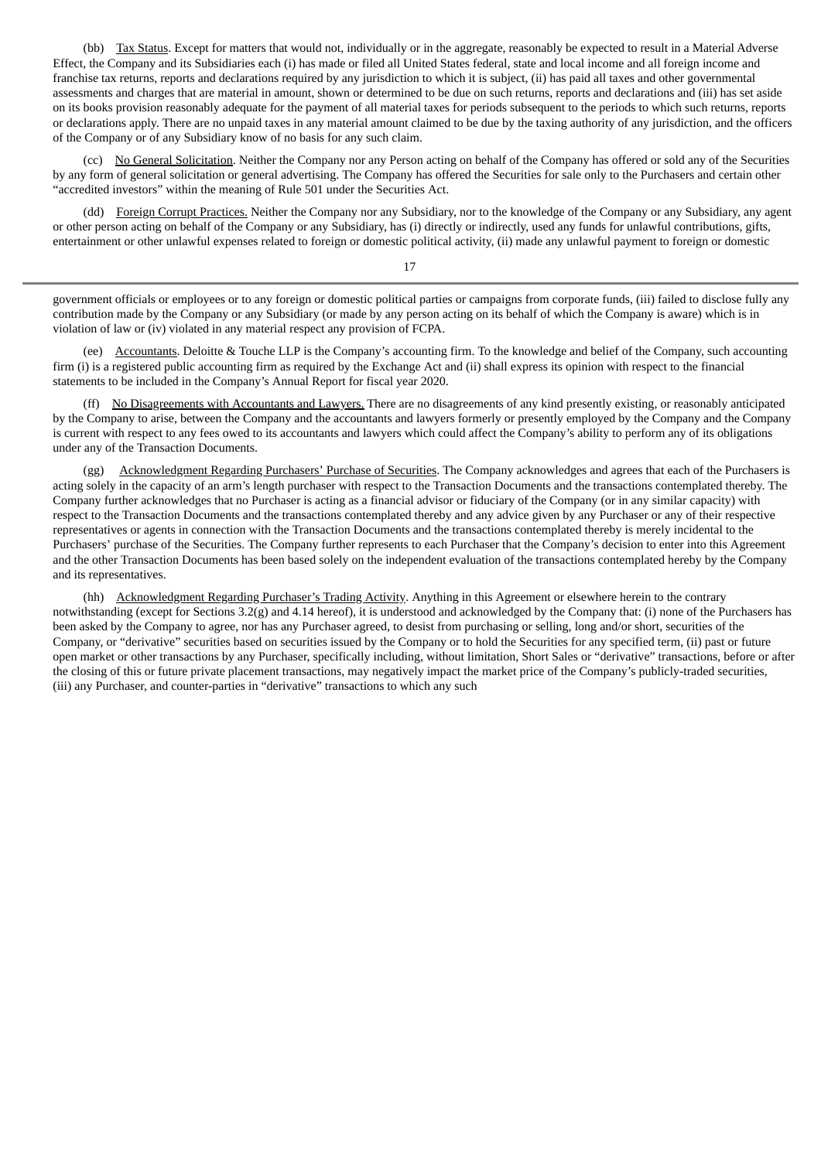(bb) Tax Status. Except for matters that would not, individually or in the aggregate, reasonably be expected to result in a Material Adverse Effect, the Company and its Subsidiaries each (i) has made or filed all United States federal, state and local income and all foreign income and franchise tax returns, reports and declarations required by any jurisdiction to which it is subject, (ii) has paid all taxes and other governmental assessments and charges that are material in amount, shown or determined to be due on such returns, reports and declarations and (iii) has set aside on its books provision reasonably adequate for the payment of all material taxes for periods subsequent to the periods to which such returns, reports or declarations apply. There are no unpaid taxes in any material amount claimed to be due by the taxing authority of any jurisdiction, and the officers of the Company or of any Subsidiary know of no basis for any such claim.

(cc) No General Solicitation. Neither the Company nor any Person acting on behalf of the Company has offered or sold any of the Securities by any form of general solicitation or general advertising. The Company has offered the Securities for sale only to the Purchasers and certain other "accredited investors" within the meaning of Rule 501 under the Securities Act.

(dd) Foreign Corrupt Practices. Neither the Company nor any Subsidiary, nor to the knowledge of the Company or any Subsidiary, any agent or other person acting on behalf of the Company or any Subsidiary, has (i) directly or indirectly, used any funds for unlawful contributions, gifts, entertainment or other unlawful expenses related to foreign or domestic political activity, (ii) made any unlawful payment to foreign or domestic

17

government officials or employees or to any foreign or domestic political parties or campaigns from corporate funds, (iii) failed to disclose fully any contribution made by the Company or any Subsidiary (or made by any person acting on its behalf of which the Company is aware) which is in violation of law or (iv) violated in any material respect any provision of FCPA.

(ee) Accountants. Deloitte & Touche LLP is the Company's accounting firm. To the knowledge and belief of the Company, such accounting firm (i) is a registered public accounting firm as required by the Exchange Act and (ii) shall express its opinion with respect to the financial statements to be included in the Company's Annual Report for fiscal year 2020.

(ff) No Disagreements with Accountants and Lawyers. There are no disagreements of any kind presently existing, or reasonably anticipated by the Company to arise, between the Company and the accountants and lawyers formerly or presently employed by the Company and the Company is current with respect to any fees owed to its accountants and lawyers which could affect the Company's ability to perform any of its obligations under any of the Transaction Documents.

(gg) Acknowledgment Regarding Purchasers' Purchase of Securities. The Company acknowledges and agrees that each of the Purchasers is acting solely in the capacity of an arm's length purchaser with respect to the Transaction Documents and the transactions contemplated thereby. The Company further acknowledges that no Purchaser is acting as a financial advisor or fiduciary of the Company (or in any similar capacity) with respect to the Transaction Documents and the transactions contemplated thereby and any advice given by any Purchaser or any of their respective representatives or agents in connection with the Transaction Documents and the transactions contemplated thereby is merely incidental to the Purchasers' purchase of the Securities. The Company further represents to each Purchaser that the Company's decision to enter into this Agreement and the other Transaction Documents has been based solely on the independent evaluation of the transactions contemplated hereby by the Company and its representatives.

(hh) Acknowledgment Regarding Purchaser's Trading Activity. Anything in this Agreement or elsewhere herein to the contrary notwithstanding (except for Sections 3.2(g) and 4.14 hereof), it is understood and acknowledged by the Company that: (i) none of the Purchasers has been asked by the Company to agree, nor has any Purchaser agreed, to desist from purchasing or selling, long and/or short, securities of the Company, or "derivative" securities based on securities issued by the Company or to hold the Securities for any specified term, (ii) past or future open market or other transactions by any Purchaser, specifically including, without limitation, Short Sales or "derivative" transactions, before or after the closing of this or future private placement transactions, may negatively impact the market price of the Company's publicly-traded securities, (iii) any Purchaser, and counter-parties in "derivative" transactions to which any such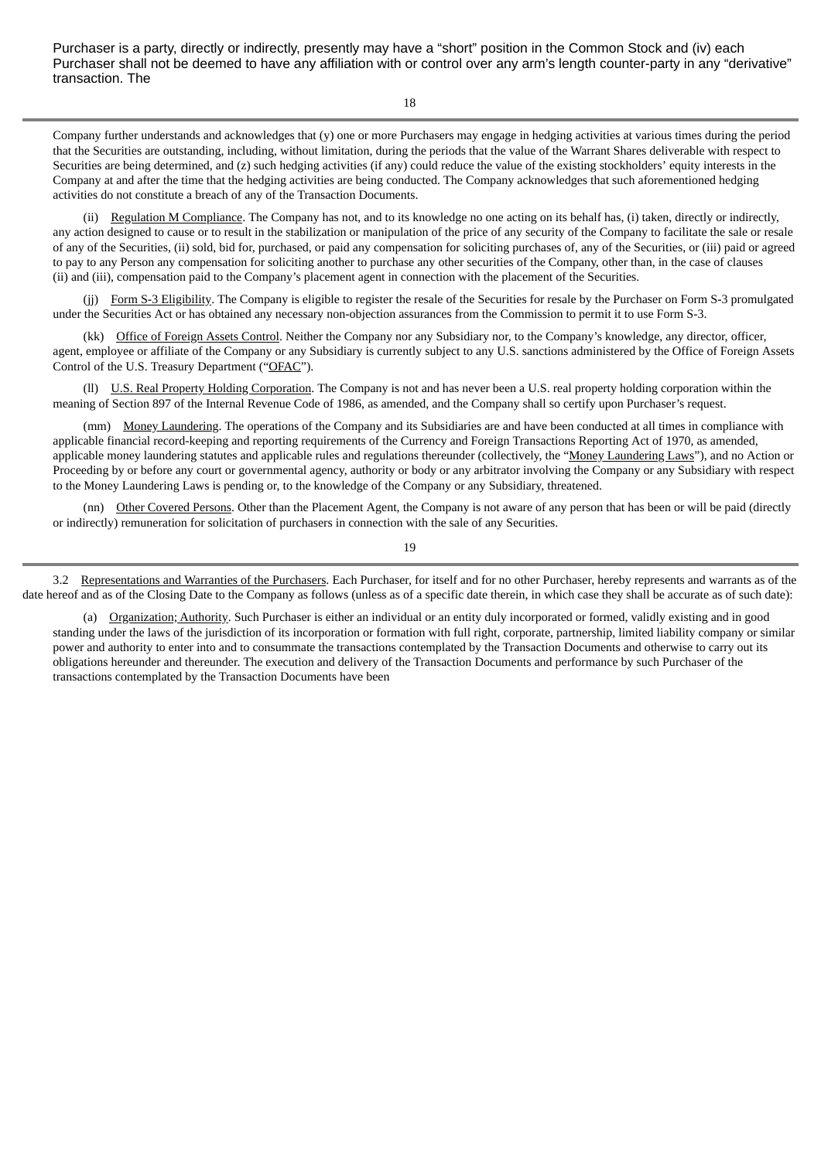Purchaser is a party, directly or indirectly, presently may have a "short" position in the Common Stock and (iv) each Purchaser shall not be deemed to have any affiliation with or control over any arm's length counter-party in any "derivative" transaction. The

18

Company further understands and acknowledges that (y) one or more Purchasers may engage in hedging activities at various times during the period that the Securities are outstanding, including, without limitation, during the periods that the value of the Warrant Shares deliverable with respect to Securities are being determined, and (z) such hedging activities (if any) could reduce the value of the existing stockholders' equity interests in the Company at and after the time that the hedging activities are being conducted. The Company acknowledges that such aforementioned hedging activities do not constitute a breach of any of the Transaction Documents.

(ii) Regulation M Compliance. The Company has not, and to its knowledge no one acting on its behalf has, (i) taken, directly or indirectly, any action designed to cause or to result in the stabilization or manipulation of the price of any security of the Company to facilitate the sale or resale of any of the Securities, (ii) sold, bid for, purchased, or paid any compensation for soliciting purchases of, any of the Securities, or (iii) paid or agreed to pay to any Person any compensation for soliciting another to purchase any other securities of the Company, other than, in the case of clauses (ii) and (iii), compensation paid to the Company's placement agent in connection with the placement of the Securities.

(ji) Form S-3 Eligibility. The Company is eligible to register the resale of the Securities for resale by the Purchaser on Form S-3 promulgated under the Securities Act or has obtained any necessary non-objection assurances from the Commission to permit it to use Form S-3.

(kk) Office of Foreign Assets Control. Neither the Company nor any Subsidiary nor, to the Company's knowledge, any director, officer, agent, employee or affiliate of the Company or any Subsidiary is currently subject to any U.S. sanctions administered by the Office of Foreign Assets Control of the U.S. Treasury Department ("OFAC").

(ll) U.S. Real Property Holding Corporation. The Company is not and has never been a U.S. real property holding corporation within the meaning of Section 897 of the Internal Revenue Code of 1986, as amended, and the Company shall so certify upon Purchaser's request.

(mm) Money Laundering. The operations of the Company and its Subsidiaries are and have been conducted at all times in compliance with applicable financial record-keeping and reporting requirements of the Currency and Foreign Transactions Reporting Act of 1970, as amended, applicable money laundering statutes and applicable rules and regulations thereunder (collectively, the "Money Laundering Laws"), and no Action or Proceeding by or before any court or governmental agency, authority or body or any arbitrator involving the Company or any Subsidiary with respect to the Money Laundering Laws is pending or, to the knowledge of the Company or any Subsidiary, threatened.

(nn) Other Covered Persons. Other than the Placement Agent, the Company is not aware of any person that has been or will be paid (directly or indirectly) remuneration for solicitation of purchasers in connection with the sale of any Securities.

19

3.2 Representations and Warranties of the Purchasers. Each Purchaser, for itself and for no other Purchaser, hereby represents and warrants as of the date hereof and as of the Closing Date to the Company as follows (unless as of a specific date therein, in which case they shall be accurate as of such date):

(a) Organization; Authority. Such Purchaser is either an individual or an entity duly incorporated or formed, validly existing and in good standing under the laws of the jurisdiction of its incorporation or formation with full right, corporate, partnership, limited liability company or similar power and authority to enter into and to consummate the transactions contemplated by the Transaction Documents and otherwise to carry out its obligations hereunder and thereunder. The execution and delivery of the Transaction Documents and performance by such Purchaser of the transactions contemplated by the Transaction Documents have been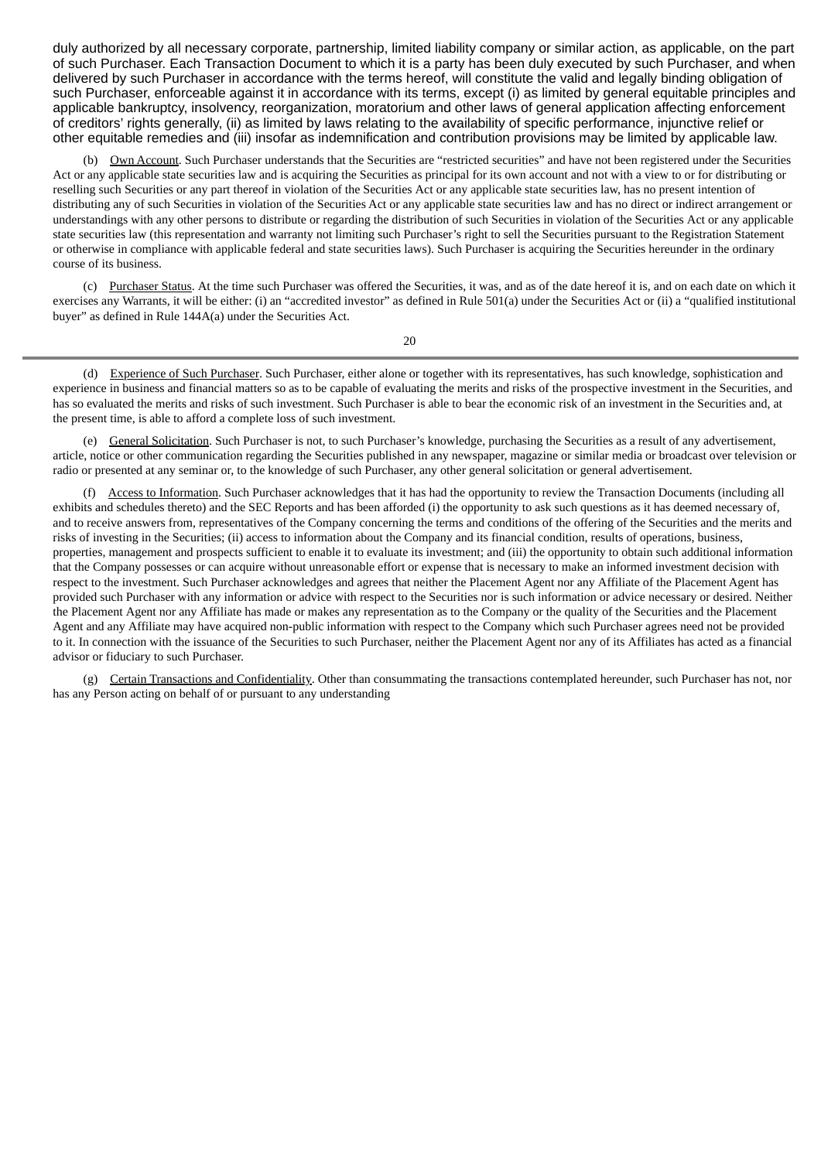duly authorized by all necessary corporate, partnership, limited liability company or similar action, as applicable, on the part of such Purchaser. Each Transaction Document to which it is a party has been duly executed by such Purchaser, and when delivered by such Purchaser in accordance with the terms hereof, will constitute the valid and legally binding obligation of such Purchaser, enforceable against it in accordance with its terms, except (i) as limited by general equitable principles and applicable bankruptcy, insolvency, reorganization, moratorium and other laws of general application affecting enforcement of creditors' rights generally, (ii) as limited by laws relating to the availability of specific performance, injunctive relief or other equitable remedies and (iii) insofar as indemnification and contribution provisions may be limited by applicable law.

(b) Own Account. Such Purchaser understands that the Securities are "restricted securities" and have not been registered under the Securities Act or any applicable state securities law and is acquiring the Securities as principal for its own account and not with a view to or for distributing or reselling such Securities or any part thereof in violation of the Securities Act or any applicable state securities law, has no present intention of distributing any of such Securities in violation of the Securities Act or any applicable state securities law and has no direct or indirect arrangement or understandings with any other persons to distribute or regarding the distribution of such Securities in violation of the Securities Act or any applicable state securities law (this representation and warranty not limiting such Purchaser's right to sell the Securities pursuant to the Registration Statement or otherwise in compliance with applicable federal and state securities laws). Such Purchaser is acquiring the Securities hereunder in the ordinary course of its business.

(c) Purchaser Status. At the time such Purchaser was offered the Securities, it was, and as of the date hereof it is, and on each date on which it exercises any Warrants, it will be either: (i) an "accredited investor" as defined in Rule 501(a) under the Securities Act or (ii) a "qualified institutional buyer" as defined in Rule 144A(a) under the Securities Act.

20

(d) Experience of Such Purchaser. Such Purchaser, either alone or together with its representatives, has such knowledge, sophistication and experience in business and financial matters so as to be capable of evaluating the merits and risks of the prospective investment in the Securities, and has so evaluated the merits and risks of such investment. Such Purchaser is able to bear the economic risk of an investment in the Securities and, at the present time, is able to afford a complete loss of such investment.

(e) General Solicitation. Such Purchaser is not, to such Purchaser's knowledge, purchasing the Securities as a result of any advertisement, article, notice or other communication regarding the Securities published in any newspaper, magazine or similar media or broadcast over television or radio or presented at any seminar or, to the knowledge of such Purchaser, any other general solicitation or general advertisement.

Access to Information. Such Purchaser acknowledges that it has had the opportunity to review the Transaction Documents (including all exhibits and schedules thereto) and the SEC Reports and has been afforded (i) the opportunity to ask such questions as it has deemed necessary of, and to receive answers from, representatives of the Company concerning the terms and conditions of the offering of the Securities and the merits and risks of investing in the Securities; (ii) access to information about the Company and its financial condition, results of operations, business, properties, management and prospects sufficient to enable it to evaluate its investment; and (iii) the opportunity to obtain such additional information that the Company possesses or can acquire without unreasonable effort or expense that is necessary to make an informed investment decision with respect to the investment. Such Purchaser acknowledges and agrees that neither the Placement Agent nor any Affiliate of the Placement Agent has provided such Purchaser with any information or advice with respect to the Securities nor is such information or advice necessary or desired. Neither the Placement Agent nor any Affiliate has made or makes any representation as to the Company or the quality of the Securities and the Placement Agent and any Affiliate may have acquired non-public information with respect to the Company which such Purchaser agrees need not be provided to it. In connection with the issuance of the Securities to such Purchaser, neither the Placement Agent nor any of its Affiliates has acted as a financial advisor or fiduciary to such Purchaser.

(g) Certain Transactions and Confidentiality. Other than consummating the transactions contemplated hereunder, such Purchaser has not, nor has any Person acting on behalf of or pursuant to any understanding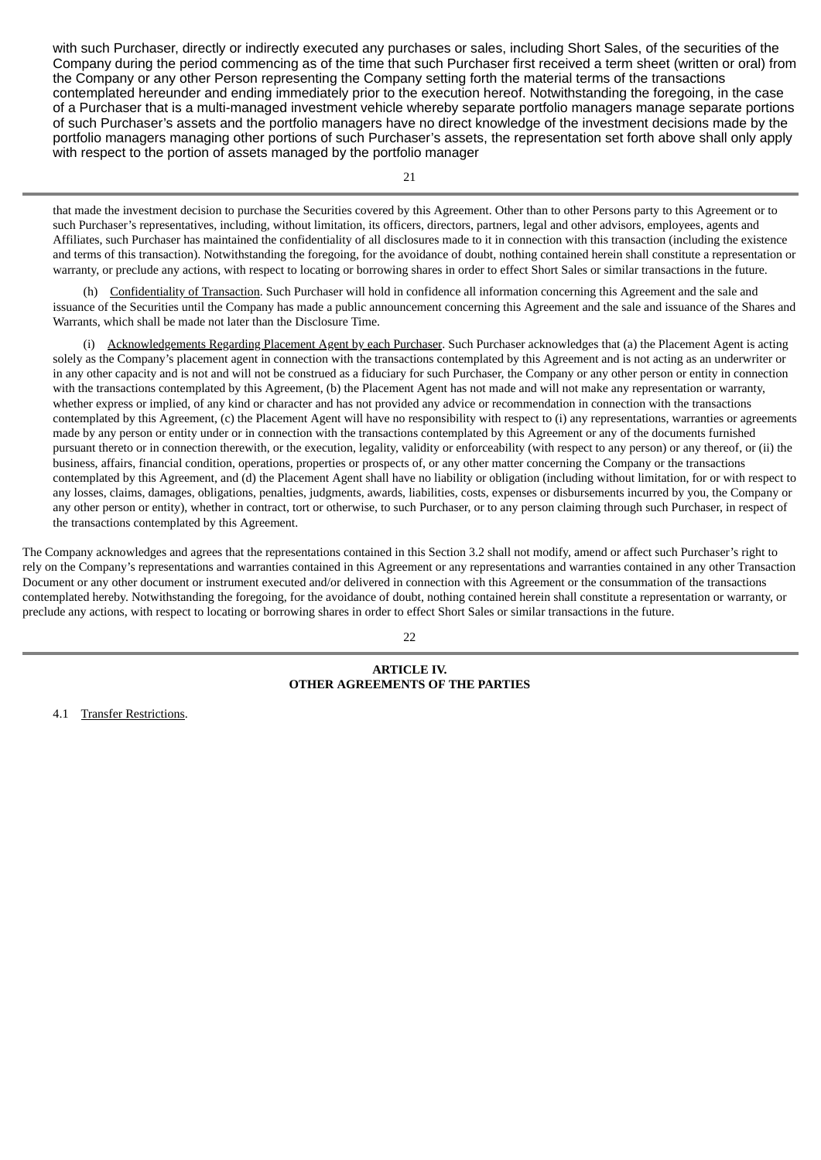with such Purchaser, directly or indirectly executed any purchases or sales, including Short Sales, of the securities of the Company during the period commencing as of the time that such Purchaser first received a term sheet (written or oral) from the Company or any other Person representing the Company setting forth the material terms of the transactions contemplated hereunder and ending immediately prior to the execution hereof. Notwithstanding the foregoing, in the case of a Purchaser that is a multi-managed investment vehicle whereby separate portfolio managers manage separate portions of such Purchaser's assets and the portfolio managers have no direct knowledge of the investment decisions made by the portfolio managers managing other portions of such Purchaser's assets, the representation set forth above shall only apply with respect to the portion of assets managed by the portfolio manager

that made the investment decision to purchase the Securities covered by this Agreement. Other than to other Persons party to this Agreement or to such Purchaser's representatives, including, without limitation, its officers, directors, partners, legal and other advisors, employees, agents and Affiliates, such Purchaser has maintained the confidentiality of all disclosures made to it in connection with this transaction (including the existence and terms of this transaction). Notwithstanding the foregoing, for the avoidance of doubt, nothing contained herein shall constitute a representation or warranty, or preclude any actions, with respect to locating or borrowing shares in order to effect Short Sales or similar transactions in the future.

(h) Confidentiality of Transaction. Such Purchaser will hold in confidence all information concerning this Agreement and the sale and issuance of the Securities until the Company has made a public announcement concerning this Agreement and the sale and issuance of the Shares and Warrants, which shall be made not later than the Disclosure Time.

(i) Acknowledgements Regarding Placement Agent by each Purchaser. Such Purchaser acknowledges that (a) the Placement Agent is acting solely as the Company's placement agent in connection with the transactions contemplated by this Agreement and is not acting as an underwriter or in any other capacity and is not and will not be construed as a fiduciary for such Purchaser, the Company or any other person or entity in connection with the transactions contemplated by this Agreement, (b) the Placement Agent has not made and will not make any representation or warranty, whether express or implied, of any kind or character and has not provided any advice or recommendation in connection with the transactions contemplated by this Agreement, (c) the Placement Agent will have no responsibility with respect to (i) any representations, warranties or agreements made by any person or entity under or in connection with the transactions contemplated by this Agreement or any of the documents furnished pursuant thereto or in connection therewith, or the execution, legality, validity or enforceability (with respect to any person) or any thereof, or (ii) the business, affairs, financial condition, operations, properties or prospects of, or any other matter concerning the Company or the transactions contemplated by this Agreement, and (d) the Placement Agent shall have no liability or obligation (including without limitation, for or with respect to any losses, claims, damages, obligations, penalties, judgments, awards, liabilities, costs, expenses or disbursements incurred by you, the Company or any other person or entity), whether in contract, tort or otherwise, to such Purchaser, or to any person claiming through such Purchaser, in respect of the transactions contemplated by this Agreement.

The Company acknowledges and agrees that the representations contained in this Section 3.2 shall not modify, amend or affect such Purchaser's right to rely on the Company's representations and warranties contained in this Agreement or any representations and warranties contained in any other Transaction Document or any other document or instrument executed and/or delivered in connection with this Agreement or the consummation of the transactions contemplated hereby. Notwithstanding the foregoing, for the avoidance of doubt, nothing contained herein shall constitute a representation or warranty, or preclude any actions, with respect to locating or borrowing shares in order to effect Short Sales or similar transactions in the future.

22

### **ARTICLE IV. OTHER AGREEMENTS OF THE PARTIES**

4.1 Transfer Restrictions.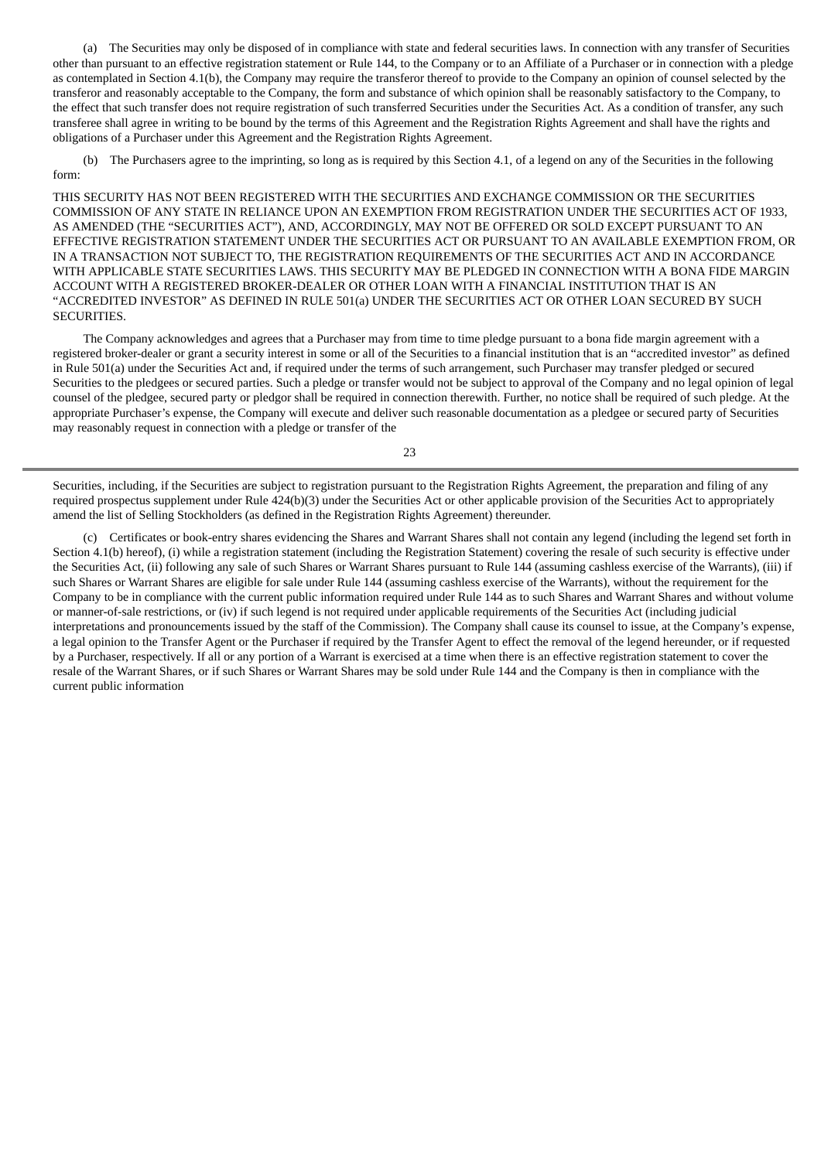(a) The Securities may only be disposed of in compliance with state and federal securities laws. In connection with any transfer of Securities other than pursuant to an effective registration statement or Rule 144, to the Company or to an Affiliate of a Purchaser or in connection with a pledge as contemplated in Section 4.1(b), the Company may require the transferor thereof to provide to the Company an opinion of counsel selected by the transferor and reasonably acceptable to the Company, the form and substance of which opinion shall be reasonably satisfactory to the Company, to the effect that such transfer does not require registration of such transferred Securities under the Securities Act. As a condition of transfer, any such transferee shall agree in writing to be bound by the terms of this Agreement and the Registration Rights Agreement and shall have the rights and obligations of a Purchaser under this Agreement and the Registration Rights Agreement.

(b) The Purchasers agree to the imprinting, so long as is required by this Section 4.1, of a legend on any of the Securities in the following form:

THIS SECURITY HAS NOT BEEN REGISTERED WITH THE SECURITIES AND EXCHANGE COMMISSION OR THE SECURITIES COMMISSION OF ANY STATE IN RELIANCE UPON AN EXEMPTION FROM REGISTRATION UNDER THE SECURITIES ACT OF 1933, AS AMENDED (THE "SECURITIES ACT"), AND, ACCORDINGLY, MAY NOT BE OFFERED OR SOLD EXCEPT PURSUANT TO AN EFFECTIVE REGISTRATION STATEMENT UNDER THE SECURITIES ACT OR PURSUANT TO AN AVAILABLE EXEMPTION FROM, OR IN A TRANSACTION NOT SUBJECT TO, THE REGISTRATION REQUIREMENTS OF THE SECURITIES ACT AND IN ACCORDANCE WITH APPLICABLE STATE SECURITIES LAWS. THIS SECURITY MAY BE PLEDGED IN CONNECTION WITH A BONA FIDE MARGIN ACCOUNT WITH A REGISTERED BROKER-DEALER OR OTHER LOAN WITH A FINANCIAL INSTITUTION THAT IS AN "ACCREDITED INVESTOR" AS DEFINED IN RULE 501(a) UNDER THE SECURITIES ACT OR OTHER LOAN SECURED BY SUCH SECURITIES.

The Company acknowledges and agrees that a Purchaser may from time to time pledge pursuant to a bona fide margin agreement with a registered broker-dealer or grant a security interest in some or all of the Securities to a financial institution that is an "accredited investor" as defined in Rule 501(a) under the Securities Act and, if required under the terms of such arrangement, such Purchaser may transfer pledged or secured Securities to the pledgees or secured parties. Such a pledge or transfer would not be subject to approval of the Company and no legal opinion of legal counsel of the pledgee, secured party or pledgor shall be required in connection therewith. Further, no notice shall be required of such pledge. At the appropriate Purchaser's expense, the Company will execute and deliver such reasonable documentation as a pledgee or secured party of Securities may reasonably request in connection with a pledge or transfer of the

23

Securities, including, if the Securities are subject to registration pursuant to the Registration Rights Agreement, the preparation and filing of any required prospectus supplement under Rule 424(b)(3) under the Securities Act or other applicable provision of the Securities Act to appropriately amend the list of Selling Stockholders (as defined in the Registration Rights Agreement) thereunder.

(c) Certificates or book-entry shares evidencing the Shares and Warrant Shares shall not contain any legend (including the legend set forth in Section 4.1(b) hereof), (i) while a registration statement (including the Registration Statement) covering the resale of such security is effective under the Securities Act, (ii) following any sale of such Shares or Warrant Shares pursuant to Rule 144 (assuming cashless exercise of the Warrants), (iii) if such Shares or Warrant Shares are eligible for sale under Rule 144 (assuming cashless exercise of the Warrants), without the requirement for the Company to be in compliance with the current public information required under Rule 144 as to such Shares and Warrant Shares and without volume or manner-of-sale restrictions, or (iv) if such legend is not required under applicable requirements of the Securities Act (including judicial interpretations and pronouncements issued by the staff of the Commission). The Company shall cause its counsel to issue, at the Company's expense, a legal opinion to the Transfer Agent or the Purchaser if required by the Transfer Agent to effect the removal of the legend hereunder, or if requested by a Purchaser, respectively. If all or any portion of a Warrant is exercised at a time when there is an effective registration statement to cover the resale of the Warrant Shares, or if such Shares or Warrant Shares may be sold under Rule 144 and the Company is then in compliance with the current public information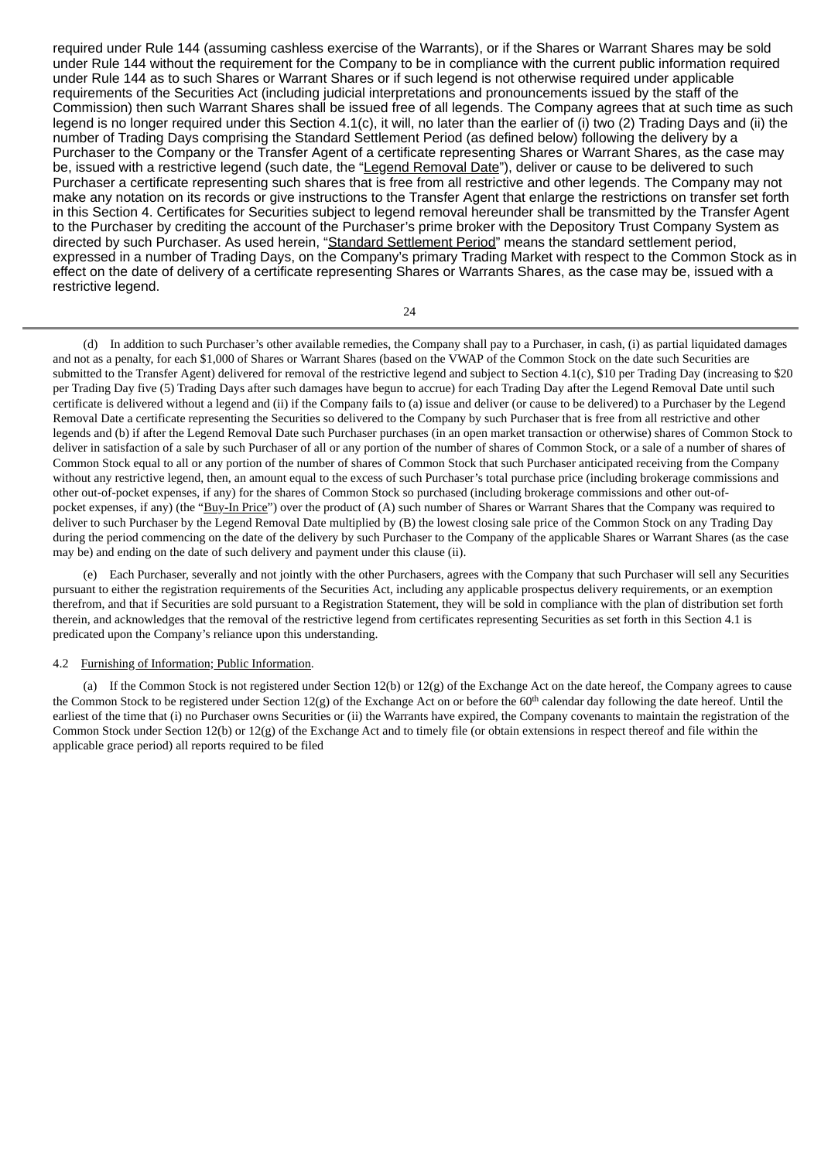required under Rule 144 (assuming cashless exercise of the Warrants), or if the Shares or Warrant Shares may be sold under Rule 144 without the requirement for the Company to be in compliance with the current public information required under Rule 144 as to such Shares or Warrant Shares or if such legend is not otherwise required under applicable requirements of the Securities Act (including judicial interpretations and pronouncements issued by the staff of the Commission) then such Warrant Shares shall be issued free of all legends. The Company agrees that at such time as such legend is no longer required under this Section 4.1(c), it will, no later than the earlier of (i) two (2) Trading Days and (ii) the number of Trading Days comprising the Standard Settlement Period (as defined below) following the delivery by a Purchaser to the Company or the Transfer Agent of a certificate representing Shares or Warrant Shares, as the case may be, issued with a restrictive legend (such date, the "Legend Removal Date"), deliver or cause to be delivered to such Purchaser a certificate representing such shares that is free from all restrictive and other legends. The Company may not make any notation on its records or give instructions to the Transfer Agent that enlarge the restrictions on transfer set forth in this Section 4. Certificates for Securities subject to legend removal hereunder shall be transmitted by the Transfer Agent to the Purchaser by crediting the account of the Purchaser's prime broker with the Depository Trust Company System as directed by such Purchaser. As used herein, "Standard Settlement Period" means the standard settlement period, expressed in a number of Trading Days, on the Company's primary Trading Market with respect to the Common Stock as in effect on the date of delivery of a certificate representing Shares or Warrants Shares, as the case may be, issued with a restrictive legend.

24

(d) In addition to such Purchaser's other available remedies, the Company shall pay to a Purchaser, in cash, (i) as partial liquidated damages and not as a penalty, for each \$1,000 of Shares or Warrant Shares (based on the VWAP of the Common Stock on the date such Securities are submitted to the Transfer Agent) delivered for removal of the restrictive legend and subject to Section 4.1(c), \$10 per Trading Day (increasing to \$20 per Trading Day five (5) Trading Days after such damages have begun to accrue) for each Trading Day after the Legend Removal Date until such certificate is delivered without a legend and (ii) if the Company fails to (a) issue and deliver (or cause to be delivered) to a Purchaser by the Legend Removal Date a certificate representing the Securities so delivered to the Company by such Purchaser that is free from all restrictive and other legends and (b) if after the Legend Removal Date such Purchaser purchases (in an open market transaction or otherwise) shares of Common Stock to deliver in satisfaction of a sale by such Purchaser of all or any portion of the number of shares of Common Stock, or a sale of a number of shares of Common Stock equal to all or any portion of the number of shares of Common Stock that such Purchaser anticipated receiving from the Company without any restrictive legend, then, an amount equal to the excess of such Purchaser's total purchase price (including brokerage commissions and other out-of-pocket expenses, if any) for the shares of Common Stock so purchased (including brokerage commissions and other out-ofpocket expenses, if any) (the "Buy-In Price") over the product of (A) such number of Shares or Warrant Shares that the Company was required to deliver to such Purchaser by the Legend Removal Date multiplied by (B) the lowest closing sale price of the Common Stock on any Trading Day during the period commencing on the date of the delivery by such Purchaser to the Company of the applicable Shares or Warrant Shares (as the case may be) and ending on the date of such delivery and payment under this clause (ii).

(e) Each Purchaser, severally and not jointly with the other Purchasers, agrees with the Company that such Purchaser will sell any Securities pursuant to either the registration requirements of the Securities Act, including any applicable prospectus delivery requirements, or an exemption therefrom, and that if Securities are sold pursuant to a Registration Statement, they will be sold in compliance with the plan of distribution set forth therein, and acknowledges that the removal of the restrictive legend from certificates representing Securities as set forth in this Section 4.1 is predicated upon the Company's reliance upon this understanding.

#### 4.2 Furnishing of Information; Public Information.

(a) If the Common Stock is not registered under Section 12(b) or 12(g) of the Exchange Act on the date hereof, the Company agrees to cause the Common Stock to be registered under Section 12(g) of the Exchange Act on or before the  $60<sup>th</sup>$  calendar day following the date hereof. Until the earliest of the time that (i) no Purchaser owns Securities or (ii) the Warrants have expired, the Company covenants to maintain the registration of the Common Stock under Section 12(b) or 12(g) of the Exchange Act and to timely file (or obtain extensions in respect thereof and file within the applicable grace period) all reports required to be filed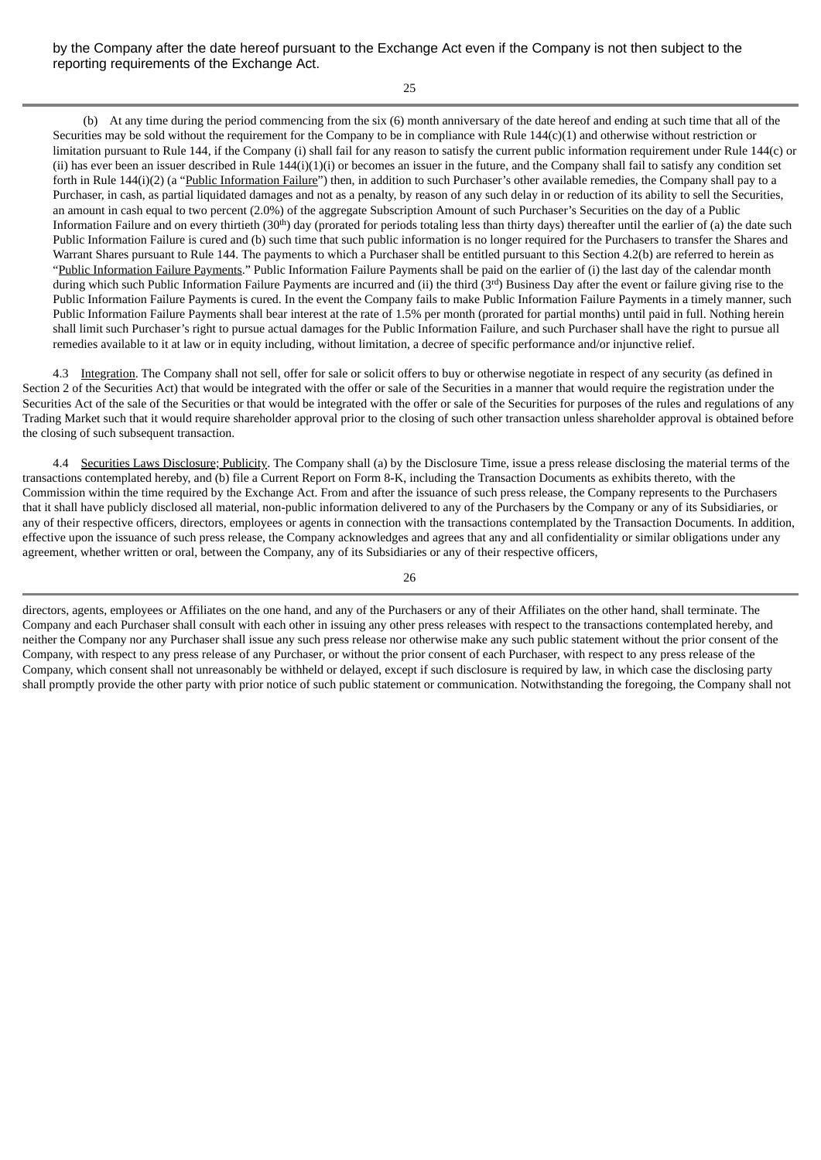25

(b) At any time during the period commencing from the six (6) month anniversary of the date hereof and ending at such time that all of the Securities may be sold without the requirement for the Company to be in compliance with Rule 144(c)(1) and otherwise without restriction or limitation pursuant to Rule 144, if the Company (i) shall fail for any reason to satisfy the current public information requirement under Rule 144(c) or (ii) has ever been an issuer described in Rule  $144(i)(1)(i)$  or becomes an issuer in the future, and the Company shall fail to satisfy any condition set forth in Rule 144(i)(2) (a "Public Information Failure") then, in addition to such Purchaser's other available remedies, the Company shall pay to a Purchaser, in cash, as partial liquidated damages and not as a penalty, by reason of any such delay in or reduction of its ability to sell the Securities, an amount in cash equal to two percent (2.0%) of the aggregate Subscription Amount of such Purchaser's Securities on the day of a Public Information Failure and on every thirtieth (30<sup>th</sup>) day (prorated for periods totaling less than thirty days) thereafter until the earlier of (a) the date such Public Information Failure is cured and (b) such time that such public information is no longer required for the Purchasers to transfer the Shares and Warrant Shares pursuant to Rule 144. The payments to which a Purchaser shall be entitled pursuant to this Section 4.2(b) are referred to herein as "Public Information Failure Payments." Public Information Failure Payments shall be paid on the earlier of (i) the last day of the calendar month during which such Public Information Failure Payments are incurred and (ii) the third (3<sup>rd</sup>) Business Day after the event or failure giving rise to the Public Information Failure Payments is cured. In the event the Company fails to make Public Information Failure Payments in a timely manner, such Public Information Failure Payments shall bear interest at the rate of 1.5% per month (prorated for partial months) until paid in full. Nothing herein shall limit such Purchaser's right to pursue actual damages for the Public Information Failure, and such Purchaser shall have the right to pursue all remedies available to it at law or in equity including, without limitation, a decree of specific performance and/or injunctive relief.

4.3 Integration. The Company shall not sell, offer for sale or solicit offers to buy or otherwise negotiate in respect of any security (as defined in Section 2 of the Securities Act) that would be integrated with the offer or sale of the Securities in a manner that would require the registration under the Securities Act of the sale of the Securities or that would be integrated with the offer or sale of the Securities for purposes of the rules and regulations of any Trading Market such that it would require shareholder approval prior to the closing of such other transaction unless shareholder approval is obtained before the closing of such subsequent transaction.

4.4 Securities Laws Disclosure; Publicity. The Company shall (a) by the Disclosure Time, issue a press release disclosing the material terms of the transactions contemplated hereby, and (b) file a Current Report on Form 8-K, including the Transaction Documents as exhibits thereto, with the Commission within the time required by the Exchange Act. From and after the issuance of such press release, the Company represents to the Purchasers that it shall have publicly disclosed all material, non-public information delivered to any of the Purchasers by the Company or any of its Subsidiaries, or any of their respective officers, directors, employees or agents in connection with the transactions contemplated by the Transaction Documents. In addition, effective upon the issuance of such press release, the Company acknowledges and agrees that any and all confidentiality or similar obligations under any agreement, whether written or oral, between the Company, any of its Subsidiaries or any of their respective officers,

26

directors, agents, employees or Affiliates on the one hand, and any of the Purchasers or any of their Affiliates on the other hand, shall terminate. The Company and each Purchaser shall consult with each other in issuing any other press releases with respect to the transactions contemplated hereby, and neither the Company nor any Purchaser shall issue any such press release nor otherwise make any such public statement without the prior consent of the Company, with respect to any press release of any Purchaser, or without the prior consent of each Purchaser, with respect to any press release of the Company, which consent shall not unreasonably be withheld or delayed, except if such disclosure is required by law, in which case the disclosing party shall promptly provide the other party with prior notice of such public statement or communication. Notwithstanding the foregoing, the Company shall not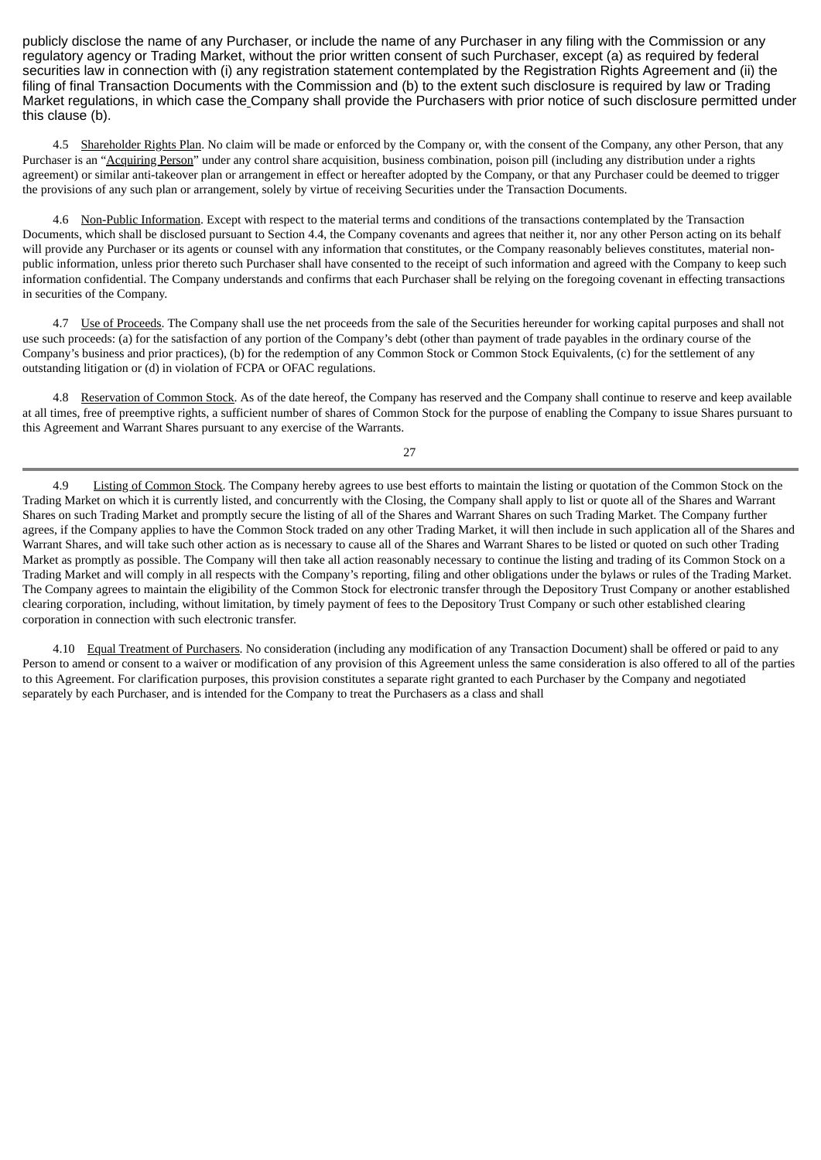publicly disclose the name of any Purchaser, or include the name of any Purchaser in any filing with the Commission or any regulatory agency or Trading Market, without the prior written consent of such Purchaser, except (a) as required by federal securities law in connection with (i) any registration statement contemplated by the Registration Rights Agreement and (ii) the filing of final Transaction Documents with the Commission and (b) to the extent such disclosure is required by law or Trading Market regulations, in which case the Company shall provide the Purchasers with prior notice of such disclosure permitted under this clause (b).

4.5 Shareholder Rights Plan. No claim will be made or enforced by the Company or, with the consent of the Company, any other Person, that any Purchaser is an "Acquiring Person" under any control share acquisition, business combination, poison pill (including any distribution under a rights agreement) or similar anti-takeover plan or arrangement in effect or hereafter adopted by the Company, or that any Purchaser could be deemed to trigger the provisions of any such plan or arrangement, solely by virtue of receiving Securities under the Transaction Documents.

4.6 Non-Public Information. Except with respect to the material terms and conditions of the transactions contemplated by the Transaction Documents, which shall be disclosed pursuant to Section 4.4, the Company covenants and agrees that neither it, nor any other Person acting on its behalf will provide any Purchaser or its agents or counsel with any information that constitutes, or the Company reasonably believes constitutes, material nonpublic information, unless prior thereto such Purchaser shall have consented to the receipt of such information and agreed with the Company to keep such information confidential. The Company understands and confirms that each Purchaser shall be relying on the foregoing covenant in effecting transactions in securities of the Company.

4.7 Use of Proceeds. The Company shall use the net proceeds from the sale of the Securities hereunder for working capital purposes and shall not use such proceeds: (a) for the satisfaction of any portion of the Company's debt (other than payment of trade payables in the ordinary course of the Company's business and prior practices), (b) for the redemption of any Common Stock or Common Stock Equivalents, (c) for the settlement of any outstanding litigation or (d) in violation of FCPA or OFAC regulations.

4.8 Reservation of Common Stock. As of the date hereof, the Company has reserved and the Company shall continue to reserve and keep available at all times, free of preemptive rights, a sufficient number of shares of Common Stock for the purpose of enabling the Company to issue Shares pursuant to this Agreement and Warrant Shares pursuant to any exercise of the Warrants.

27

4.9 Listing of Common Stock. The Company hereby agrees to use best efforts to maintain the listing or quotation of the Common Stock on the Trading Market on which it is currently listed, and concurrently with the Closing, the Company shall apply to list or quote all of the Shares and Warrant Shares on such Trading Market and promptly secure the listing of all of the Shares and Warrant Shares on such Trading Market. The Company further agrees, if the Company applies to have the Common Stock traded on any other Trading Market, it will then include in such application all of the Shares and Warrant Shares, and will take such other action as is necessary to cause all of the Shares and Warrant Shares to be listed or quoted on such other Trading Market as promptly as possible. The Company will then take all action reasonably necessary to continue the listing and trading of its Common Stock on a Trading Market and will comply in all respects with the Company's reporting, filing and other obligations under the bylaws or rules of the Trading Market. The Company agrees to maintain the eligibility of the Common Stock for electronic transfer through the Depository Trust Company or another established clearing corporation, including, without limitation, by timely payment of fees to the Depository Trust Company or such other established clearing corporation in connection with such electronic transfer.

4.10 Equal Treatment of Purchasers. No consideration (including any modification of any Transaction Document) shall be offered or paid to any Person to amend or consent to a waiver or modification of any provision of this Agreement unless the same consideration is also offered to all of the parties to this Agreement. For clarification purposes, this provision constitutes a separate right granted to each Purchaser by the Company and negotiated separately by each Purchaser, and is intended for the Company to treat the Purchasers as a class and shall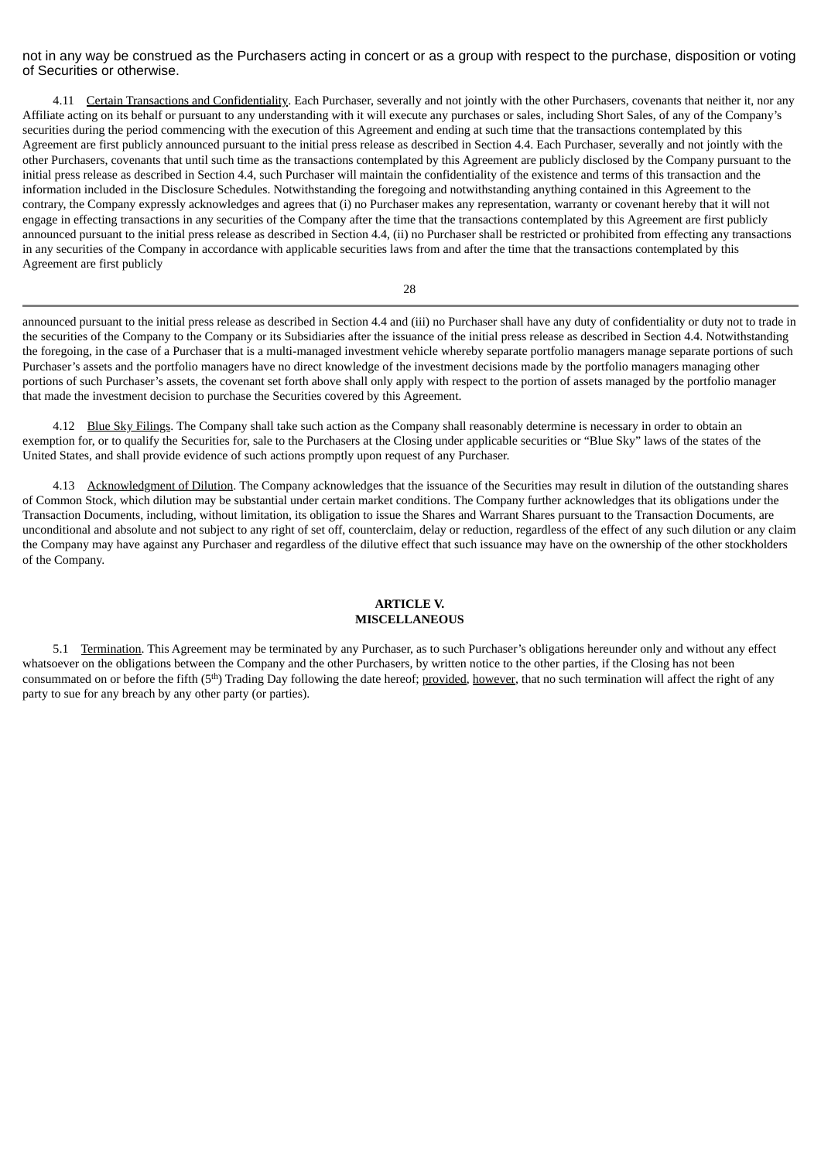not in any way be construed as the Purchasers acting in concert or as a group with respect to the purchase, disposition or voting of Securities or otherwise.

4.11 Certain Transactions and Confidentiality. Each Purchaser, severally and not jointly with the other Purchasers, covenants that neither it, nor any Affiliate acting on its behalf or pursuant to any understanding with it will execute any purchases or sales, including Short Sales, of any of the Company's securities during the period commencing with the execution of this Agreement and ending at such time that the transactions contemplated by this Agreement are first publicly announced pursuant to the initial press release as described in Section 4.4. Each Purchaser, severally and not jointly with the other Purchasers, covenants that until such time as the transactions contemplated by this Agreement are publicly disclosed by the Company pursuant to the initial press release as described in Section 4.4, such Purchaser will maintain the confidentiality of the existence and terms of this transaction and the information included in the Disclosure Schedules. Notwithstanding the foregoing and notwithstanding anything contained in this Agreement to the contrary, the Company expressly acknowledges and agrees that (i) no Purchaser makes any representation, warranty or covenant hereby that it will not engage in effecting transactions in any securities of the Company after the time that the transactions contemplated by this Agreement are first publicly announced pursuant to the initial press release as described in Section 4.4, (ii) no Purchaser shall be restricted or prohibited from effecting any transactions in any securities of the Company in accordance with applicable securities laws from and after the time that the transactions contemplated by this Agreement are first publicly

28

announced pursuant to the initial press release as described in Section 4.4 and (iii) no Purchaser shall have any duty of confidentiality or duty not to trade in the securities of the Company to the Company or its Subsidiaries after the issuance of the initial press release as described in Section 4.4. Notwithstanding the foregoing, in the case of a Purchaser that is a multi-managed investment vehicle whereby separate portfolio managers manage separate portions of such Purchaser's assets and the portfolio managers have no direct knowledge of the investment decisions made by the portfolio managers managing other portions of such Purchaser's assets, the covenant set forth above shall only apply with respect to the portion of assets managed by the portfolio manager that made the investment decision to purchase the Securities covered by this Agreement.

4.12 Blue Sky Filings. The Company shall take such action as the Company shall reasonably determine is necessary in order to obtain an exemption for, or to qualify the Securities for, sale to the Purchasers at the Closing under applicable securities or "Blue Sky" laws of the states of the United States, and shall provide evidence of such actions promptly upon request of any Purchaser.

4.13 Acknowledgment of Dilution. The Company acknowledges that the issuance of the Securities may result in dilution of the outstanding shares of Common Stock, which dilution may be substantial under certain market conditions. The Company further acknowledges that its obligations under the Transaction Documents, including, without limitation, its obligation to issue the Shares and Warrant Shares pursuant to the Transaction Documents, are unconditional and absolute and not subject to any right of set off, counterclaim, delay or reduction, regardless of the effect of any such dilution or any claim the Company may have against any Purchaser and regardless of the dilutive effect that such issuance may have on the ownership of the other stockholders of the Company.

# **ARTICLE V. MISCELLANEOUS**

5.1 Termination. This Agreement may be terminated by any Purchaser, as to such Purchaser's obligations hereunder only and without any effect whatsoever on the obligations between the Company and the other Purchasers, by written notice to the other parties, if the Closing has not been consummated on or before the fifth (5<sup>th</sup>) Trading Day following the date hereof; provided, however, that no such termination will affect the right of any party to sue for any breach by any other party (or parties).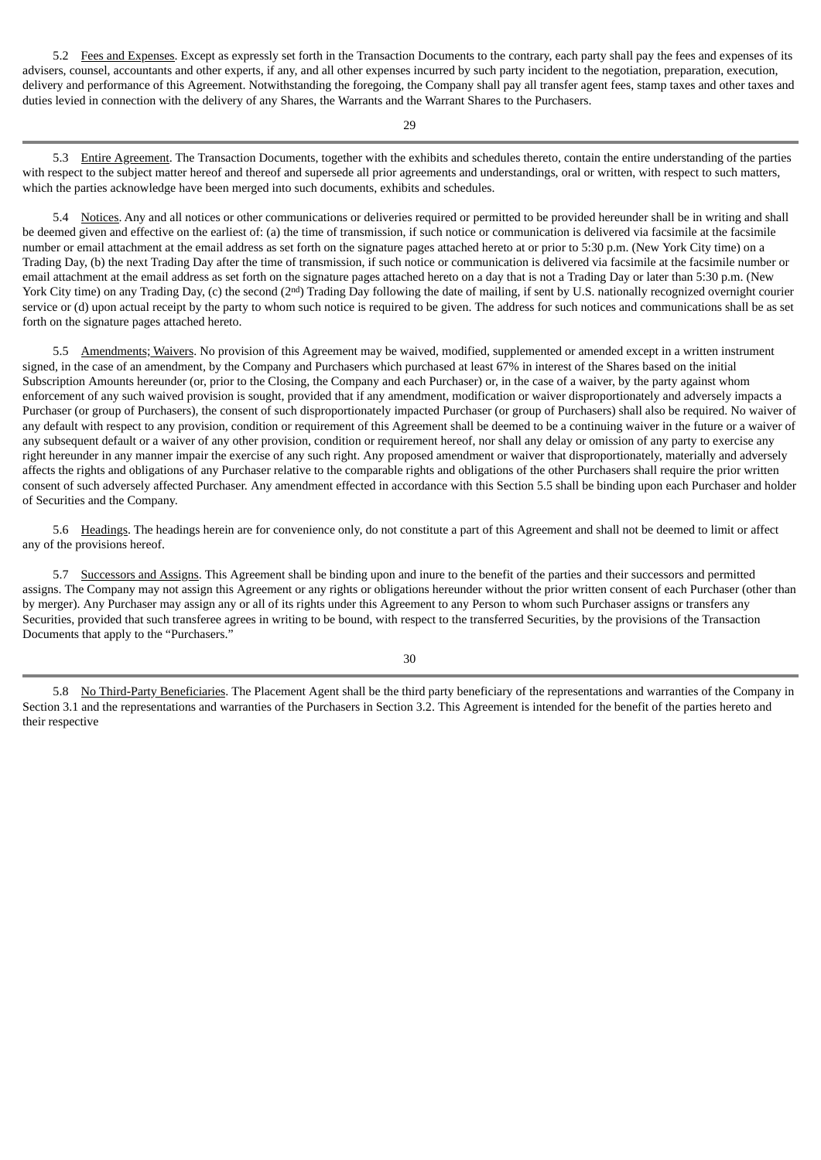5.2 Fees and Expenses. Except as expressly set forth in the Transaction Documents to the contrary, each party shall pay the fees and expenses of its advisers, counsel, accountants and other experts, if any, and all other expenses incurred by such party incident to the negotiation, preparation, execution, delivery and performance of this Agreement. Notwithstanding the foregoing, the Company shall pay all transfer agent fees, stamp taxes and other taxes and duties levied in connection with the delivery of any Shares, the Warrants and the Warrant Shares to the Purchasers.

 $29$ 

5.3 Entire Agreement. The Transaction Documents, together with the exhibits and schedules thereto, contain the entire understanding of the parties with respect to the subject matter hereof and thereof and supersede all prior agreements and understandings, oral or written, with respect to such matters, which the parties acknowledge have been merged into such documents, exhibits and schedules.

5.4 Notices. Any and all notices or other communications or deliveries required or permitted to be provided hereunder shall be in writing and shall be deemed given and effective on the earliest of: (a) the time of transmission, if such notice or communication is delivered via facsimile at the facsimile number or email attachment at the email address as set forth on the signature pages attached hereto at or prior to 5:30 p.m. (New York City time) on a Trading Day, (b) the next Trading Day after the time of transmission, if such notice or communication is delivered via facsimile at the facsimile number or email attachment at the email address as set forth on the signature pages attached hereto on a day that is not a Trading Day or later than 5:30 p.m. (New York City time) on any Trading Day, (c) the second (2<sup>nd</sup>) Trading Day following the date of mailing, if sent by U.S. nationally recognized overnight courier service or (d) upon actual receipt by the party to whom such notice is required to be given. The address for such notices and communications shall be as set forth on the signature pages attached hereto.

5.5 Amendments; Waivers. No provision of this Agreement may be waived, modified, supplemented or amended except in a written instrument signed, in the case of an amendment, by the Company and Purchasers which purchased at least 67% in interest of the Shares based on the initial Subscription Amounts hereunder (or, prior to the Closing, the Company and each Purchaser) or, in the case of a waiver, by the party against whom enforcement of any such waived provision is sought, provided that if any amendment, modification or waiver disproportionately and adversely impacts a Purchaser (or group of Purchasers), the consent of such disproportionately impacted Purchaser (or group of Purchasers) shall also be required. No waiver of any default with respect to any provision, condition or requirement of this Agreement shall be deemed to be a continuing waiver in the future or a waiver of any subsequent default or a waiver of any other provision, condition or requirement hereof, nor shall any delay or omission of any party to exercise any right hereunder in any manner impair the exercise of any such right. Any proposed amendment or waiver that disproportionately, materially and adversely affects the rights and obligations of any Purchaser relative to the comparable rights and obligations of the other Purchasers shall require the prior written consent of such adversely affected Purchaser. Any amendment effected in accordance with this Section 5.5 shall be binding upon each Purchaser and holder of Securities and the Company.

5.6 Headings. The headings herein are for convenience only, do not constitute a part of this Agreement and shall not be deemed to limit or affect any of the provisions hereof.

5.7 Successors and Assigns. This Agreement shall be binding upon and inure to the benefit of the parties and their successors and permitted assigns. The Company may not assign this Agreement or any rights or obligations hereunder without the prior written consent of each Purchaser (other than by merger). Any Purchaser may assign any or all of its rights under this Agreement to any Person to whom such Purchaser assigns or transfers any Securities, provided that such transferee agrees in writing to be bound, with respect to the transferred Securities, by the provisions of the Transaction Documents that apply to the "Purchasers."

5.8 No Third-Party Beneficiaries. The Placement Agent shall be the third party beneficiary of the representations and warranties of the Company in Section 3.1 and the representations and warranties of the Purchasers in Section 3.2. This Agreement is intended for the benefit of the parties hereto and their respective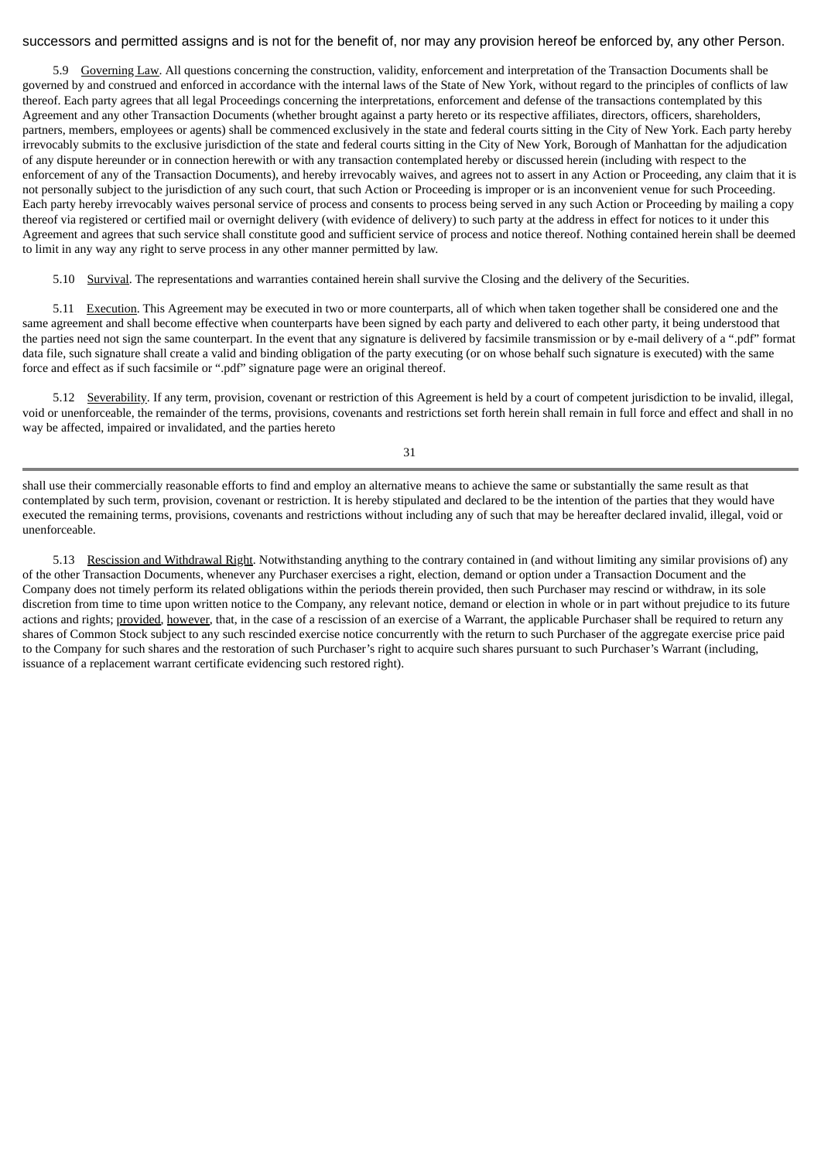# successors and permitted assigns and is not for the benefit of, nor may any provision hereof be enforced by, any other Person.

5.9 Governing Law. All questions concerning the construction, validity, enforcement and interpretation of the Transaction Documents shall be governed by and construed and enforced in accordance with the internal laws of the State of New York, without regard to the principles of conflicts of law thereof. Each party agrees that all legal Proceedings concerning the interpretations, enforcement and defense of the transactions contemplated by this Agreement and any other Transaction Documents (whether brought against a party hereto or its respective affiliates, directors, officers, shareholders, partners, members, employees or agents) shall be commenced exclusively in the state and federal courts sitting in the City of New York. Each party hereby irrevocably submits to the exclusive jurisdiction of the state and federal courts sitting in the City of New York, Borough of Manhattan for the adjudication of any dispute hereunder or in connection herewith or with any transaction contemplated hereby or discussed herein (including with respect to the enforcement of any of the Transaction Documents), and hereby irrevocably waives, and agrees not to assert in any Action or Proceeding, any claim that it is not personally subject to the jurisdiction of any such court, that such Action or Proceeding is improper or is an inconvenient venue for such Proceeding. Each party hereby irrevocably waives personal service of process and consents to process being served in any such Action or Proceeding by mailing a copy thereof via registered or certified mail or overnight delivery (with evidence of delivery) to such party at the address in effect for notices to it under this Agreement and agrees that such service shall constitute good and sufficient service of process and notice thereof. Nothing contained herein shall be deemed to limit in any way any right to serve process in any other manner permitted by law.

5.10 Survival. The representations and warranties contained herein shall survive the Closing and the delivery of the Securities.

5.11 Execution. This Agreement may be executed in two or more counterparts, all of which when taken together shall be considered one and the same agreement and shall become effective when counterparts have been signed by each party and delivered to each other party, it being understood that the parties need not sign the same counterpart. In the event that any signature is delivered by facsimile transmission or by e-mail delivery of a ".pdf" format data file, such signature shall create a valid and binding obligation of the party executing (or on whose behalf such signature is executed) with the same force and effect as if such facsimile or ".pdf" signature page were an original thereof.

5.12 Severability. If any term, provision, covenant or restriction of this Agreement is held by a court of competent jurisdiction to be invalid, illegal, void or unenforceable, the remainder of the terms, provisions, covenants and restrictions set forth herein shall remain in full force and effect and shall in no way be affected, impaired or invalidated, and the parties hereto

31

shall use their commercially reasonable efforts to find and employ an alternative means to achieve the same or substantially the same result as that contemplated by such term, provision, covenant or restriction. It is hereby stipulated and declared to be the intention of the parties that they would have executed the remaining terms, provisions, covenants and restrictions without including any of such that may be hereafter declared invalid, illegal, void or unenforceable.

5.13 Rescission and Withdrawal Right. Notwithstanding anything to the contrary contained in (and without limiting any similar provisions of) any of the other Transaction Documents, whenever any Purchaser exercises a right, election, demand or option under a Transaction Document and the Company does not timely perform its related obligations within the periods therein provided, then such Purchaser may rescind or withdraw, in its sole discretion from time to time upon written notice to the Company, any relevant notice, demand or election in whole or in part without prejudice to its future actions and rights; provided, however, that, in the case of a rescission of an exercise of a Warrant, the applicable Purchaser shall be required to return any shares of Common Stock subject to any such rescinded exercise notice concurrently with the return to such Purchaser of the aggregate exercise price paid to the Company for such shares and the restoration of such Purchaser's right to acquire such shares pursuant to such Purchaser's Warrant (including, issuance of a replacement warrant certificate evidencing such restored right).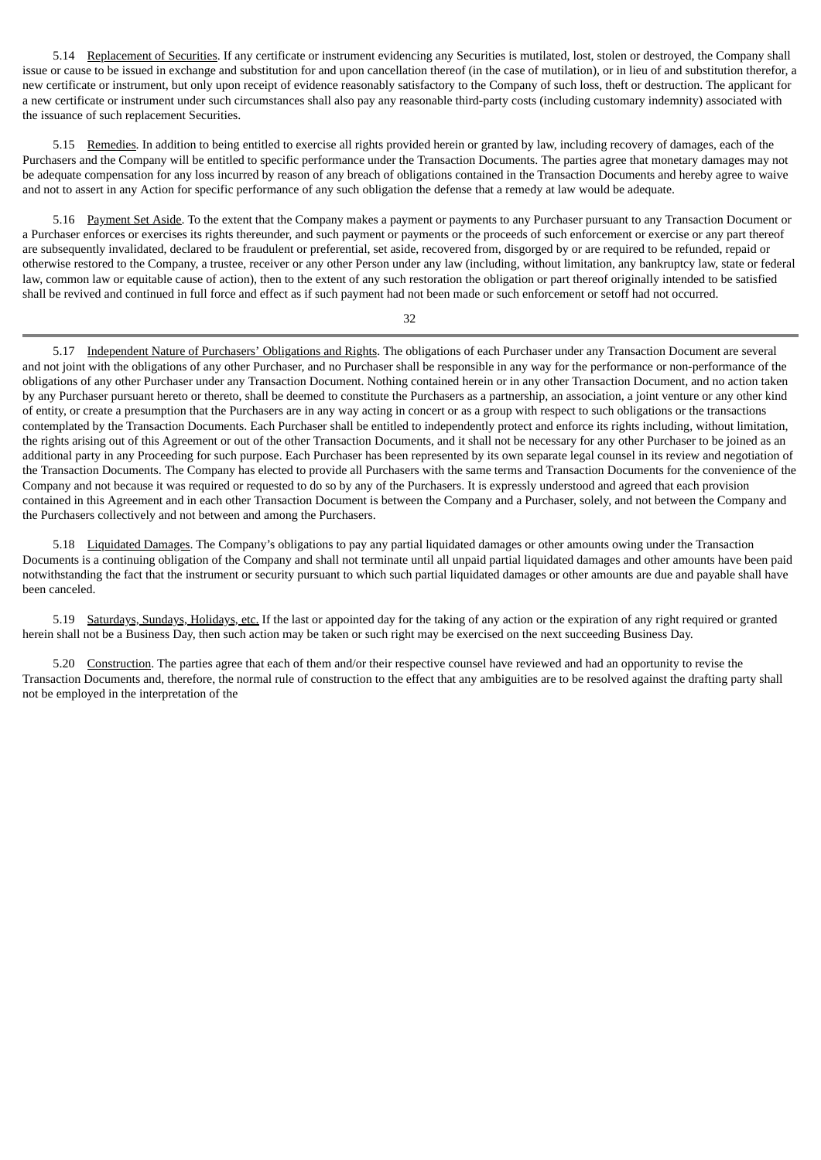5.14 Replacement of Securities. If any certificate or instrument evidencing any Securities is mutilated, lost, stolen or destroyed, the Company shall issue or cause to be issued in exchange and substitution for and upon cancellation thereof (in the case of mutilation), or in lieu of and substitution therefor, a new certificate or instrument, but only upon receipt of evidence reasonably satisfactory to the Company of such loss, theft or destruction. The applicant for a new certificate or instrument under such circumstances shall also pay any reasonable third-party costs (including customary indemnity) associated with the issuance of such replacement Securities.

5.15 Remedies. In addition to being entitled to exercise all rights provided herein or granted by law, including recovery of damages, each of the Purchasers and the Company will be entitled to specific performance under the Transaction Documents. The parties agree that monetary damages may not be adequate compensation for any loss incurred by reason of any breach of obligations contained in the Transaction Documents and hereby agree to waive and not to assert in any Action for specific performance of any such obligation the defense that a remedy at law would be adequate.

5.16 Payment Set Aside. To the extent that the Company makes a payment or payments to any Purchaser pursuant to any Transaction Document or a Purchaser enforces or exercises its rights thereunder, and such payment or payments or the proceeds of such enforcement or exercise or any part thereof are subsequently invalidated, declared to be fraudulent or preferential, set aside, recovered from, disgorged by or are required to be refunded, repaid or otherwise restored to the Company, a trustee, receiver or any other Person under any law (including, without limitation, any bankruptcy law, state or federal law, common law or equitable cause of action), then to the extent of any such restoration the obligation or part thereof originally intended to be satisfied shall be revived and continued in full force and effect as if such payment had not been made or such enforcement or setoff had not occurred.

32

5.17 Independent Nature of Purchasers' Obligations and Rights. The obligations of each Purchaser under any Transaction Document are several and not joint with the obligations of any other Purchaser, and no Purchaser shall be responsible in any way for the performance or non-performance of the obligations of any other Purchaser under any Transaction Document. Nothing contained herein or in any other Transaction Document, and no action taken by any Purchaser pursuant hereto or thereto, shall be deemed to constitute the Purchasers as a partnership, an association, a joint venture or any other kind of entity, or create a presumption that the Purchasers are in any way acting in concert or as a group with respect to such obligations or the transactions contemplated by the Transaction Documents. Each Purchaser shall be entitled to independently protect and enforce its rights including, without limitation, the rights arising out of this Agreement or out of the other Transaction Documents, and it shall not be necessary for any other Purchaser to be joined as an additional party in any Proceeding for such purpose. Each Purchaser has been represented by its own separate legal counsel in its review and negotiation of the Transaction Documents. The Company has elected to provide all Purchasers with the same terms and Transaction Documents for the convenience of the Company and not because it was required or requested to do so by any of the Purchasers. It is expressly understood and agreed that each provision contained in this Agreement and in each other Transaction Document is between the Company and a Purchaser, solely, and not between the Company and the Purchasers collectively and not between and among the Purchasers.

5.18 Liquidated Damages. The Company's obligations to pay any partial liquidated damages or other amounts owing under the Transaction Documents is a continuing obligation of the Company and shall not terminate until all unpaid partial liquidated damages and other amounts have been paid notwithstanding the fact that the instrument or security pursuant to which such partial liquidated damages or other amounts are due and payable shall have been canceled.

5.19 Saturdays, Sundays, Holidays, etc. If the last or appointed day for the taking of any action or the expiration of any right required or granted herein shall not be a Business Day, then such action may be taken or such right may be exercised on the next succeeding Business Day.

5.20 Construction. The parties agree that each of them and/or their respective counsel have reviewed and had an opportunity to revise the Transaction Documents and, therefore, the normal rule of construction to the effect that any ambiguities are to be resolved against the drafting party shall not be employed in the interpretation of the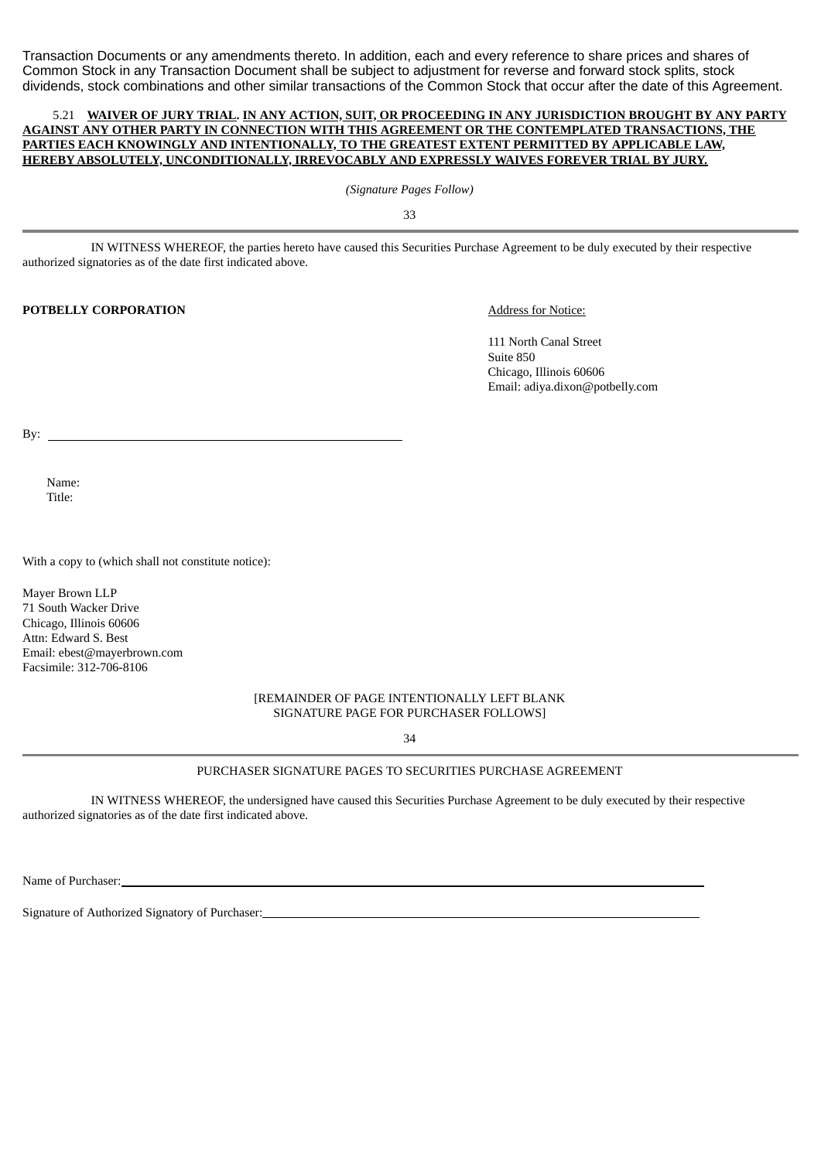Transaction Documents or any amendments thereto. In addition, each and every reference to share prices and shares of Common Stock in any Transaction Document shall be subject to adjustment for reverse and forward stock splits, stock dividends, stock combinations and other similar transactions of the Common Stock that occur after the date of this Agreement.

### 5.21 **WAIVER OF JURY TRIAL. IN ANY ACTION, SUIT, OR PROCEEDING IN ANY JURISDICTION BROUGHT BY ANY PARTY AGAINST ANY OTHER PARTY IN CONNECTION WITH THIS AGREEMENT OR THE CONTEMPLATED TRANSACTIONS, THE PARTIES EACH KNOWINGLY AND INTENTIONALLY, TO THE GREATEST EXTENT PERMITTED BY APPLICABLE LAW, HEREBY ABSOLUTELY, UNCONDITIONALLY, IRREVOCABLY AND EXPRESSLY WAIVES FOREVER TRIAL BY JURY.**

*(Signature Pages Follow)*

33

IN WITNESS WHEREOF, the parties hereto have caused this Securities Purchase Agreement to be duly executed by their respective authorized signatories as of the date first indicated above.

# **POTBELLY CORPORATION** Address for Notice:

111 North Canal Street Suite 850 Chicago, Illinois 60606 Email: adiya.dixon@potbelly.com

By:

Name: Title:

With a copy to (which shall not constitute notice):

Mayer Brown LLP 71 South Wacker Drive Chicago, Illinois 60606 Attn: Edward S. Best Email: ebest@mayerbrown.com Facsimile: 312-706-8106

> [REMAINDER OF PAGE INTENTIONALLY LEFT BLANK SIGNATURE PAGE FOR PURCHASER FOLLOWS]

> > 34

### PURCHASER SIGNATURE PAGES TO SECURITIES PURCHASE AGREEMENT

IN WITNESS WHEREOF, the undersigned have caused this Securities Purchase Agreement to be duly executed by their respective authorized signatories as of the date first indicated above.

Name of Purchaser:

Signature of Authorized Signatory of Purchaser: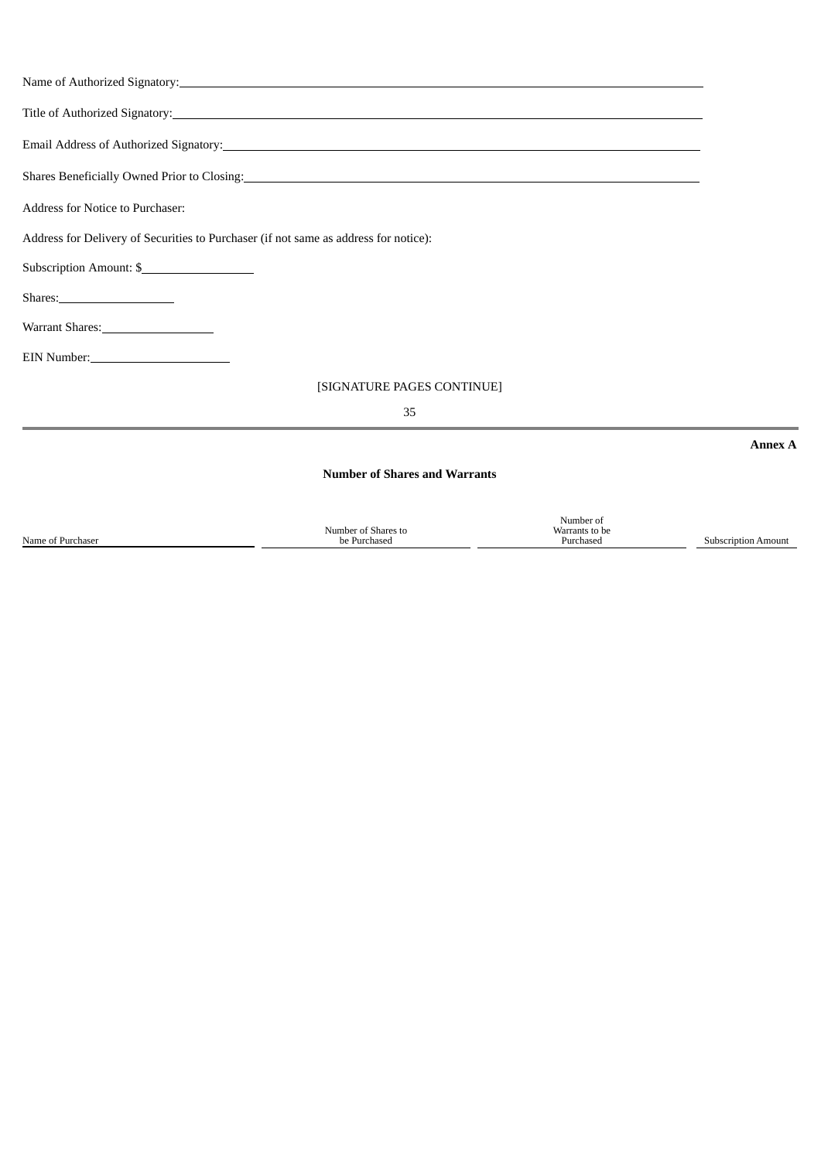|                                                                                                                                                                                                                                                                           | Name of Authorized Signatory: Name of Authorized Signatory: |                                          |                            |  |                                                                                      |  |  |  |
|---------------------------------------------------------------------------------------------------------------------------------------------------------------------------------------------------------------------------------------------------------------------------|-------------------------------------------------------------|------------------------------------------|----------------------------|--|--------------------------------------------------------------------------------------|--|--|--|
|                                                                                                                                                                                                                                                                           |                                                             |                                          |                            |  |                                                                                      |  |  |  |
| Shares Beneficially Owned Prior to Closing: 2008 and 2009 and 2009 and 2009 and 2009 and 2009 and 2009 and 2009 and 2009 and 2009 and 2009 and 2009 and 2009 and 2009 and 2009 and 2009 and 2009 and 2009 and 2009 and 2009 an<br><b>Address for Notice to Purchaser:</b> |                                                             |                                          |                            |  |                                                                                      |  |  |  |
|                                                                                                                                                                                                                                                                           |                                                             |                                          |                            |  | Address for Delivery of Securities to Purchaser (if not same as address for notice): |  |  |  |
|                                                                                                                                                                                                                                                                           |                                                             |                                          |                            |  | Subscription Amount: \$                                                              |  |  |  |
|                                                                                                                                                                                                                                                                           |                                                             |                                          |                            |  |                                                                                      |  |  |  |
| Warrant Shares: 1988                                                                                                                                                                                                                                                      |                                                             |                                          |                            |  |                                                                                      |  |  |  |
| EIN Number:<br><u> </u>                                                                                                                                                                                                                                                   |                                                             |                                          |                            |  |                                                                                      |  |  |  |
|                                                                                                                                                                                                                                                                           | [SIGNATURE PAGES CONTINUE]                                  |                                          |                            |  |                                                                                      |  |  |  |
|                                                                                                                                                                                                                                                                           | 35                                                          |                                          |                            |  |                                                                                      |  |  |  |
|                                                                                                                                                                                                                                                                           |                                                             |                                          | <b>Annex A</b>             |  |                                                                                      |  |  |  |
|                                                                                                                                                                                                                                                                           | <b>Number of Shares and Warrants</b>                        |                                          |                            |  |                                                                                      |  |  |  |
| Name of Purchaser                                                                                                                                                                                                                                                         | Number of Shares to<br>be Purchased                         | Number of<br>Warrants to be<br>Purchased | <b>Subscription Amount</b> |  |                                                                                      |  |  |  |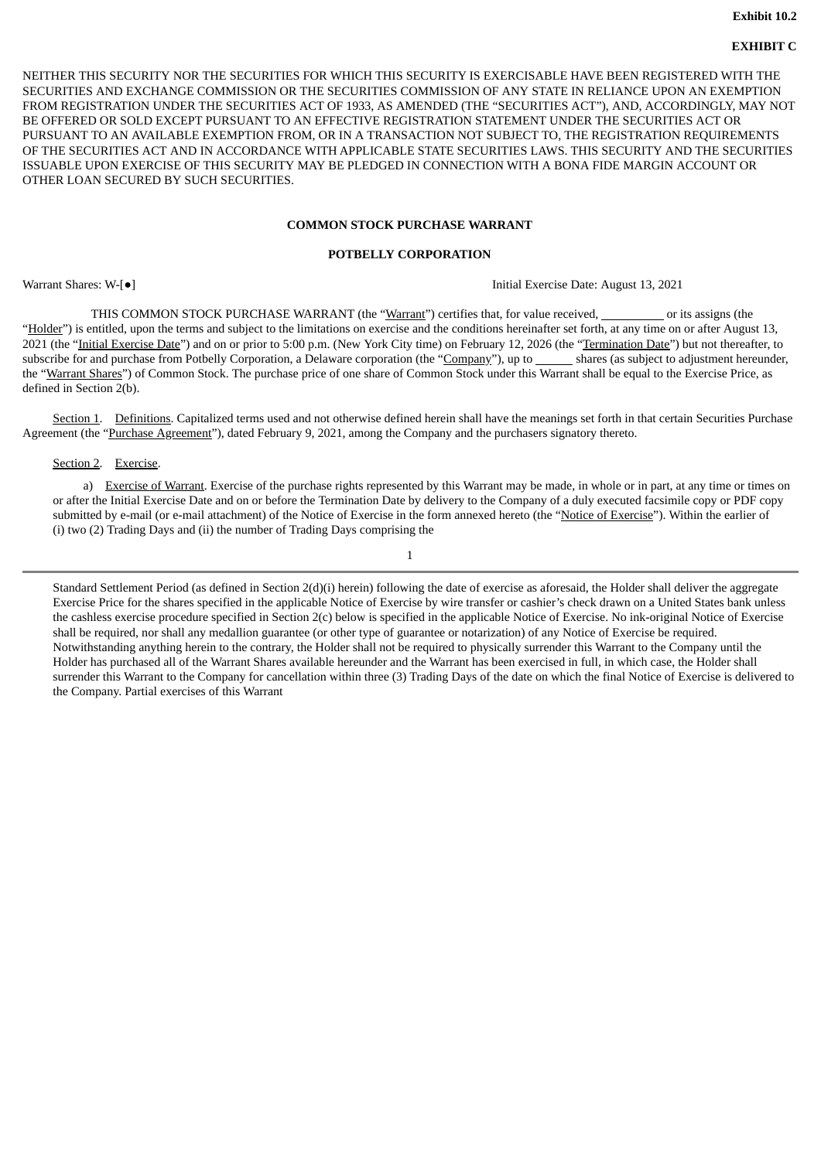# **EXHIBIT C**

NEITHER THIS SECURITY NOR THE SECURITIES FOR WHICH THIS SECURITY IS EXERCISABLE HAVE BEEN REGISTERED WITH THE SECURITIES AND EXCHANGE COMMISSION OR THE SECURITIES COMMISSION OF ANY STATE IN RELIANCE UPON AN EXEMPTION FROM REGISTRATION UNDER THE SECURITIES ACT OF 1933, AS AMENDED (THE "SECURITIES ACT"), AND, ACCORDINGLY, MAY NOT BE OFFERED OR SOLD EXCEPT PURSUANT TO AN EFFECTIVE REGISTRATION STATEMENT UNDER THE SECURITIES ACT OR PURSUANT TO AN AVAILABLE EXEMPTION FROM, OR IN A TRANSACTION NOT SUBJECT TO, THE REGISTRATION REQUIREMENTS OF THE SECURITIES ACT AND IN ACCORDANCE WITH APPLICABLE STATE SECURITIES LAWS. THIS SECURITY AND THE SECURITIES ISSUABLE UPON EXERCISE OF THIS SECURITY MAY BE PLEDGED IN CONNECTION WITH A BONA FIDE MARGIN ACCOUNT OR OTHER LOAN SECURED BY SUCH SECURITIES.

### **COMMON STOCK PURCHASE WARRANT**

### **POTBELLY CORPORATION**

Warrant Shares: W-[●] Initial Exercise Date: August 13, 2021

THIS COMMON STOCK PURCHASE WARRANT (the "Warrant") certifies that, for value received, or its assigns (the "Holder") is entitled, upon the terms and subject to the limitations on exercise and the conditions hereinafter set forth, at any time on or after August 13, 2021 (the "Initial Exercise Date") and on or prior to 5:00 p.m. (New York City time) on February 12, 2026 (the "Termination Date") but not thereafter, to subscribe for and purchase from Potbelly Corporation, a Delaware corporation (the "Company"), up to \_\_\_\_\_\_ shares (as subject to adjustment hereunder, the "Warrant Shares") of Common Stock. The purchase price of one share of Common Stock under this Warrant shall be equal to the Exercise Price, as defined in Section 2(b).

Section 1. Definitions. Capitalized terms used and not otherwise defined herein shall have the meanings set forth in that certain Securities Purchase Agreement (the "Purchase Agreement"), dated February 9, 2021, among the Company and the purchasers signatory thereto.

#### Section 2. Exercise.

a) Exercise of Warrant. Exercise of the purchase rights represented by this Warrant may be made, in whole or in part, at any time or times on or after the Initial Exercise Date and on or before the Termination Date by delivery to the Company of a duly executed facsimile copy or PDF copy submitted by e-mail (or e-mail attachment) of the Notice of Exercise in the form annexed hereto (the "Notice of Exercise"). Within the earlier of (i) two (2) Trading Days and (ii) the number of Trading Days comprising the

1

Standard Settlement Period (as defined in Section 2(d)(i) herein) following the date of exercise as aforesaid, the Holder shall deliver the aggregate Exercise Price for the shares specified in the applicable Notice of Exercise by wire transfer or cashier's check drawn on a United States bank unless the cashless exercise procedure specified in Section 2(c) below is specified in the applicable Notice of Exercise. No ink-original Notice of Exercise shall be required, nor shall any medallion guarantee (or other type of guarantee or notarization) of any Notice of Exercise be required. Notwithstanding anything herein to the contrary, the Holder shall not be required to physically surrender this Warrant to the Company until the Holder has purchased all of the Warrant Shares available hereunder and the Warrant has been exercised in full, in which case, the Holder shall surrender this Warrant to the Company for cancellation within three (3) Trading Days of the date on which the final Notice of Exercise is delivered to the Company. Partial exercises of this Warrant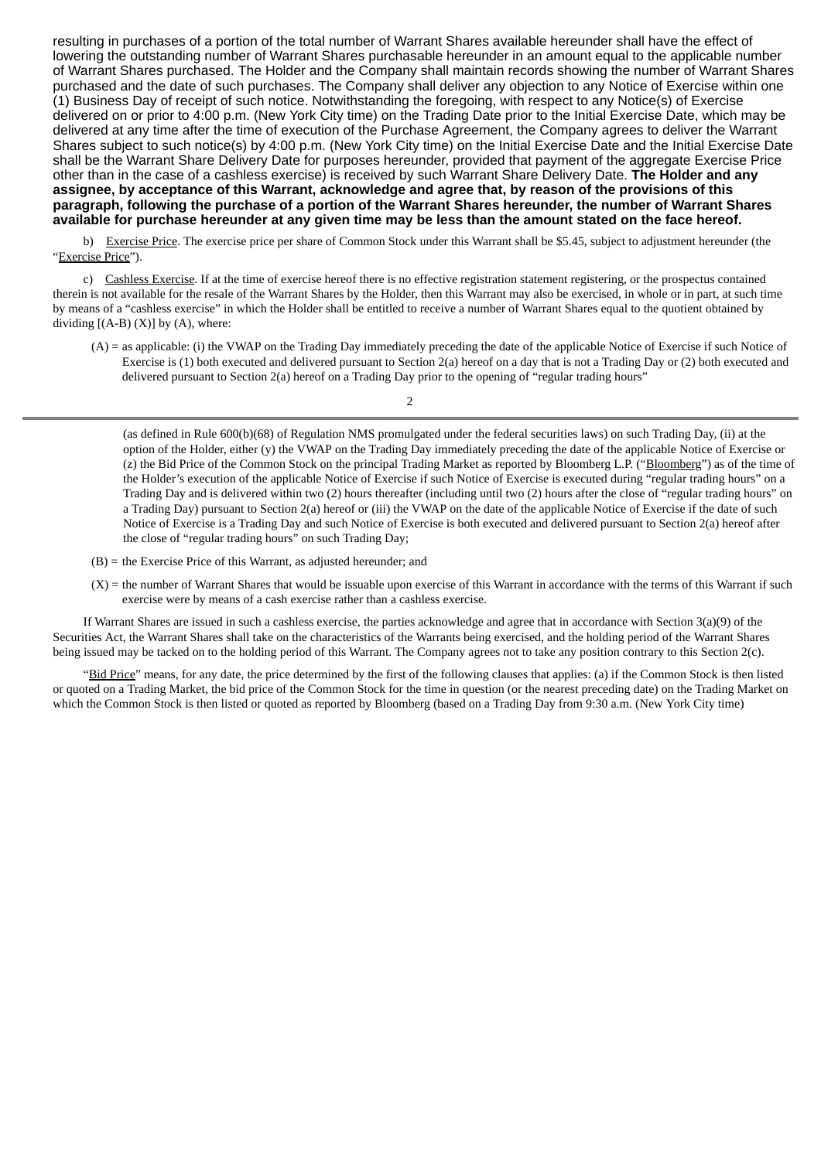resulting in purchases of a portion of the total number of Warrant Shares available hereunder shall have the effect of lowering the outstanding number of Warrant Shares purchasable hereunder in an amount equal to the applicable number of Warrant Shares purchased. The Holder and the Company shall maintain records showing the number of Warrant Shares purchased and the date of such purchases. The Company shall deliver any objection to any Notice of Exercise within one (1) Business Day of receipt of such notice. Notwithstanding the foregoing, with respect to any Notice(s) of Exercise delivered on or prior to 4:00 p.m. (New York City time) on the Trading Date prior to the Initial Exercise Date, which may be delivered at any time after the time of execution of the Purchase Agreement, the Company agrees to deliver the Warrant Shares subject to such notice(s) by 4:00 p.m. (New York City time) on the Initial Exercise Date and the Initial Exercise Date shall be the Warrant Share Delivery Date for purposes hereunder, provided that payment of the aggregate Exercise Price other than in the case of a cashless exercise) is received by such Warrant Share Delivery Date. **The Holder and any assignee, by acceptance of this Warrant, acknowledge and agree that, by reason of the provisions of this** paragraph, following the purchase of a portion of the Warrant Shares hereunder, the number of Warrant Shares available for purchase hereunder at any given time may be less than the amount stated on the face hereof.

b) Exercise Price. The exercise price per share of Common Stock under this Warrant shall be \$5.45, subject to adjustment hereunder (the "Exercise Price").

c) Cashless Exercise. If at the time of exercise hereof there is no effective registration statement registering, or the prospectus contained therein is not available for the resale of the Warrant Shares by the Holder, then this Warrant may also be exercised, in whole or in part, at such time by means of a "cashless exercise" in which the Holder shall be entitled to receive a number of Warrant Shares equal to the quotient obtained by dividing  $[(A-B) (X)]$  by  $(A)$ , where:

(A) = as applicable: (i) the VWAP on the Trading Day immediately preceding the date of the applicable Notice of Exercise if such Notice of Exercise is (1) both executed and delivered pursuant to Section 2(a) hereof on a day that is not a Trading Day or (2) both executed and delivered pursuant to Section 2(a) hereof on a Trading Day prior to the opening of "regular trading hours"

 $\overline{2}$ 

(as defined in Rule 600(b)(68) of Regulation NMS promulgated under the federal securities laws) on such Trading Day, (ii) at the option of the Holder, either (y) the VWAP on the Trading Day immediately preceding the date of the applicable Notice of Exercise or (z) the Bid Price of the Common Stock on the principal Trading Market as reported by Bloomberg L.P. ("Bloomberg") as of the time of the Holder's execution of the applicable Notice of Exercise if such Notice of Exercise is executed during "regular trading hours" on a Trading Day and is delivered within two (2) hours thereafter (including until two (2) hours after the close of "regular trading hours" on a Trading Day) pursuant to Section 2(a) hereof or (iii) the VWAP on the date of the applicable Notice of Exercise if the date of such Notice of Exercise is a Trading Day and such Notice of Exercise is both executed and delivered pursuant to Section 2(a) hereof after the close of "regular trading hours" on such Trading Day;

- (B) = the Exercise Price of this Warrant, as adjusted hereunder; and
- $(X)$  = the number of Warrant Shares that would be issuable upon exercise of this Warrant in accordance with the terms of this Warrant if such exercise were by means of a cash exercise rather than a cashless exercise.

If Warrant Shares are issued in such a cashless exercise, the parties acknowledge and agree that in accordance with Section 3(a)(9) of the Securities Act, the Warrant Shares shall take on the characteristics of the Warrants being exercised, and the holding period of the Warrant Shares being issued may be tacked on to the holding period of this Warrant. The Company agrees not to take any position contrary to this Section 2(c).

"Bid Price" means, for any date, the price determined by the first of the following clauses that applies: (a) if the Common Stock is then listed or quoted on a Trading Market, the bid price of the Common Stock for the time in question (or the nearest preceding date) on the Trading Market on which the Common Stock is then listed or quoted as reported by Bloomberg (based on a Trading Day from 9:30 a.m. (New York City time)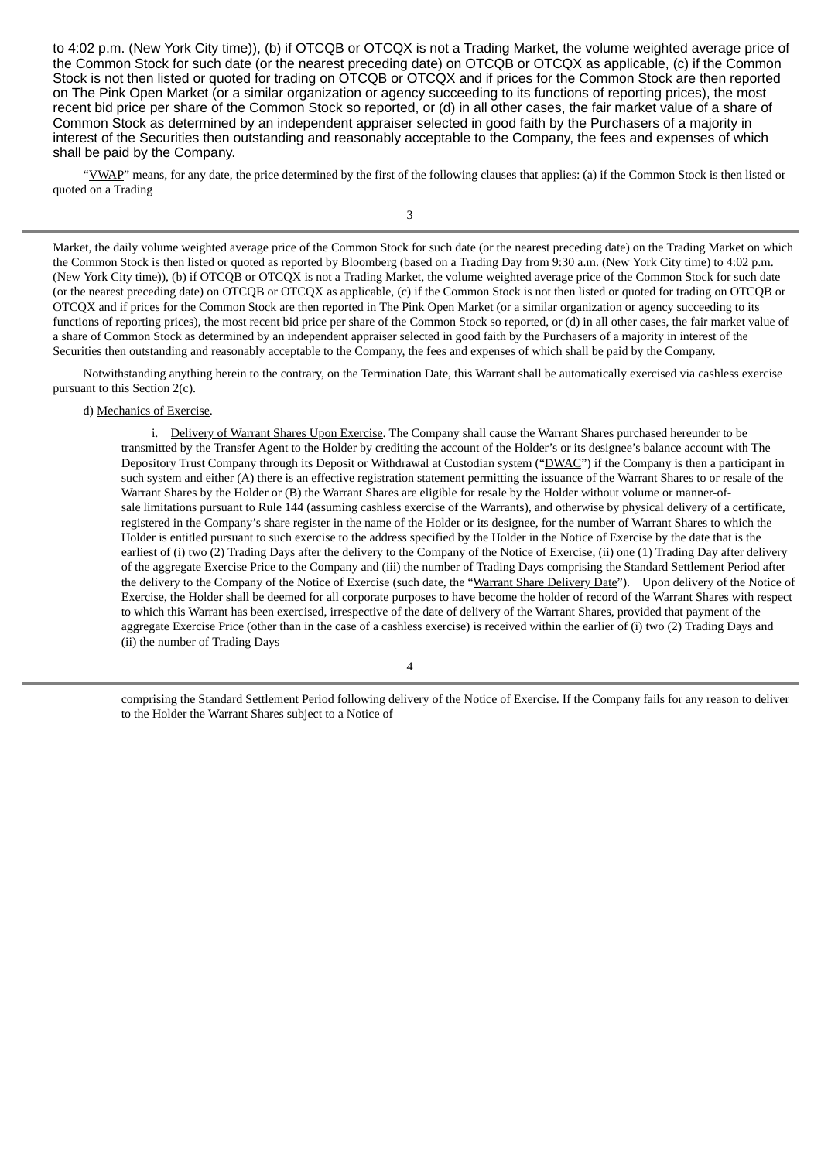to 4:02 p.m. (New York City time)), (b) if OTCQB or OTCQX is not a Trading Market, the volume weighted average price of the Common Stock for such date (or the nearest preceding date) on OTCQB or OTCQX as applicable, (c) if the Common Stock is not then listed or quoted for trading on OTCQB or OTCQX and if prices for the Common Stock are then reported on The Pink Open Market (or a similar organization or agency succeeding to its functions of reporting prices), the most recent bid price per share of the Common Stock so reported, or (d) in all other cases, the fair market value of a share of Common Stock as determined by an independent appraiser selected in good faith by the Purchasers of a majority in interest of the Securities then outstanding and reasonably acceptable to the Company, the fees and expenses of which shall be paid by the Company.

"YWAP" means, for any date, the price determined by the first of the following clauses that applies: (a) if the Common Stock is then listed or quoted on a Trading

3

Market, the daily volume weighted average price of the Common Stock for such date (or the nearest preceding date) on the Trading Market on which the Common Stock is then listed or quoted as reported by Bloomberg (based on a Trading Day from 9:30 a.m. (New York City time) to 4:02 p.m. (New York City time)), (b) if OTCQB or OTCQX is not a Trading Market, the volume weighted average price of the Common Stock for such date (or the nearest preceding date) on OTCQB or OTCQX as applicable, (c) if the Common Stock is not then listed or quoted for trading on OTCQB or OTCQX and if prices for the Common Stock are then reported in The Pink Open Market (or a similar organization or agency succeeding to its functions of reporting prices), the most recent bid price per share of the Common Stock so reported, or (d) in all other cases, the fair market value of a share of Common Stock as determined by an independent appraiser selected in good faith by the Purchasers of a majority in interest of the Securities then outstanding and reasonably acceptable to the Company, the fees and expenses of which shall be paid by the Company.

Notwithstanding anything herein to the contrary, on the Termination Date, this Warrant shall be automatically exercised via cashless exercise pursuant to this Section 2(c).

#### d) Mechanics of Exercise.

i. Delivery of Warrant Shares Upon Exercise. The Company shall cause the Warrant Shares purchased hereunder to be transmitted by the Transfer Agent to the Holder by crediting the account of the Holder's or its designee's balance account with The Depository Trust Company through its Deposit or Withdrawal at Custodian system ("DWAC") if the Company is then a participant in such system and either (A) there is an effective registration statement permitting the issuance of the Warrant Shares to or resale of the Warrant Shares by the Holder or (B) the Warrant Shares are eligible for resale by the Holder without volume or manner-ofsale limitations pursuant to Rule 144 (assuming cashless exercise of the Warrants), and otherwise by physical delivery of a certificate, registered in the Company's share register in the name of the Holder or its designee, for the number of Warrant Shares to which the Holder is entitled pursuant to such exercise to the address specified by the Holder in the Notice of Exercise by the date that is the earliest of (i) two (2) Trading Days after the delivery to the Company of the Notice of Exercise, (ii) one (1) Trading Day after delivery of the aggregate Exercise Price to the Company and (iii) the number of Trading Days comprising the Standard Settlement Period after the delivery to the Company of the Notice of Exercise (such date, the "Warrant Share Delivery Date"). Upon delivery of the Notice of Exercise, the Holder shall be deemed for all corporate purposes to have become the holder of record of the Warrant Shares with respect to which this Warrant has been exercised, irrespective of the date of delivery of the Warrant Shares, provided that payment of the aggregate Exercise Price (other than in the case of a cashless exercise) is received within the earlier of (i) two (2) Trading Days and (ii) the number of Trading Days

comprising the Standard Settlement Period following delivery of the Notice of Exercise. If the Company fails for any reason to deliver to the Holder the Warrant Shares subject to a Notice of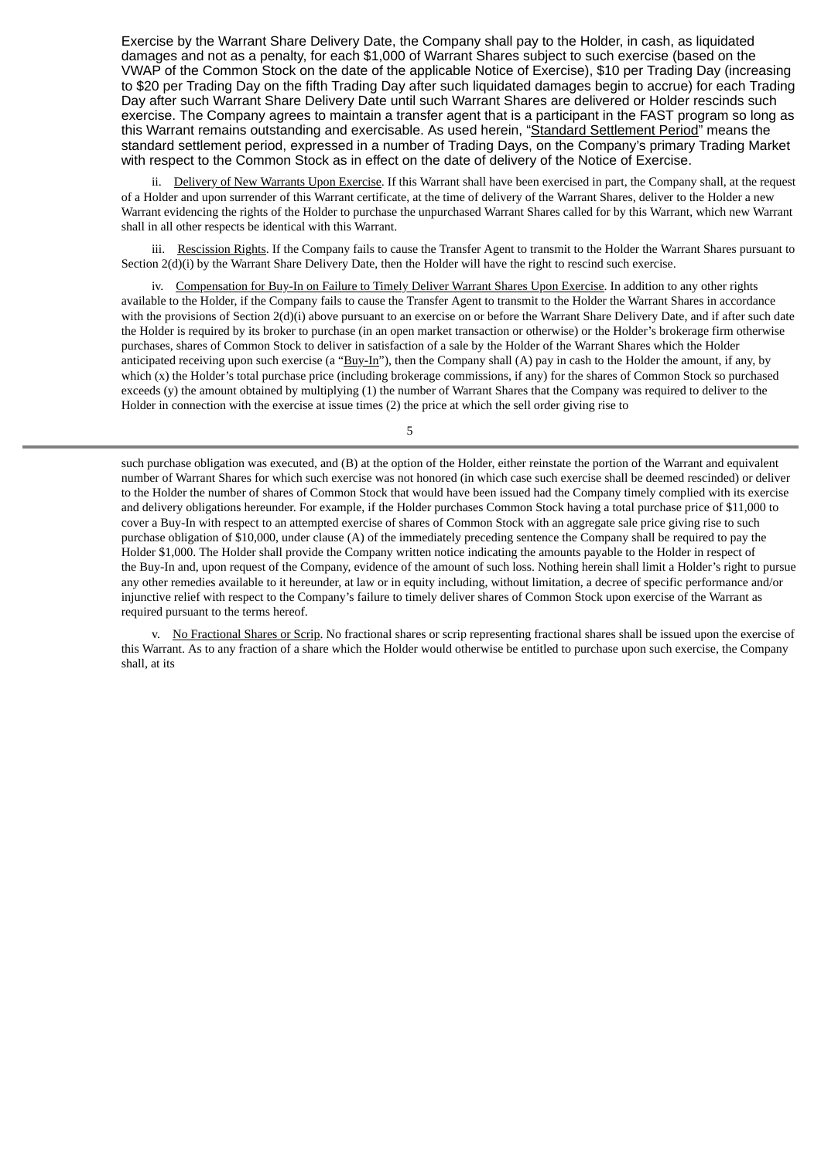Exercise by the Warrant Share Delivery Date, the Company shall pay to the Holder, in cash, as liquidated damages and not as a penalty, for each \$1,000 of Warrant Shares subject to such exercise (based on the VWAP of the Common Stock on the date of the applicable Notice of Exercise), \$10 per Trading Day (increasing to \$20 per Trading Day on the fifth Trading Day after such liquidated damages begin to accrue) for each Trading Day after such Warrant Share Delivery Date until such Warrant Shares are delivered or Holder rescinds such exercise. The Company agrees to maintain a transfer agent that is a participant in the FAST program so long as this Warrant remains outstanding and exercisable. As used herein, "Standard Settlement Period" means the standard settlement period, expressed in a number of Trading Days, on the Company's primary Trading Market with respect to the Common Stock as in effect on the date of delivery of the Notice of Exercise.

ii. Delivery of New Warrants Upon Exercise. If this Warrant shall have been exercised in part, the Company shall, at the request of a Holder and upon surrender of this Warrant certificate, at the time of delivery of the Warrant Shares, deliver to the Holder a new Warrant evidencing the rights of the Holder to purchase the unpurchased Warrant Shares called for by this Warrant, which new Warrant shall in all other respects be identical with this Warrant.

iii. Rescission Rights. If the Company fails to cause the Transfer Agent to transmit to the Holder the Warrant Shares pursuant to Section 2(d)(i) by the Warrant Share Delivery Date, then the Holder will have the right to rescind such exercise.

iv. Compensation for Buy-In on Failure to Timely Deliver Warrant Shares Upon Exercise. In addition to any other rights available to the Holder, if the Company fails to cause the Transfer Agent to transmit to the Holder the Warrant Shares in accordance with the provisions of Section 2(d)(i) above pursuant to an exercise on or before the Warrant Share Delivery Date, and if after such date the Holder is required by its broker to purchase (in an open market transaction or otherwise) or the Holder's brokerage firm otherwise purchases, shares of Common Stock to deliver in satisfaction of a sale by the Holder of the Warrant Shares which the Holder anticipated receiving upon such exercise (a "Buy-In"), then the Company shall (A) pay in cash to the Holder the amount, if any, by which (x) the Holder's total purchase price (including brokerage commissions, if any) for the shares of Common Stock so purchased exceeds (y) the amount obtained by multiplying (1) the number of Warrant Shares that the Company was required to deliver to the Holder in connection with the exercise at issue times (2) the price at which the sell order giving rise to

5

such purchase obligation was executed, and (B) at the option of the Holder, either reinstate the portion of the Warrant and equivalent number of Warrant Shares for which such exercise was not honored (in which case such exercise shall be deemed rescinded) or deliver to the Holder the number of shares of Common Stock that would have been issued had the Company timely complied with its exercise and delivery obligations hereunder. For example, if the Holder purchases Common Stock having a total purchase price of \$11,000 to cover a Buy-In with respect to an attempted exercise of shares of Common Stock with an aggregate sale price giving rise to such purchase obligation of \$10,000, under clause (A) of the immediately preceding sentence the Company shall be required to pay the Holder \$1,000. The Holder shall provide the Company written notice indicating the amounts payable to the Holder in respect of the Buy-In and, upon request of the Company, evidence of the amount of such loss. Nothing herein shall limit a Holder's right to pursue any other remedies available to it hereunder, at law or in equity including, without limitation, a decree of specific performance and/or injunctive relief with respect to the Company's failure to timely deliver shares of Common Stock upon exercise of the Warrant as required pursuant to the terms hereof.

v. No Fractional Shares or Scrip. No fractional shares or scrip representing fractional shares shall be issued upon the exercise of this Warrant. As to any fraction of a share which the Holder would otherwise be entitled to purchase upon such exercise, the Company shall, at its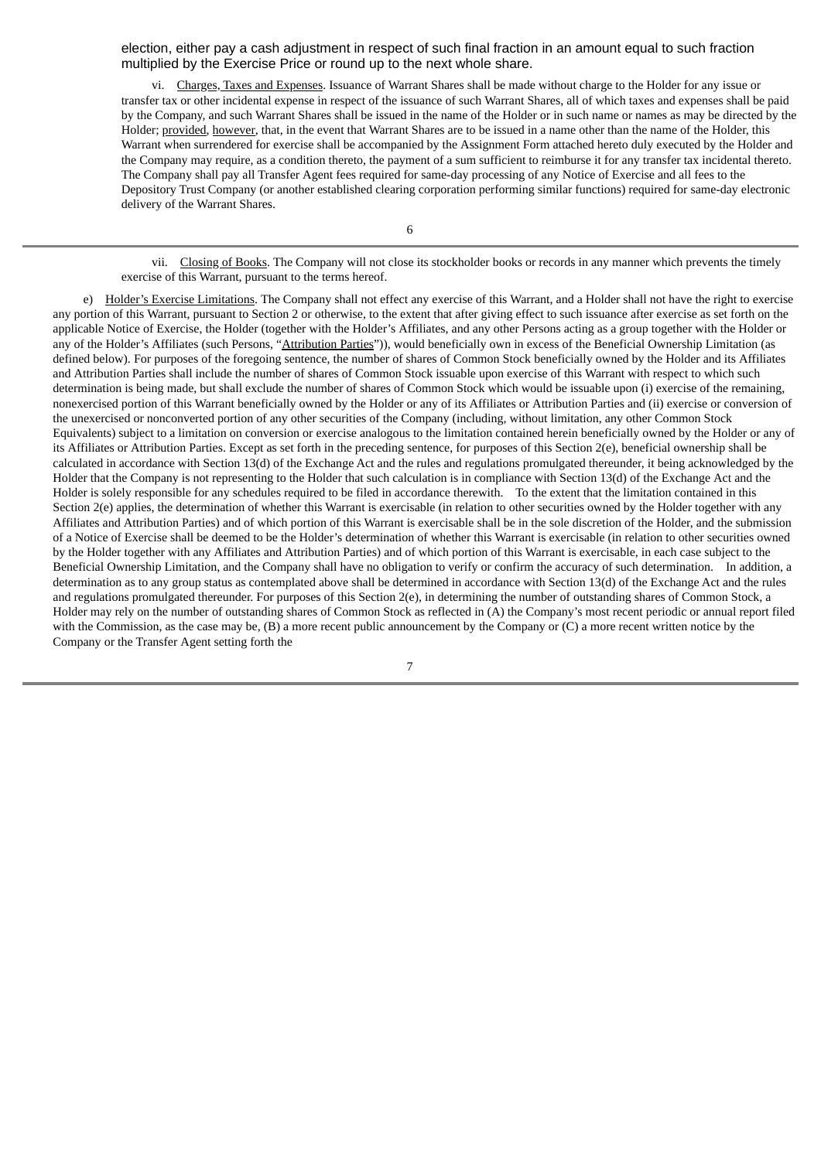election, either pay a cash adjustment in respect of such final fraction in an amount equal to such fraction multiplied by the Exercise Price or round up to the next whole share.

vi. Charges, Taxes and Expenses. Issuance of Warrant Shares shall be made without charge to the Holder for any issue or transfer tax or other incidental expense in respect of the issuance of such Warrant Shares, all of which taxes and expenses shall be paid by the Company, and such Warrant Shares shall be issued in the name of the Holder or in such name or names as may be directed by the Holder; provided, however, that, in the event that Warrant Shares are to be issued in a name other than the name of the Holder, this Warrant when surrendered for exercise shall be accompanied by the Assignment Form attached hereto duly executed by the Holder and the Company may require, as a condition thereto, the payment of a sum sufficient to reimburse it for any transfer tax incidental thereto. The Company shall pay all Transfer Agent fees required for same-day processing of any Notice of Exercise and all fees to the Depository Trust Company (or another established clearing corporation performing similar functions) required for same-day electronic delivery of the Warrant Shares.

vii. Closing of Books. The Company will not close its stockholder books or records in any manner which prevents the timely exercise of this Warrant, pursuant to the terms hereof.

e) Holder's Exercise Limitations. The Company shall not effect any exercise of this Warrant, and a Holder shall not have the right to exercise any portion of this Warrant, pursuant to Section 2 or otherwise, to the extent that after giving effect to such issuance after exercise as set forth on the applicable Notice of Exercise, the Holder (together with the Holder's Affiliates, and any other Persons acting as a group together with the Holder or any of the Holder's Affiliates (such Persons, "Attribution Parties")), would beneficially own in excess of the Beneficial Ownership Limitation (as defined below). For purposes of the foregoing sentence, the number of shares of Common Stock beneficially owned by the Holder and its Affiliates and Attribution Parties shall include the number of shares of Common Stock issuable upon exercise of this Warrant with respect to which such determination is being made, but shall exclude the number of shares of Common Stock which would be issuable upon (i) exercise of the remaining, nonexercised portion of this Warrant beneficially owned by the Holder or any of its Affiliates or Attribution Parties and (ii) exercise or conversion of the unexercised or nonconverted portion of any other securities of the Company (including, without limitation, any other Common Stock Equivalents) subject to a limitation on conversion or exercise analogous to the limitation contained herein beneficially owned by the Holder or any of its Affiliates or Attribution Parties. Except as set forth in the preceding sentence, for purposes of this Section 2(e), beneficial ownership shall be calculated in accordance with Section 13(d) of the Exchange Act and the rules and regulations promulgated thereunder, it being acknowledged by the Holder that the Company is not representing to the Holder that such calculation is in compliance with Section 13(d) of the Exchange Act and the Holder is solely responsible for any schedules required to be filed in accordance therewith. To the extent that the limitation contained in this Section 2(e) applies, the determination of whether this Warrant is exercisable (in relation to other securities owned by the Holder together with any Affiliates and Attribution Parties) and of which portion of this Warrant is exercisable shall be in the sole discretion of the Holder, and the submission of a Notice of Exercise shall be deemed to be the Holder's determination of whether this Warrant is exercisable (in relation to other securities owned by the Holder together with any Affiliates and Attribution Parties) and of which portion of this Warrant is exercisable, in each case subject to the Beneficial Ownership Limitation, and the Company shall have no obligation to verify or confirm the accuracy of such determination. In addition, a determination as to any group status as contemplated above shall be determined in accordance with Section 13(d) of the Exchange Act and the rules and regulations promulgated thereunder. For purposes of this Section 2(e), in determining the number of outstanding shares of Common Stock, a Holder may rely on the number of outstanding shares of Common Stock as reflected in (A) the Company's most recent periodic or annual report filed with the Commission, as the case may be, (B) a more recent public announcement by the Company or (C) a more recent written notice by the Company or the Transfer Agent setting forth the

7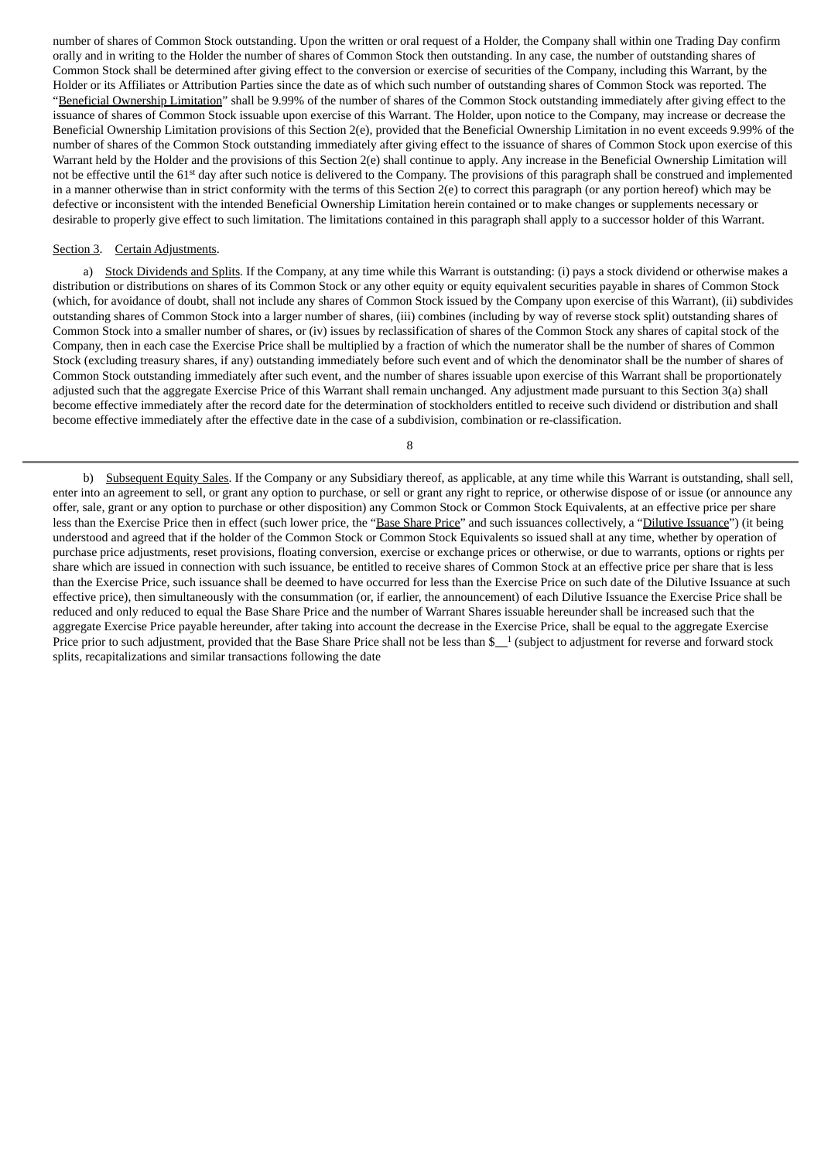number of shares of Common Stock outstanding. Upon the written or oral request of a Holder, the Company shall within one Trading Day confirm orally and in writing to the Holder the number of shares of Common Stock then outstanding. In any case, the number of outstanding shares of Common Stock shall be determined after giving effect to the conversion or exercise of securities of the Company, including this Warrant, by the Holder or its Affiliates or Attribution Parties since the date as of which such number of outstanding shares of Common Stock was reported. The "Beneficial Ownership Limitation" shall be 9.99% of the number of shares of the Common Stock outstanding immediately after giving effect to the issuance of shares of Common Stock issuable upon exercise of this Warrant. The Holder, upon notice to the Company, may increase or decrease the Beneficial Ownership Limitation provisions of this Section 2(e), provided that the Beneficial Ownership Limitation in no event exceeds 9.99% of the number of shares of the Common Stock outstanding immediately after giving effect to the issuance of shares of Common Stock upon exercise of this Warrant held by the Holder and the provisions of this Section 2(e) shall continue to apply. Any increase in the Beneficial Ownership Limitation will not be effective until the 61<sup>st</sup> day after such notice is delivered to the Company. The provisions of this paragraph shall be construed and implemented in a manner otherwise than in strict conformity with the terms of this Section 2(e) to correct this paragraph (or any portion hereof) which may be defective or inconsistent with the intended Beneficial Ownership Limitation herein contained or to make changes or supplements necessary or desirable to properly give effect to such limitation. The limitations contained in this paragraph shall apply to a successor holder of this Warrant.

#### Section 3. Certain Adjustments.

a) Stock Dividends and Splits. If the Company, at any time while this Warrant is outstanding: (i) pays a stock dividend or otherwise makes a distribution or distributions on shares of its Common Stock or any other equity or equity equivalent securities payable in shares of Common Stock (which, for avoidance of doubt, shall not include any shares of Common Stock issued by the Company upon exercise of this Warrant), (ii) subdivides outstanding shares of Common Stock into a larger number of shares, (iii) combines (including by way of reverse stock split) outstanding shares of Common Stock into a smaller number of shares, or (iv) issues by reclassification of shares of the Common Stock any shares of capital stock of the Company, then in each case the Exercise Price shall be multiplied by a fraction of which the numerator shall be the number of shares of Common Stock (excluding treasury shares, if any) outstanding immediately before such event and of which the denominator shall be the number of shares of Common Stock outstanding immediately after such event, and the number of shares issuable upon exercise of this Warrant shall be proportionately adjusted such that the aggregate Exercise Price of this Warrant shall remain unchanged. Any adjustment made pursuant to this Section 3(a) shall become effective immediately after the record date for the determination of stockholders entitled to receive such dividend or distribution and shall become effective immediately after the effective date in the case of a subdivision, combination or re-classification.

8

b) Subsequent Equity Sales. If the Company or any Subsidiary thereof, as applicable, at any time while this Warrant is outstanding, shall sell, enter into an agreement to sell, or grant any option to purchase, or sell or grant any right to reprice, or otherwise dispose of or issue (or announce any offer, sale, grant or any option to purchase or other disposition) any Common Stock or Common Stock Equivalents, at an effective price per share less than the Exercise Price then in effect (such lower price, the "Base Share Price" and such issuances collectively, a "Dilutive Issuance") (it being understood and agreed that if the holder of the Common Stock or Common Stock Equivalents so issued shall at any time, whether by operation of purchase price adjustments, reset provisions, floating conversion, exercise or exchange prices or otherwise, or due to warrants, options or rights per share which are issued in connection with such issuance, be entitled to receive shares of Common Stock at an effective price per share that is less than the Exercise Price, such issuance shall be deemed to have occurred for less than the Exercise Price on such date of the Dilutive Issuance at such effective price), then simultaneously with the consummation (or, if earlier, the announcement) of each Dilutive Issuance the Exercise Price shall be reduced and only reduced to equal the Base Share Price and the number of Warrant Shares issuable hereunder shall be increased such that the aggregate Exercise Price payable hereunder, after taking into account the decrease in the Exercise Price, shall be equal to the aggregate Exercise Price prior to such adjustment, provided that the Base Share Price shall not be less than  $\frac{1}{2}$  (subject to adjustment for reverse and forward stock splits, recapitalizations and similar transactions following the date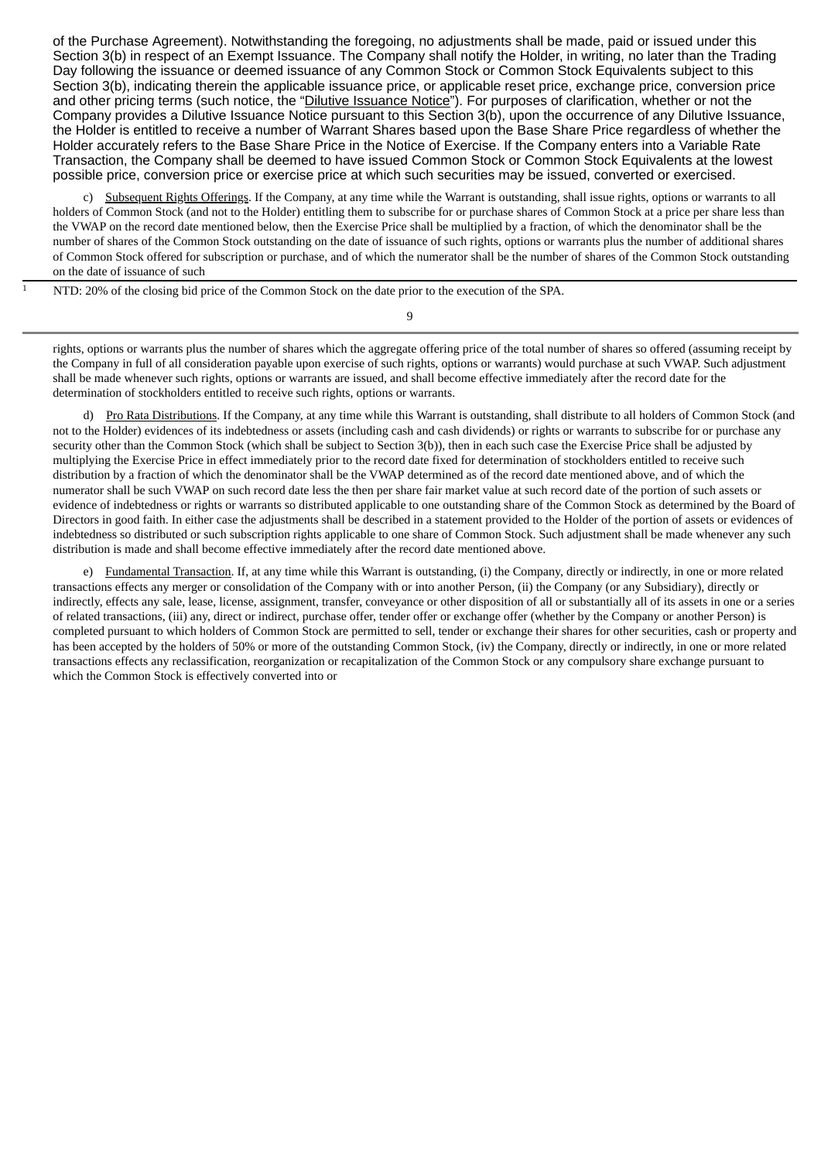of the Purchase Agreement). Notwithstanding the foregoing, no adjustments shall be made, paid or issued under this Section 3(b) in respect of an Exempt Issuance. The Company shall notify the Holder, in writing, no later than the Trading Day following the issuance or deemed issuance of any Common Stock or Common Stock Equivalents subject to this Section 3(b), indicating therein the applicable issuance price, or applicable reset price, exchange price, conversion price and other pricing terms (such notice, the "Dilutive Issuance Notice"). For purposes of clarification, whether or not the Company provides a Dilutive Issuance Notice pursuant to this Section 3(b), upon the occurrence of any Dilutive Issuance, the Holder is entitled to receive a number of Warrant Shares based upon the Base Share Price regardless of whether the Holder accurately refers to the Base Share Price in the Notice of Exercise. If the Company enters into a Variable Rate Transaction, the Company shall be deemed to have issued Common Stock or Common Stock Equivalents at the lowest possible price, conversion price or exercise price at which such securities may be issued, converted or exercised.

c) Subsequent Rights Offerings. If the Company, at any time while the Warrant is outstanding, shall issue rights, options or warrants to all holders of Common Stock (and not to the Holder) entitling them to subscribe for or purchase shares of Common Stock at a price per share less than the VWAP on the record date mentioned below, then the Exercise Price shall be multiplied by a fraction, of which the denominator shall be the number of shares of the Common Stock outstanding on the date of issuance of such rights, options or warrants plus the number of additional shares of Common Stock offered for subscription or purchase, and of which the numerator shall be the number of shares of the Common Stock outstanding on the date of issuance of such

NTD: 20% of the closing bid price of the Common Stock on the date prior to the execution of the SPA.

rights, options or warrants plus the number of shares which the aggregate offering price of the total number of shares so offered (assuming receipt by the Company in full of all consideration payable upon exercise of such rights, options or warrants) would purchase at such VWAP. Such adjustment shall be made whenever such rights, options or warrants are issued, and shall become effective immediately after the record date for the determination of stockholders entitled to receive such rights, options or warrants.

d) Pro Rata Distributions. If the Company, at any time while this Warrant is outstanding, shall distribute to all holders of Common Stock (and not to the Holder) evidences of its indebtedness or assets (including cash and cash dividends) or rights or warrants to subscribe for or purchase any security other than the Common Stock (which shall be subject to Section 3(b)), then in each such case the Exercise Price shall be adjusted by multiplying the Exercise Price in effect immediately prior to the record date fixed for determination of stockholders entitled to receive such distribution by a fraction of which the denominator shall be the VWAP determined as of the record date mentioned above, and of which the numerator shall be such VWAP on such record date less the then per share fair market value at such record date of the portion of such assets or evidence of indebtedness or rights or warrants so distributed applicable to one outstanding share of the Common Stock as determined by the Board of Directors in good faith. In either case the adjustments shall be described in a statement provided to the Holder of the portion of assets or evidences of indebtedness so distributed or such subscription rights applicable to one share of Common Stock. Such adjustment shall be made whenever any such distribution is made and shall become effective immediately after the record date mentioned above.

e) Fundamental Transaction. If, at any time while this Warrant is outstanding, (i) the Company, directly or indirectly, in one or more related transactions effects any merger or consolidation of the Company with or into another Person, (ii) the Company (or any Subsidiary), directly or indirectly, effects any sale, lease, license, assignment, transfer, conveyance or other disposition of all or substantially all of its assets in one or a series of related transactions, (iii) any, direct or indirect, purchase offer, tender offer or exchange offer (whether by the Company or another Person) is completed pursuant to which holders of Common Stock are permitted to sell, tender or exchange their shares for other securities, cash or property and has been accepted by the holders of 50% or more of the outstanding Common Stock, (iv) the Company, directly or indirectly, in one or more related transactions effects any reclassification, reorganization or recapitalization of the Common Stock or any compulsory share exchange pursuant to which the Common Stock is effectively converted into or

9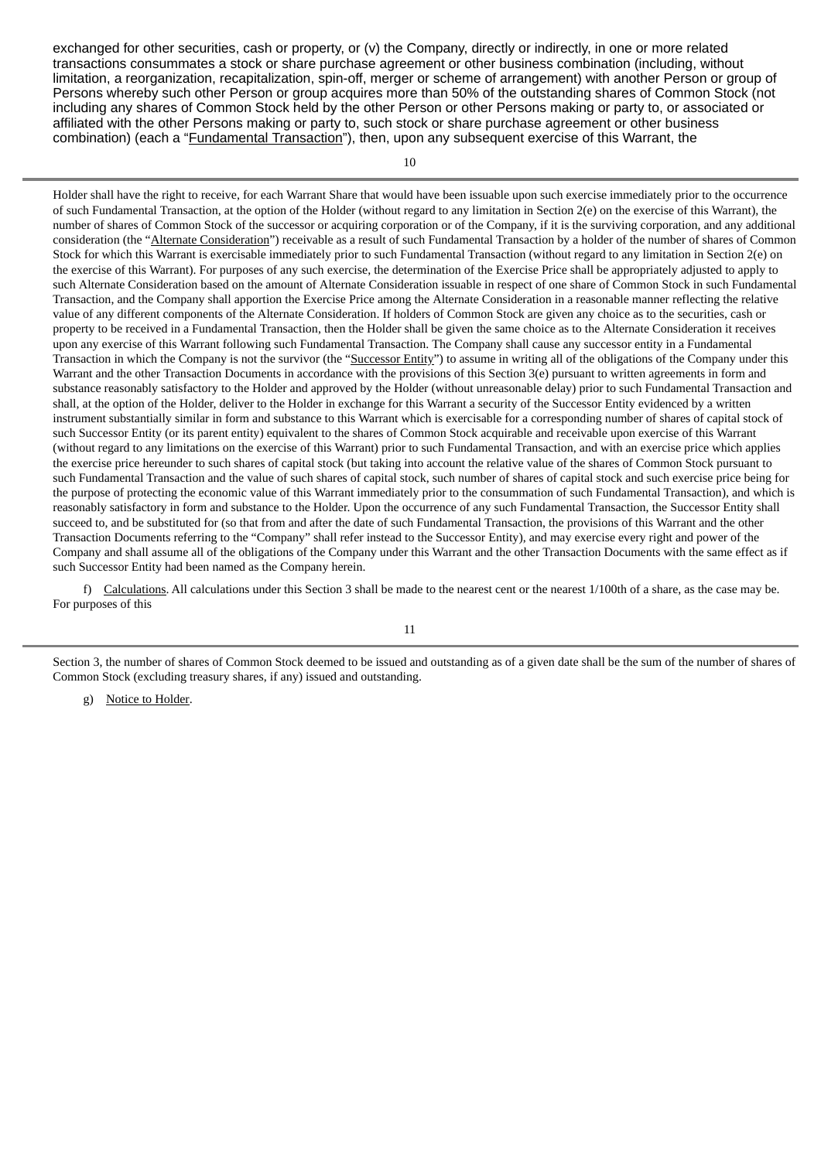exchanged for other securities, cash or property, or (v) the Company, directly or indirectly, in one or more related transactions consummates a stock or share purchase agreement or other business combination (including, without limitation, a reorganization, recapitalization, spin-off, merger or scheme of arrangement) with another Person or group of Persons whereby such other Person or group acquires more than 50% of the outstanding shares of Common Stock (not including any shares of Common Stock held by the other Person or other Persons making or party to, or associated or affiliated with the other Persons making or party to, such stock or share purchase agreement or other business combination) (each a "Fundamental Transaction"), then, upon any subsequent exercise of this Warrant, the

10

Holder shall have the right to receive, for each Warrant Share that would have been issuable upon such exercise immediately prior to the occurrence of such Fundamental Transaction, at the option of the Holder (without regard to any limitation in Section 2(e) on the exercise of this Warrant), the number of shares of Common Stock of the successor or acquiring corporation or of the Company, if it is the surviving corporation, and any additional consideration (the "Alternate Consideration") receivable as a result of such Fundamental Transaction by a holder of the number of shares of Common Stock for which this Warrant is exercisable immediately prior to such Fundamental Transaction (without regard to any limitation in Section 2(e) on the exercise of this Warrant). For purposes of any such exercise, the determination of the Exercise Price shall be appropriately adjusted to apply to such Alternate Consideration based on the amount of Alternate Consideration issuable in respect of one share of Common Stock in such Fundamental Transaction, and the Company shall apportion the Exercise Price among the Alternate Consideration in a reasonable manner reflecting the relative value of any different components of the Alternate Consideration. If holders of Common Stock are given any choice as to the securities, cash or property to be received in a Fundamental Transaction, then the Holder shall be given the same choice as to the Alternate Consideration it receives upon any exercise of this Warrant following such Fundamental Transaction. The Company shall cause any successor entity in a Fundamental Transaction in which the Company is not the survivor (the "Successor Entity") to assume in writing all of the obligations of the Company under this Warrant and the other Transaction Documents in accordance with the provisions of this Section 3(e) pursuant to written agreements in form and substance reasonably satisfactory to the Holder and approved by the Holder (without unreasonable delay) prior to such Fundamental Transaction and shall, at the option of the Holder, deliver to the Holder in exchange for this Warrant a security of the Successor Entity evidenced by a written instrument substantially similar in form and substance to this Warrant which is exercisable for a corresponding number of shares of capital stock of such Successor Entity (or its parent entity) equivalent to the shares of Common Stock acquirable and receivable upon exercise of this Warrant (without regard to any limitations on the exercise of this Warrant) prior to such Fundamental Transaction, and with an exercise price which applies the exercise price hereunder to such shares of capital stock (but taking into account the relative value of the shares of Common Stock pursuant to such Fundamental Transaction and the value of such shares of capital stock, such number of shares of capital stock and such exercise price being for the purpose of protecting the economic value of this Warrant immediately prior to the consummation of such Fundamental Transaction), and which is reasonably satisfactory in form and substance to the Holder. Upon the occurrence of any such Fundamental Transaction, the Successor Entity shall succeed to, and be substituted for (so that from and after the date of such Fundamental Transaction, the provisions of this Warrant and the other Transaction Documents referring to the "Company" shall refer instead to the Successor Entity), and may exercise every right and power of the Company and shall assume all of the obligations of the Company under this Warrant and the other Transaction Documents with the same effect as if such Successor Entity had been named as the Company herein.

f) Calculations. All calculations under this Section 3 shall be made to the nearest cent or the nearest 1/100th of a share, as the case may be. For purposes of this

Section 3, the number of shares of Common Stock deemed to be issued and outstanding as of a given date shall be the sum of the number of shares of Common Stock (excluding treasury shares, if any) issued and outstanding.

g) Notice to Holder.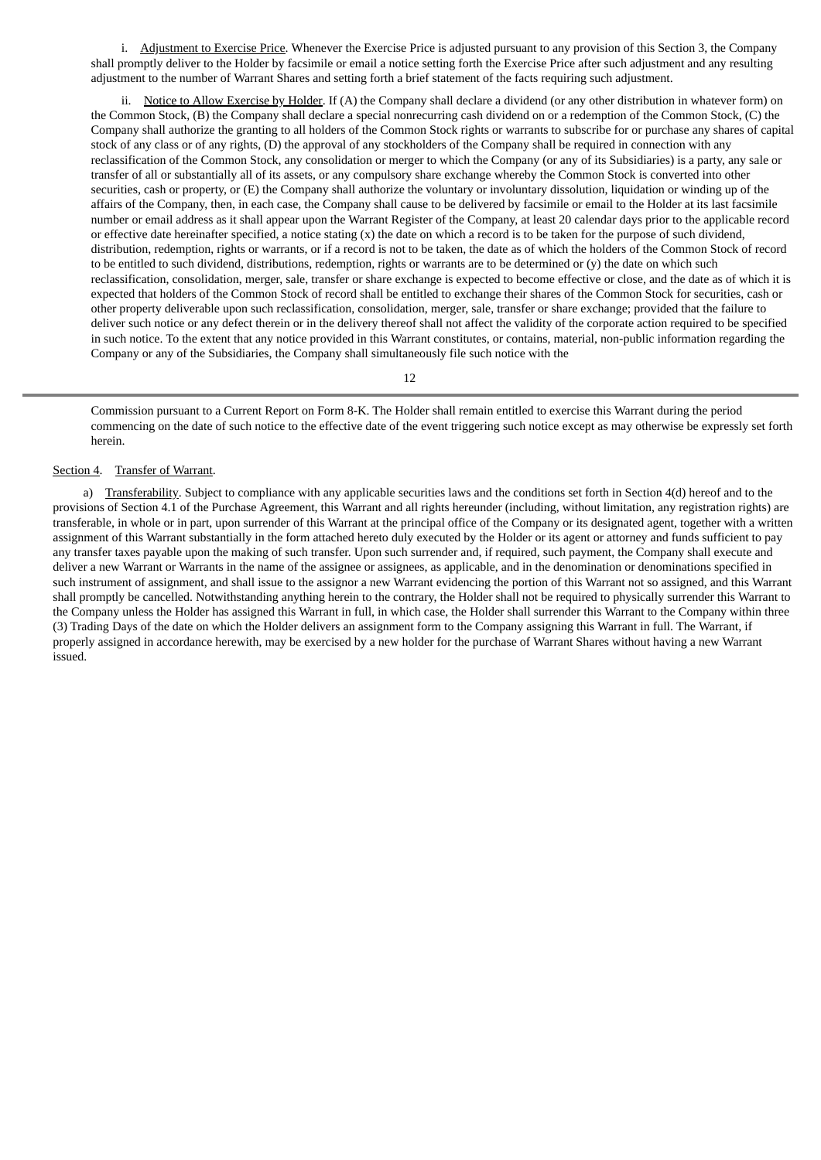i. Adjustment to Exercise Price. Whenever the Exercise Price is adjusted pursuant to any provision of this Section 3, the Company shall promptly deliver to the Holder by facsimile or email a notice setting forth the Exercise Price after such adjustment and any resulting adjustment to the number of Warrant Shares and setting forth a brief statement of the facts requiring such adjustment.

ii. Notice to Allow Exercise by Holder. If (A) the Company shall declare a dividend (or any other distribution in whatever form) on the Common Stock, (B) the Company shall declare a special nonrecurring cash dividend on or a redemption of the Common Stock, (C) the Company shall authorize the granting to all holders of the Common Stock rights or warrants to subscribe for or purchase any shares of capital stock of any class or of any rights, (D) the approval of any stockholders of the Company shall be required in connection with any reclassification of the Common Stock, any consolidation or merger to which the Company (or any of its Subsidiaries) is a party, any sale or transfer of all or substantially all of its assets, or any compulsory share exchange whereby the Common Stock is converted into other securities, cash or property, or (E) the Company shall authorize the voluntary or involuntary dissolution, liquidation or winding up of the affairs of the Company, then, in each case, the Company shall cause to be delivered by facsimile or email to the Holder at its last facsimile number or email address as it shall appear upon the Warrant Register of the Company, at least 20 calendar days prior to the applicable record or effective date hereinafter specified, a notice stating (x) the date on which a record is to be taken for the purpose of such dividend, distribution, redemption, rights or warrants, or if a record is not to be taken, the date as of which the holders of the Common Stock of record to be entitled to such dividend, distributions, redemption, rights or warrants are to be determined or (y) the date on which such reclassification, consolidation, merger, sale, transfer or share exchange is expected to become effective or close, and the date as of which it is expected that holders of the Common Stock of record shall be entitled to exchange their shares of the Common Stock for securities, cash or other property deliverable upon such reclassification, consolidation, merger, sale, transfer or share exchange; provided that the failure to deliver such notice or any defect therein or in the delivery thereof shall not affect the validity of the corporate action required to be specified in such notice. To the extent that any notice provided in this Warrant constitutes, or contains, material, non-public information regarding the Company or any of the Subsidiaries, the Company shall simultaneously file such notice with the

12

Commission pursuant to a Current Report on Form 8-K. The Holder shall remain entitled to exercise this Warrant during the period commencing on the date of such notice to the effective date of the event triggering such notice except as may otherwise be expressly set forth herein.

#### Section 4. Transfer of Warrant.

a) Transferability. Subject to compliance with any applicable securities laws and the conditions set forth in Section 4(d) hereof and to the provisions of Section 4.1 of the Purchase Agreement, this Warrant and all rights hereunder (including, without limitation, any registration rights) are transferable, in whole or in part, upon surrender of this Warrant at the principal office of the Company or its designated agent, together with a written assignment of this Warrant substantially in the form attached hereto duly executed by the Holder or its agent or attorney and funds sufficient to pay any transfer taxes payable upon the making of such transfer. Upon such surrender and, if required, such payment, the Company shall execute and deliver a new Warrant or Warrants in the name of the assignee or assignees, as applicable, and in the denomination or denominations specified in such instrument of assignment, and shall issue to the assignor a new Warrant evidencing the portion of this Warrant not so assigned, and this Warrant shall promptly be cancelled. Notwithstanding anything herein to the contrary, the Holder shall not be required to physically surrender this Warrant to the Company unless the Holder has assigned this Warrant in full, in which case, the Holder shall surrender this Warrant to the Company within three (3) Trading Days of the date on which the Holder delivers an assignment form to the Company assigning this Warrant in full. The Warrant, if properly assigned in accordance herewith, may be exercised by a new holder for the purchase of Warrant Shares without having a new Warrant issued.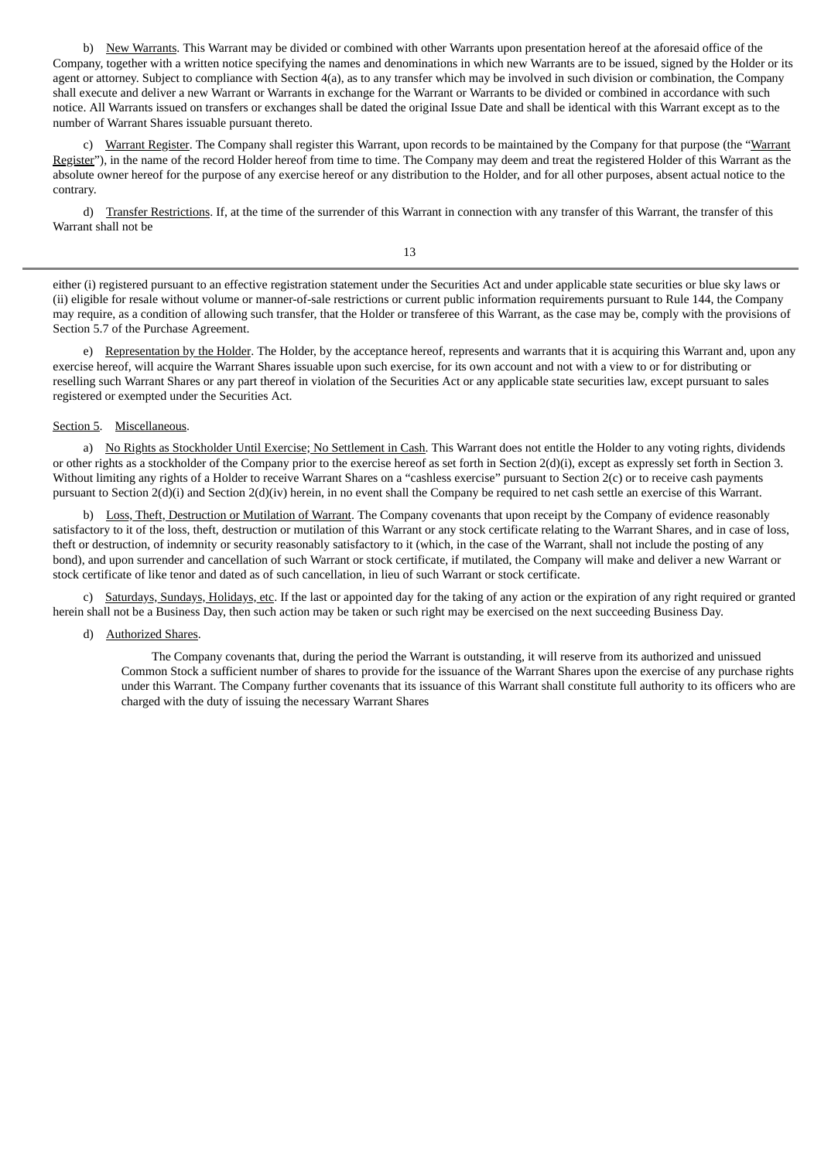b) New Warrants. This Warrant may be divided or combined with other Warrants upon presentation hereof at the aforesaid office of the Company, together with a written notice specifying the names and denominations in which new Warrants are to be issued, signed by the Holder or its agent or attorney. Subject to compliance with Section 4(a), as to any transfer which may be involved in such division or combination, the Company shall execute and deliver a new Warrant or Warrants in exchange for the Warrant or Warrants to be divided or combined in accordance with such notice. All Warrants issued on transfers or exchanges shall be dated the original Issue Date and shall be identical with this Warrant except as to the number of Warrant Shares issuable pursuant thereto.

c) Warrant Register. The Company shall register this Warrant, upon records to be maintained by the Company for that purpose (the "Warrant Register"), in the name of the record Holder hereof from time to time. The Company may deem and treat the registered Holder of this Warrant as the absolute owner hereof for the purpose of any exercise hereof or any distribution to the Holder, and for all other purposes, absent actual notice to the contrary.

d) Transfer Restrictions. If, at the time of the surrender of this Warrant in connection with any transfer of this Warrant, the transfer of this Warrant shall not be

13

either (i) registered pursuant to an effective registration statement under the Securities Act and under applicable state securities or blue sky laws or (ii) eligible for resale without volume or manner-of-sale restrictions or current public information requirements pursuant to Rule 144, the Company may require, as a condition of allowing such transfer, that the Holder or transferee of this Warrant, as the case may be, comply with the provisions of Section 5.7 of the Purchase Agreement.

e) Representation by the Holder. The Holder, by the acceptance hereof, represents and warrants that it is acquiring this Warrant and, upon any exercise hereof, will acquire the Warrant Shares issuable upon such exercise, for its own account and not with a view to or for distributing or reselling such Warrant Shares or any part thereof in violation of the Securities Act or any applicable state securities law, except pursuant to sales registered or exempted under the Securities Act.

### Section 5. Miscellaneous.

a) No Rights as Stockholder Until Exercise; No Settlement in Cash. This Warrant does not entitle the Holder to any voting rights, dividends or other rights as a stockholder of the Company prior to the exercise hereof as set forth in Section 2(d)(i), except as expressly set forth in Section 3. Without limiting any rights of a Holder to receive Warrant Shares on a "cashless exercise" pursuant to Section 2(c) or to receive cash payments pursuant to Section 2(d)(i) and Section 2(d)(iv) herein, in no event shall the Company be required to net cash settle an exercise of this Warrant.

b) Loss, Theft, Destruction or Mutilation of Warrant. The Company covenants that upon receipt by the Company of evidence reasonably satisfactory to it of the loss, theft, destruction or mutilation of this Warrant or any stock certificate relating to the Warrant Shares, and in case of loss, theft or destruction, of indemnity or security reasonably satisfactory to it (which, in the case of the Warrant, shall not include the posting of any bond), and upon surrender and cancellation of such Warrant or stock certificate, if mutilated, the Company will make and deliver a new Warrant or stock certificate of like tenor and dated as of such cancellation, in lieu of such Warrant or stock certificate.

c) Saturdays, Sundays, Holidays, etc. If the last or appointed day for the taking of any action or the expiration of any right required or granted herein shall not be a Business Day, then such action may be taken or such right may be exercised on the next succeeding Business Day.

### d) Authorized Shares.

The Company covenants that, during the period the Warrant is outstanding, it will reserve from its authorized and unissued Common Stock a sufficient number of shares to provide for the issuance of the Warrant Shares upon the exercise of any purchase rights under this Warrant. The Company further covenants that its issuance of this Warrant shall constitute full authority to its officers who are charged with the duty of issuing the necessary Warrant Shares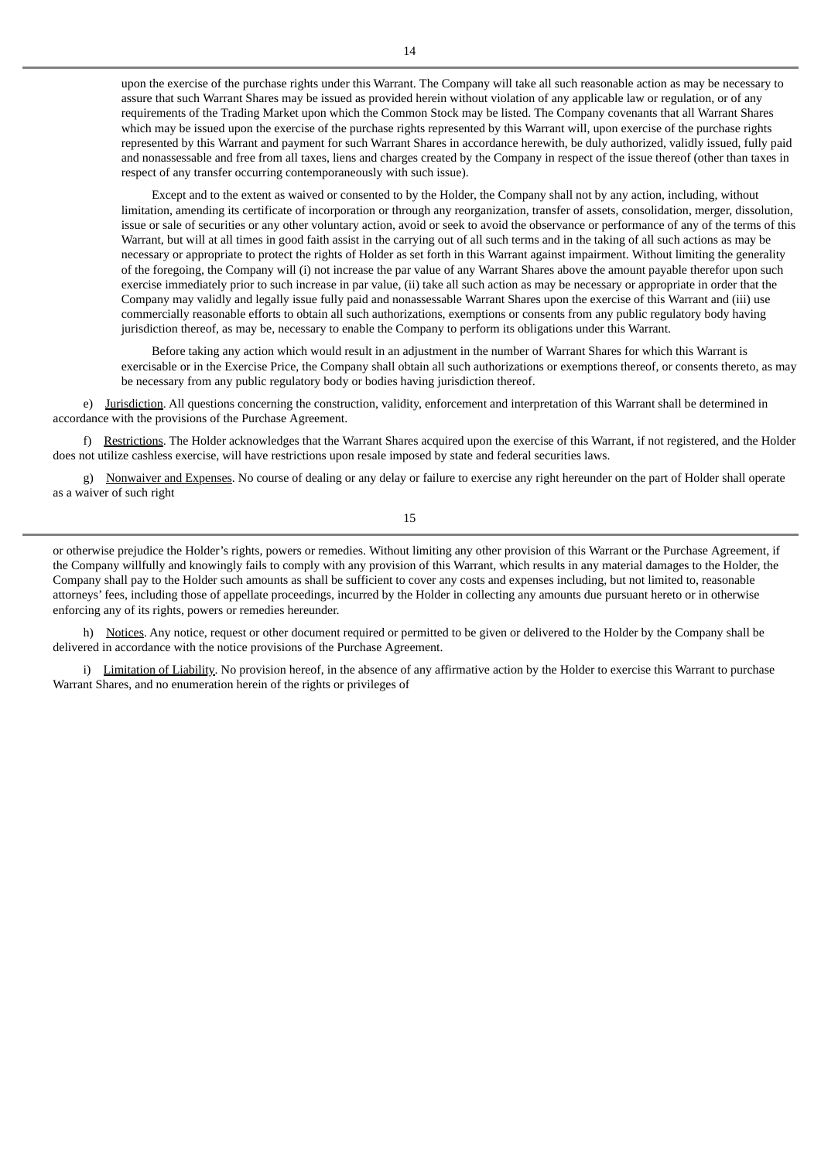Except and to the extent as waived or consented to by the Holder, the Company shall not by any action, including, without limitation, amending its certificate of incorporation or through any reorganization, transfer of assets, consolidation, merger, dissolution, issue or sale of securities or any other voluntary action, avoid or seek to avoid the observance or performance of any of the terms of this Warrant, but will at all times in good faith assist in the carrying out of all such terms and in the taking of all such actions as may be necessary or appropriate to protect the rights of Holder as set forth in this Warrant against impairment. Without limiting the generality of the foregoing, the Company will (i) not increase the par value of any Warrant Shares above the amount payable therefor upon such exercise immediately prior to such increase in par value, (ii) take all such action as may be necessary or appropriate in order that the Company may validly and legally issue fully paid and nonassessable Warrant Shares upon the exercise of this Warrant and (iii) use commercially reasonable efforts to obtain all such authorizations, exemptions or consents from any public regulatory body having jurisdiction thereof, as may be, necessary to enable the Company to perform its obligations under this Warrant.

Before taking any action which would result in an adjustment in the number of Warrant Shares for which this Warrant is exercisable or in the Exercise Price, the Company shall obtain all such authorizations or exemptions thereof, or consents thereto, as may be necessary from any public regulatory body or bodies having jurisdiction thereof.

e) Jurisdiction. All questions concerning the construction, validity, enforcement and interpretation of this Warrant shall be determined in accordance with the provisions of the Purchase Agreement.

f) Restrictions. The Holder acknowledges that the Warrant Shares acquired upon the exercise of this Warrant, if not registered, and the Holder does not utilize cashless exercise, will have restrictions upon resale imposed by state and federal securities laws.

g) Nonwaiver and Expenses. No course of dealing or any delay or failure to exercise any right hereunder on the part of Holder shall operate as a waiver of such right

15

or otherwise prejudice the Holder's rights, powers or remedies. Without limiting any other provision of this Warrant or the Purchase Agreement, if the Company willfully and knowingly fails to comply with any provision of this Warrant, which results in any material damages to the Holder, the Company shall pay to the Holder such amounts as shall be sufficient to cover any costs and expenses including, but not limited to, reasonable attorneys' fees, including those of appellate proceedings, incurred by the Holder in collecting any amounts due pursuant hereto or in otherwise enforcing any of its rights, powers or remedies hereunder.

h) Notices. Any notice, request or other document required or permitted to be given or delivered to the Holder by the Company shall be delivered in accordance with the notice provisions of the Purchase Agreement.

i) Limitation of Liability. No provision hereof, in the absence of any affirmative action by the Holder to exercise this Warrant to purchase Warrant Shares, and no enumeration herein of the rights or privileges of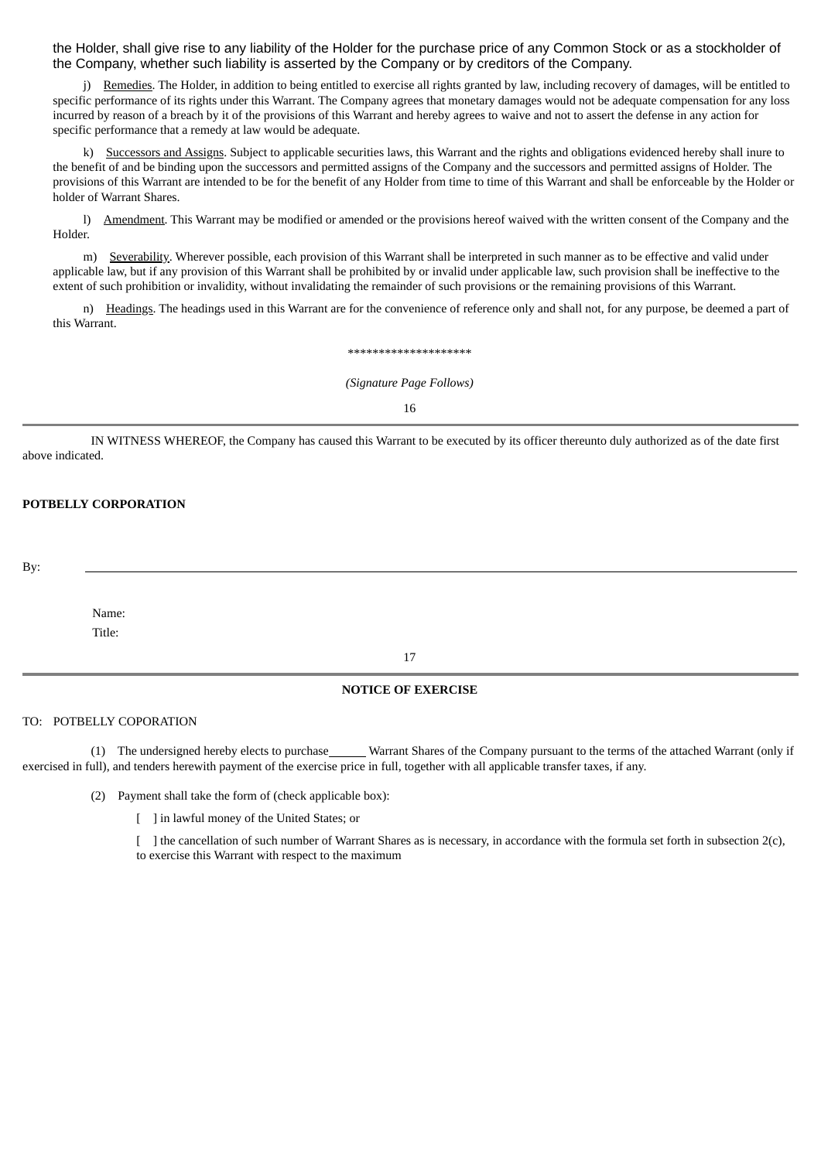the Holder, shall give rise to any liability of the Holder for the purchase price of any Common Stock or as a stockholder of the Company, whether such liability is asserted by the Company or by creditors of the Company.

j) Remedies. The Holder, in addition to being entitled to exercise all rights granted by law, including recovery of damages, will be entitled to specific performance of its rights under this Warrant. The Company agrees that monetary damages would not be adequate compensation for any loss incurred by reason of a breach by it of the provisions of this Warrant and hereby agrees to waive and not to assert the defense in any action for specific performance that a remedy at law would be adequate.

k) Successors and Assigns. Subject to applicable securities laws, this Warrant and the rights and obligations evidenced hereby shall inure to the benefit of and be binding upon the successors and permitted assigns of the Company and the successors and permitted assigns of Holder. The provisions of this Warrant are intended to be for the benefit of any Holder from time to time of this Warrant and shall be enforceable by the Holder or holder of Warrant Shares.

l) Amendment. This Warrant may be modified or amended or the provisions hereof waived with the written consent of the Company and the Holder.

m) Severability. Wherever possible, each provision of this Warrant shall be interpreted in such manner as to be effective and valid under applicable law, but if any provision of this Warrant shall be prohibited by or invalid under applicable law, such provision shall be ineffective to the extent of such prohibition or invalidity, without invalidating the remainder of such provisions or the remaining provisions of this Warrant.

n) Headings. The headings used in this Warrant are for the convenience of reference only and shall not, for any purpose, be deemed a part of this Warrant.

\*\*\*\*\*\*\*\*\*\*\*\*\*\*\*\*\*\*\*\*

*(Signature Page Follows)*

16

IN WITNESS WHEREOF, the Company has caused this Warrant to be executed by its officer thereunto duly authorized as of the date first above indicated.

# **POTBELLY CORPORATION**

By:

Name: Title:

17

## **NOTICE OF EXERCISE**

### TO: POTBELLY COPORATION

(1) The undersigned hereby elects to purchase\_\_\_\_\_\_\_Warrant Shares of the Company pursuant to the terms of the attached Warrant (only if exercised in full), and tenders herewith payment of the exercise price in full, together with all applicable transfer taxes, if any.

(2) Payment shall take the form of (check applicable box):

[ ] in lawful money of the United States; or

[ ] the cancellation of such number of Warrant Shares as is necessary, in accordance with the formula set forth in subsection 2(c), to exercise this Warrant with respect to the maximum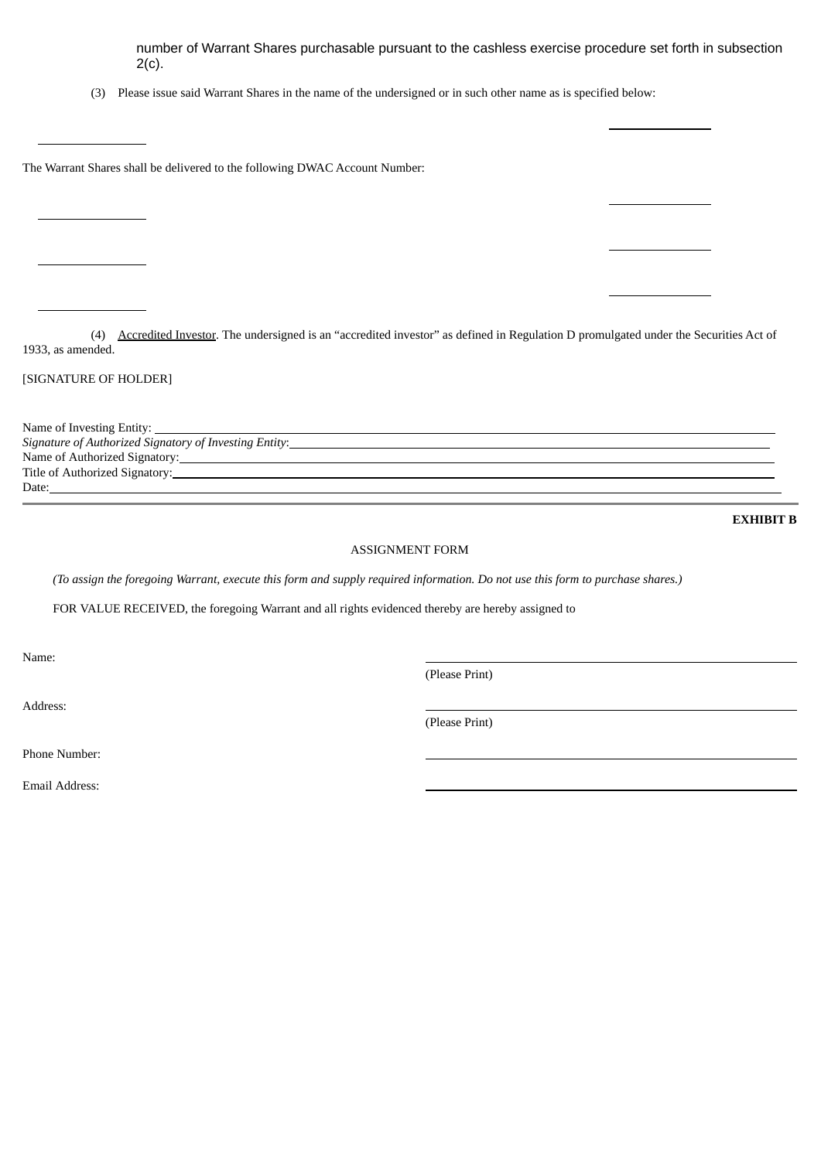number of Warrant Shares purchasable pursuant to the cashless exercise procedure set forth in subsection 2(c).

(3) Please issue said Warrant Shares in the name of the undersigned or in such other name as is specified below:

The Warrant Shares shall be delivered to the following DWAC Account Number:

(4) Accredited Investor. The undersigned is an "accredited investor" as defined in Regulation D promulgated under the Securities Act of 1933, as amended.

### [SIGNATURE OF HOLDER]

Name of Investing Entity: *Signature of Authorized Signatory of Investing Entity*: Name of Authorized Signatory: Title of Authorized Signatory: Date:

**EXHIBIT B**

# ASSIGNMENT FORM

(To assign the foregoing Warrant, execute this form and supply required information. Do not use this form to purchase shares.)

FOR VALUE RECEIVED, the foregoing Warrant and all rights evidenced thereby are hereby assigned to

Name:

Address:

(Please Print)

(Please Print)

Phone Number:

Email Address: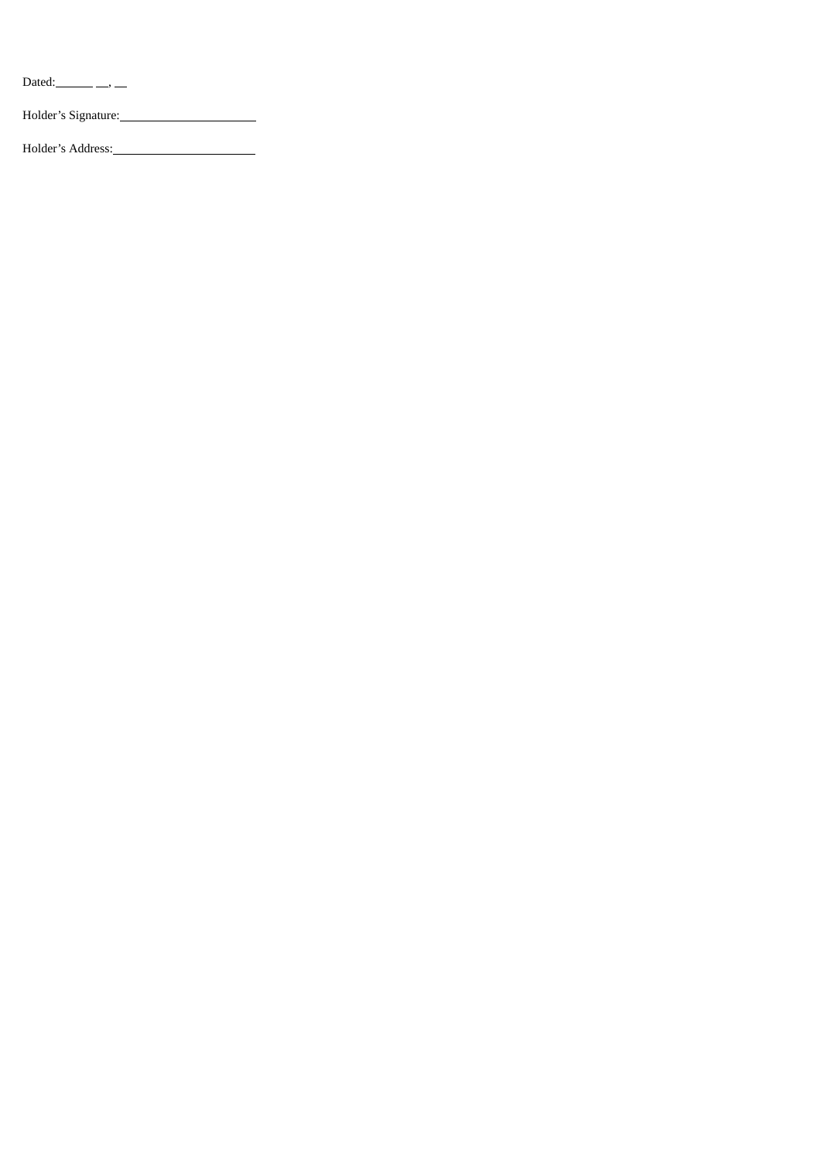Dated: $\_\_\_\_\_\_\_\_\_\_\_$ 

Holder's Signature:

Holder's Address: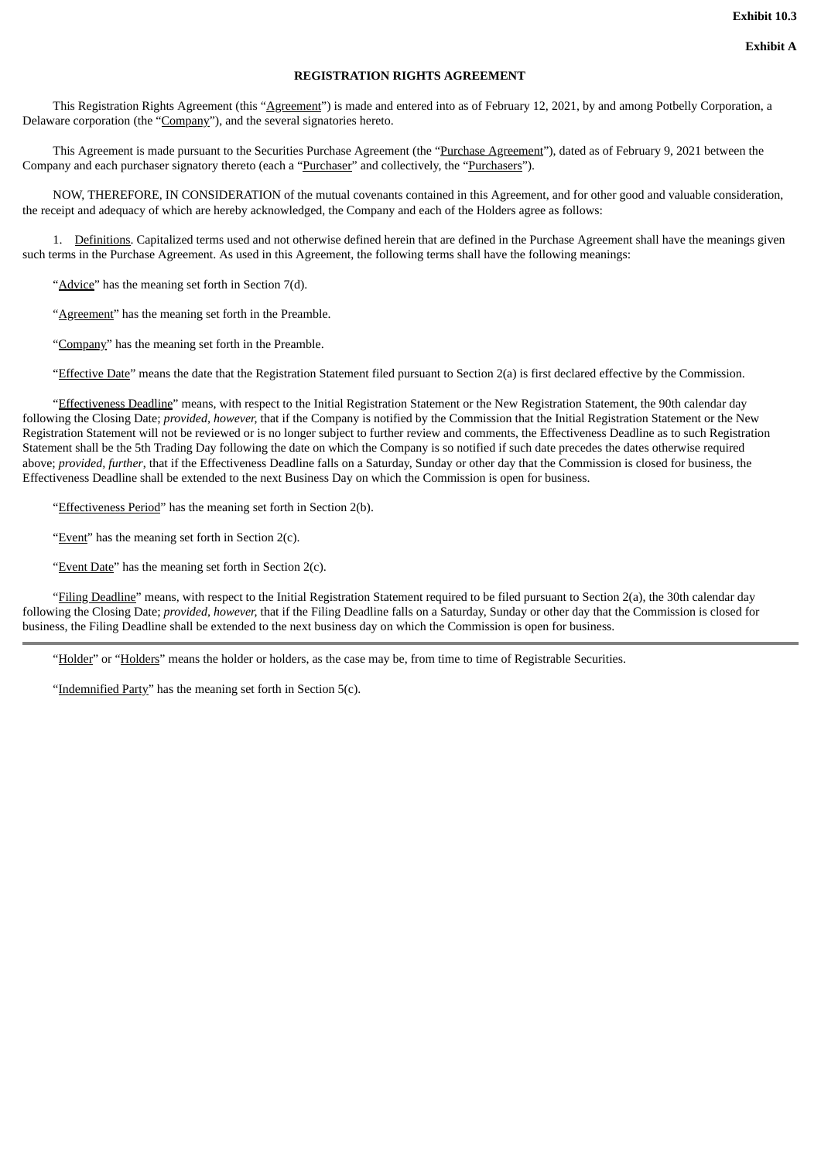#### **REGISTRATION RIGHTS AGREEMENT**

This Registration Rights Agreement (this "Agreement") is made and entered into as of February 12, 2021, by and among Potbelly Corporation, a Delaware corporation (the "Company"), and the several signatories hereto.

This Agreement is made pursuant to the Securities Purchase Agreement (the "Purchase Agreement"), dated as of February 9, 2021 between the Company and each purchaser signatory thereto (each a "Purchaser" and collectively, the "Purchasers").

NOW, THEREFORE, IN CONSIDERATION of the mutual covenants contained in this Agreement, and for other good and valuable consideration, the receipt and adequacy of which are hereby acknowledged, the Company and each of the Holders agree as follows:

1. Definitions. Capitalized terms used and not otherwise defined herein that are defined in the Purchase Agreement shall have the meanings given such terms in the Purchase Agreement. As used in this Agreement, the following terms shall have the following meanings:

"Advice" has the meaning set forth in Section 7(d).

"**Agreement**" has the meaning set forth in the Preamble.

"Company" has the meaning set forth in the Preamble.

"Effective Date" means the date that the Registration Statement filed pursuant to Section 2(a) is first declared effective by the Commission.

"Effectiveness Deadline" means, with respect to the Initial Registration Statement or the New Registration Statement, the 90th calendar day following the Closing Date; *provided, however,* that if the Company is notified by the Commission that the Initial Registration Statement or the New Registration Statement will not be reviewed or is no longer subject to further review and comments, the Effectiveness Deadline as to such Registration Statement shall be the 5th Trading Day following the date on which the Company is so notified if such date precedes the dates otherwise required above; *provided, further*, that if the Effectiveness Deadline falls on a Saturday, Sunday or other day that the Commission is closed for business, the Effectiveness Deadline shall be extended to the next Business Day on which the Commission is open for business.

"Effectiveness Period" has the meaning set forth in Section 2(b).

"Event" has the meaning set forth in Section 2(c).

"Event Date" has the meaning set forth in Section 2(c).

"Filing Deadline" means, with respect to the Initial Registration Statement required to be filed pursuant to Section 2(a), the 30th calendar day following the Closing Date; *provided, however,* that if the Filing Deadline falls on a Saturday, Sunday or other day that the Commission is closed for business, the Filing Deadline shall be extended to the next business day on which the Commission is open for business.

"Holder" or "Holders" means the holder or holders, as the case may be, from time to time of Registrable Securities.

"Indemnified Party" has the meaning set forth in Section 5(c).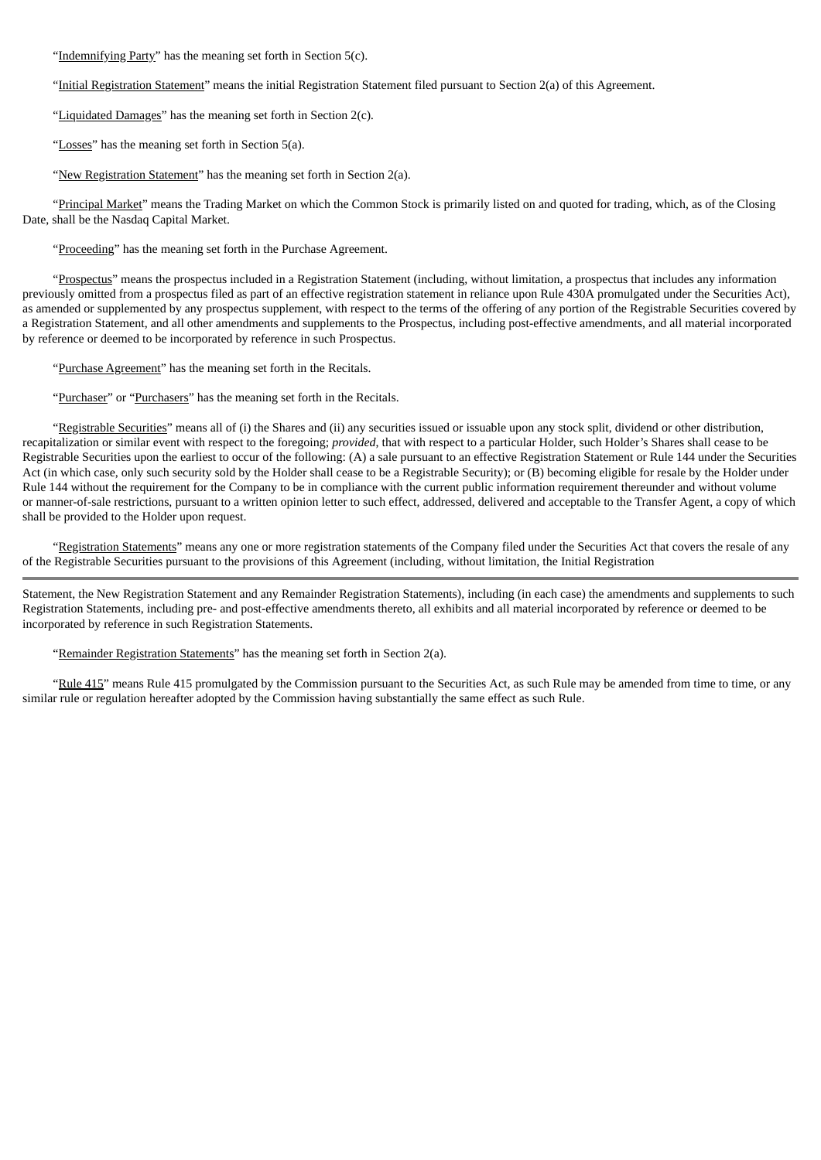"Indemnifying Party" has the meaning set forth in Section 5(c).

"Initial Registration Statement" means the initial Registration Statement filed pursuant to Section 2(a) of this Agreement.

"Liquidated Damages" has the meaning set forth in Section 2(c)*.*

"Losses" has the meaning set forth in Section 5(a).

"New Registration Statement" has the meaning set forth in Section 2(a).

"Principal Market" means the Trading Market on which the Common Stock is primarily listed on and quoted for trading, which, as of the Closing Date, shall be the Nasdaq Capital Market.

"Proceeding" has the meaning set forth in the Purchase Agreement.

"Prospectus" means the prospectus included in a Registration Statement (including, without limitation, a prospectus that includes any information previously omitted from a prospectus filed as part of an effective registration statement in reliance upon Rule 430A promulgated under the Securities Act), as amended or supplemented by any prospectus supplement, with respect to the terms of the offering of any portion of the Registrable Securities covered by a Registration Statement, and all other amendments and supplements to the Prospectus, including post-effective amendments, and all material incorporated by reference or deemed to be incorporated by reference in such Prospectus.

"Purchase Agreement" has the meaning set forth in the Recitals.

"Purchaser" or "Purchasers" has the meaning set forth in the Recitals.

"Registrable Securities" means all of (i) the Shares and (ii) any securities issued or issuable upon any stock split, dividend or other distribution, recapitalization or similar event with respect to the foregoing; *provided*, that with respect to a particular Holder, such Holder's Shares shall cease to be Registrable Securities upon the earliest to occur of the following: (A) a sale pursuant to an effective Registration Statement or Rule 144 under the Securities Act (in which case, only such security sold by the Holder shall cease to be a Registrable Security); or (B) becoming eligible for resale by the Holder under Rule 144 without the requirement for the Company to be in compliance with the current public information requirement thereunder and without volume or manner-of-sale restrictions, pursuant to a written opinion letter to such effect, addressed, delivered and acceptable to the Transfer Agent, a copy of which shall be provided to the Holder upon request.

"Registration Statements" means any one or more registration statements of the Company filed under the Securities Act that covers the resale of any of the Registrable Securities pursuant to the provisions of this Agreement (including, without limitation, the Initial Registration

Statement, the New Registration Statement and any Remainder Registration Statements), including (in each case) the amendments and supplements to such Registration Statements, including pre- and post-effective amendments thereto, all exhibits and all material incorporated by reference or deemed to be incorporated by reference in such Registration Statements.

"Remainder Registration Statements" has the meaning set forth in Section 2(a).

"Rule 415" means Rule 415 promulgated by the Commission pursuant to the Securities Act, as such Rule may be amended from time to time, or any similar rule or regulation hereafter adopted by the Commission having substantially the same effect as such Rule.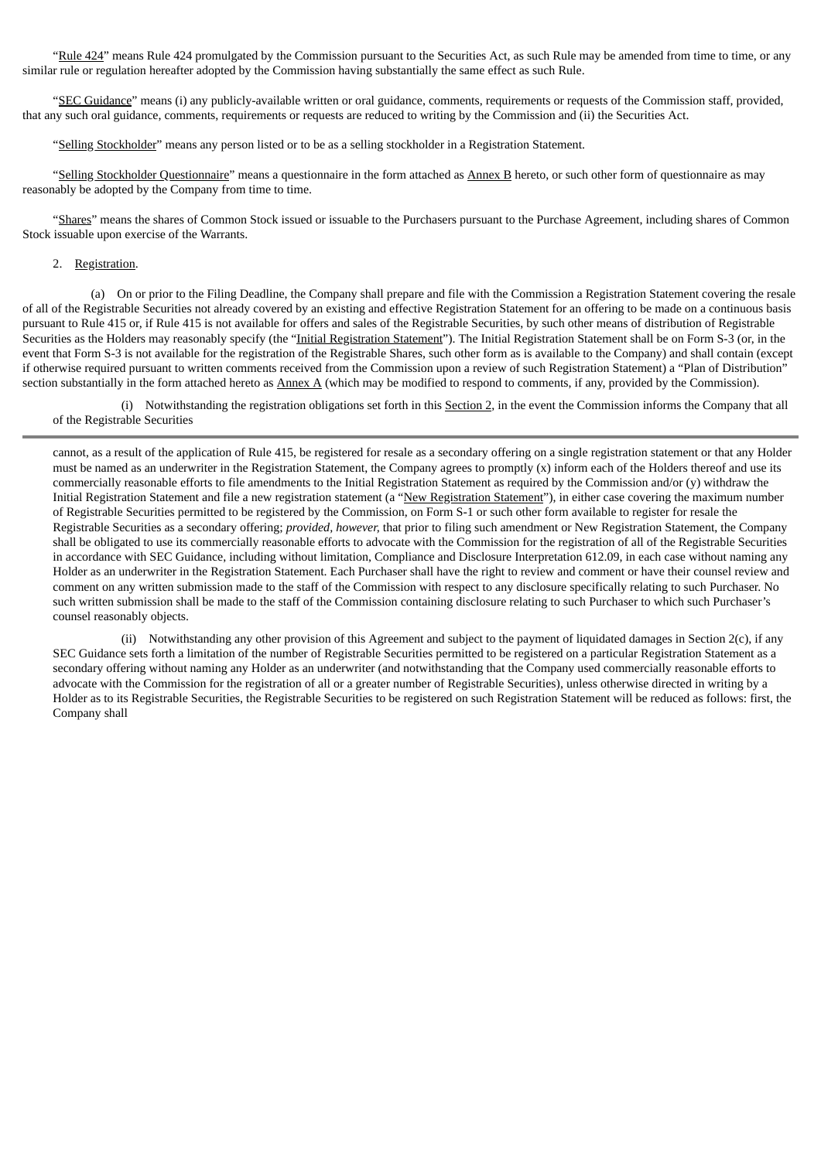"Rule 424" means Rule 424 promulgated by the Commission pursuant to the Securities Act, as such Rule may be amended from time to time, or any similar rule or regulation hereafter adopted by the Commission having substantially the same effect as such Rule.

"SEC Guidance" means (i) any publicly-available written or oral guidance, comments, requirements or requests of the Commission staff, provided, that any such oral guidance, comments, requirements or requests are reduced to writing by the Commission and (ii) the Securities Act.

"Selling Stockholder" means any person listed or to be as a selling stockholder in a Registration Statement.

"Selling Stockholder Questionnaire" means a questionnaire in the form attached as Annex B hereto, or such other form of questionnaire as may reasonably be adopted by the Company from time to time.

"Shares" means the shares of Common Stock issued or issuable to the Purchasers pursuant to the Purchase Agreement, including shares of Common Stock issuable upon exercise of the Warrants.

### 2. Registration.

(a) On or prior to the Filing Deadline, the Company shall prepare and file with the Commission a Registration Statement covering the resale of all of the Registrable Securities not already covered by an existing and effective Registration Statement for an offering to be made on a continuous basis pursuant to Rule 415 or, if Rule 415 is not available for offers and sales of the Registrable Securities, by such other means of distribution of Registrable Securities as the Holders may reasonably specify (the "Initial Registration Statement"). The Initial Registration Statement shall be on Form S-3 (or, in the event that Form S-3 is not available for the registration of the Registrable Shares, such other form as is available to the Company) and shall contain (except if otherwise required pursuant to written comments received from the Commission upon a review of such Registration Statement) a "Plan of Distribution" section substantially in the form attached hereto as  $\Delta mexA$  (which may be modified to respond to comments, if any, provided by the Commission).

(i) Notwithstanding the registration obligations set forth in this Section 2, in the event the Commission informs the Company that all of the Registrable Securities

cannot, as a result of the application of Rule 415, be registered for resale as a secondary offering on a single registration statement or that any Holder must be named as an underwriter in the Registration Statement, the Company agrees to promptly (x) inform each of the Holders thereof and use its commercially reasonable efforts to file amendments to the Initial Registration Statement as required by the Commission and/or (y) withdraw the Initial Registration Statement and file a new registration statement (a "New Registration Statement"), in either case covering the maximum number of Registrable Securities permitted to be registered by the Commission, on Form S-1 or such other form available to register for resale the Registrable Securities as a secondary offering; *provided, however,* that prior to filing such amendment or New Registration Statement, the Company shall be obligated to use its commercially reasonable efforts to advocate with the Commission for the registration of all of the Registrable Securities in accordance with SEC Guidance, including without limitation, Compliance and Disclosure Interpretation 612.09, in each case without naming any Holder as an underwriter in the Registration Statement. Each Purchaser shall have the right to review and comment or have their counsel review and comment on any written submission made to the staff of the Commission with respect to any disclosure specifically relating to such Purchaser. No such written submission shall be made to the staff of the Commission containing disclosure relating to such Purchaser to which such Purchaser's counsel reasonably objects.

(ii) Notwithstanding any other provision of this Agreement and subject to the payment of liquidated damages in Section 2(c), if any SEC Guidance sets forth a limitation of the number of Registrable Securities permitted to be registered on a particular Registration Statement as a secondary offering without naming any Holder as an underwriter (and notwithstanding that the Company used commercially reasonable efforts to advocate with the Commission for the registration of all or a greater number of Registrable Securities), unless otherwise directed in writing by a Holder as to its Registrable Securities, the Registrable Securities to be registered on such Registration Statement will be reduced as follows: first, the Company shall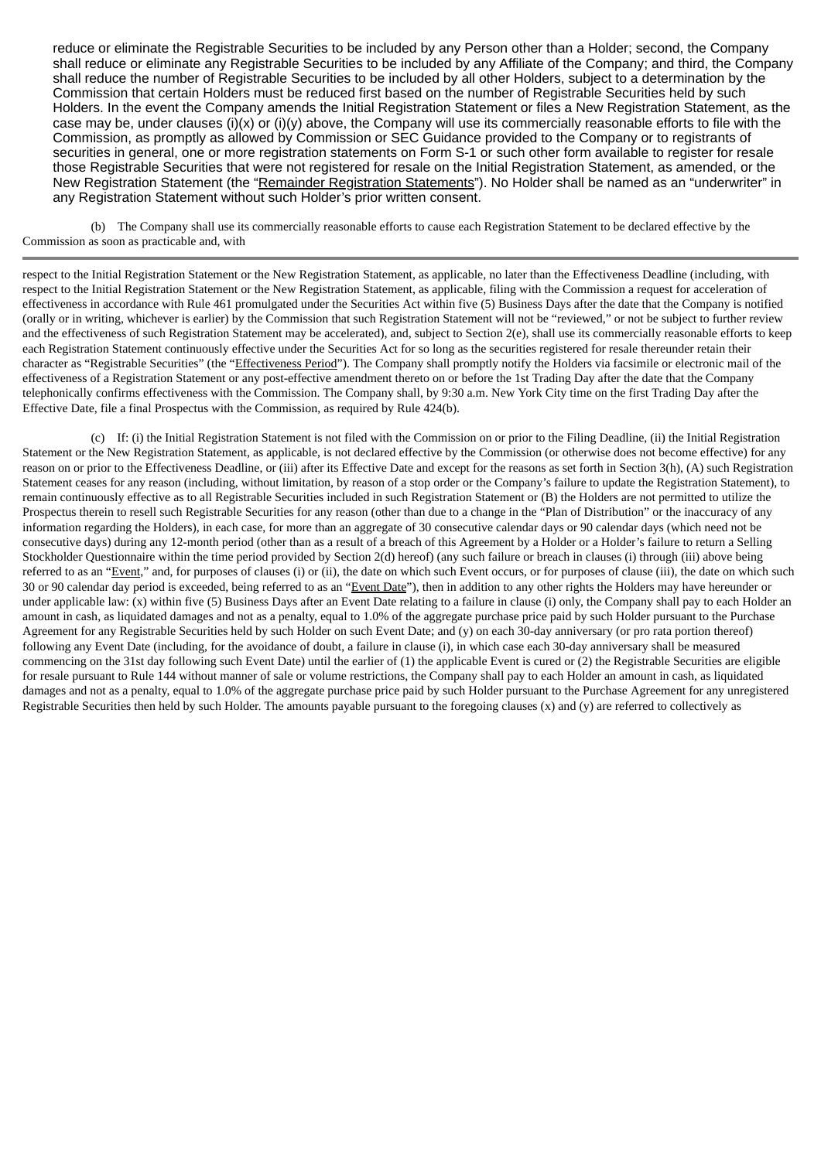reduce or eliminate the Registrable Securities to be included by any Person other than a Holder; second, the Company shall reduce or eliminate any Registrable Securities to be included by any Affiliate of the Company; and third, the Company shall reduce the number of Registrable Securities to be included by all other Holders, subject to a determination by the Commission that certain Holders must be reduced first based on the number of Registrable Securities held by such Holders. In the event the Company amends the Initial Registration Statement or files a New Registration Statement, as the case may be, under clauses (i)(x) or (i)(y) above, the Company will use its commercially reasonable efforts to file with the Commission, as promptly as allowed by Commission or SEC Guidance provided to the Company or to registrants of securities in general, one or more registration statements on Form S-1 or such other form available to register for resale those Registrable Securities that were not registered for resale on the Initial Registration Statement, as amended, or the New Registration Statement (the "Remainder Registration Statements"). No Holder shall be named as an "underwriter" in any Registration Statement without such Holder's prior written consent.

(b) The Company shall use its commercially reasonable efforts to cause each Registration Statement to be declared effective by the Commission as soon as practicable and, with

respect to the Initial Registration Statement or the New Registration Statement, as applicable, no later than the Effectiveness Deadline (including, with respect to the Initial Registration Statement or the New Registration Statement, as applicable, filing with the Commission a request for acceleration of effectiveness in accordance with Rule 461 promulgated under the Securities Act within five (5) Business Days after the date that the Company is notified (orally or in writing, whichever is earlier) by the Commission that such Registration Statement will not be "reviewed," or not be subject to further review and the effectiveness of such Registration Statement may be accelerated), and, subject to Section 2(e), shall use its commercially reasonable efforts to keep each Registration Statement continuously effective under the Securities Act for so long as the securities registered for resale thereunder retain their character as "Registrable Securities" (the "Effectiveness Period"). The Company shall promptly notify the Holders via facsimile or electronic mail of the effectiveness of a Registration Statement or any post-effective amendment thereto on or before the 1st Trading Day after the date that the Company telephonically confirms effectiveness with the Commission. The Company shall, by 9:30 a.m. New York City time on the first Trading Day after the Effective Date, file a final Prospectus with the Commission, as required by Rule 424(b).

(c) If: (i) the Initial Registration Statement is not filed with the Commission on or prior to the Filing Deadline, (ii) the Initial Registration Statement or the New Registration Statement, as applicable, is not declared effective by the Commission (or otherwise does not become effective) for any reason on or prior to the Effectiveness Deadline, or (iii) after its Effective Date and except for the reasons as set forth in Section 3(h), (A) such Registration Statement ceases for any reason (including, without limitation, by reason of a stop order or the Company's failure to update the Registration Statement), to remain continuously effective as to all Registrable Securities included in such Registration Statement or (B) the Holders are not permitted to utilize the Prospectus therein to resell such Registrable Securities for any reason (other than due to a change in the "Plan of Distribution" or the inaccuracy of any information regarding the Holders), in each case, for more than an aggregate of 30 consecutive calendar days or 90 calendar days (which need not be consecutive days) during any 12-month period (other than as a result of a breach of this Agreement by a Holder or a Holder's failure to return a Selling Stockholder Questionnaire within the time period provided by Section 2(d) hereof) (any such failure or breach in clauses (i) through (iii) above being referred to as an "Event," and, for purposes of clauses (i) or (ii), the date on which such Event occurs, or for purposes of clause (iii), the date on which such 30 or 90 calendar day period is exceeded, being referred to as an "Event Date"), then in addition to any other rights the Holders may have hereunder or under applicable law:  $(x)$  within five (5) Business Days after an Event Date relating to a failure in clause  $(i)$  only, the Company shall pay to each Holder an amount in cash, as liquidated damages and not as a penalty, equal to 1.0% of the aggregate purchase price paid by such Holder pursuant to the Purchase Agreement for any Registrable Securities held by such Holder on such Event Date; and (y) on each 30-day anniversary (or pro rata portion thereof) following any Event Date (including, for the avoidance of doubt, a failure in clause (i), in which case each 30-day anniversary shall be measured commencing on the 31st day following such Event Date) until the earlier of (1) the applicable Event is cured or (2) the Registrable Securities are eligible for resale pursuant to Rule 144 without manner of sale or volume restrictions, the Company shall pay to each Holder an amount in cash, as liquidated damages and not as a penalty, equal to 1.0% of the aggregate purchase price paid by such Holder pursuant to the Purchase Agreement for any unregistered Registrable Securities then held by such Holder. The amounts payable pursuant to the foregoing clauses  $(x)$  and  $(y)$  are referred to collectively as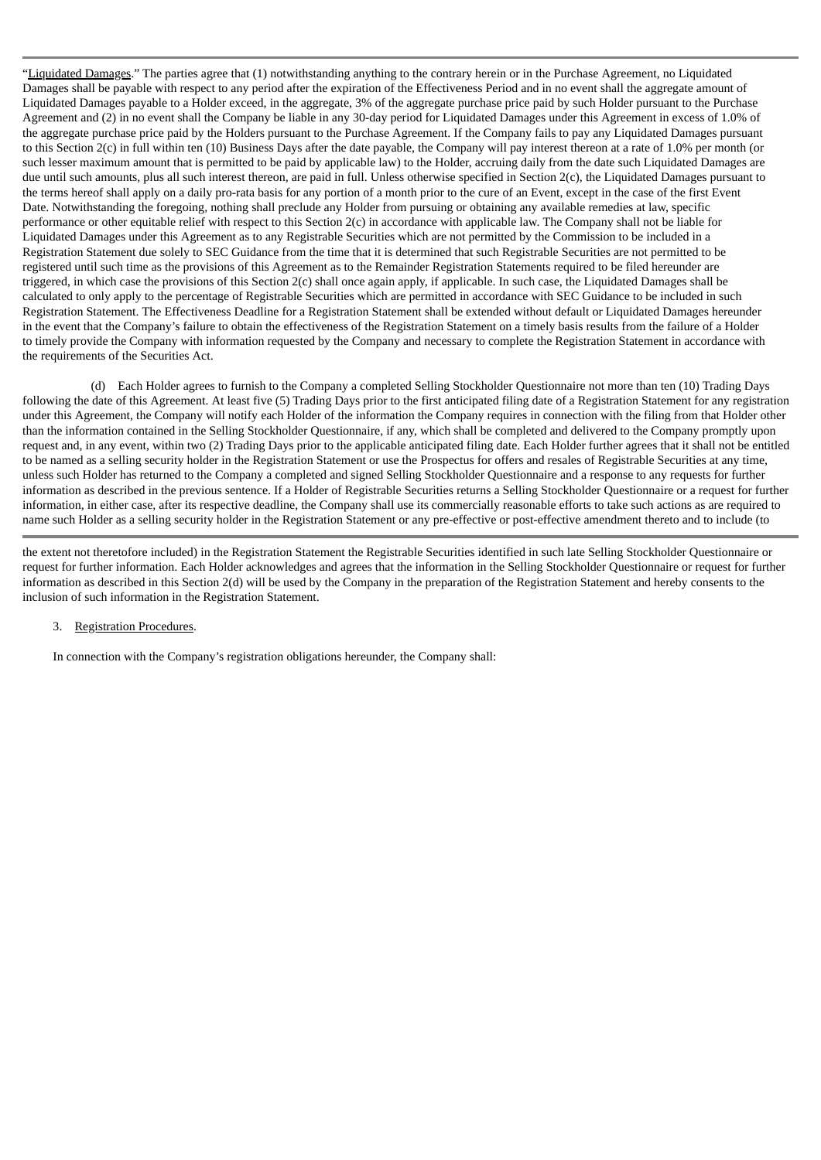"Liquidated Damages." The parties agree that (1) notwithstanding anything to the contrary herein or in the Purchase Agreement, no Liquidated Damages shall be payable with respect to any period after the expiration of the Effectiveness Period and in no event shall the aggregate amount of Liquidated Damages payable to a Holder exceed, in the aggregate, 3% of the aggregate purchase price paid by such Holder pursuant to the Purchase Agreement and (2) in no event shall the Company be liable in any 30-day period for Liquidated Damages under this Agreement in excess of 1.0% of the aggregate purchase price paid by the Holders pursuant to the Purchase Agreement. If the Company fails to pay any Liquidated Damages pursuant to this Section 2(c) in full within ten (10) Business Days after the date payable, the Company will pay interest thereon at a rate of 1.0% per month (or such lesser maximum amount that is permitted to be paid by applicable law) to the Holder, accruing daily from the date such Liquidated Damages are due until such amounts, plus all such interest thereon, are paid in full. Unless otherwise specified in Section 2(c), the Liquidated Damages pursuant to the terms hereof shall apply on a daily pro-rata basis for any portion of a month prior to the cure of an Event, except in the case of the first Event Date. Notwithstanding the foregoing, nothing shall preclude any Holder from pursuing or obtaining any available remedies at law, specific performance or other equitable relief with respect to this Section 2(c) in accordance with applicable law. The Company shall not be liable for Liquidated Damages under this Agreement as to any Registrable Securities which are not permitted by the Commission to be included in a Registration Statement due solely to SEC Guidance from the time that it is determined that such Registrable Securities are not permitted to be registered until such time as the provisions of this Agreement as to the Remainder Registration Statements required to be filed hereunder are triggered, in which case the provisions of this Section 2(c) shall once again apply, if applicable. In such case, the Liquidated Damages shall be calculated to only apply to the percentage of Registrable Securities which are permitted in accordance with SEC Guidance to be included in such Registration Statement. The Effectiveness Deadline for a Registration Statement shall be extended without default or Liquidated Damages hereunder in the event that the Company's failure to obtain the effectiveness of the Registration Statement on a timely basis results from the failure of a Holder to timely provide the Company with information requested by the Company and necessary to complete the Registration Statement in accordance with the requirements of the Securities Act.

(d) Each Holder agrees to furnish to the Company a completed Selling Stockholder Questionnaire not more than ten (10) Trading Days following the date of this Agreement. At least five (5) Trading Days prior to the first anticipated filing date of a Registration Statement for any registration under this Agreement, the Company will notify each Holder of the information the Company requires in connection with the filing from that Holder other than the information contained in the Selling Stockholder Questionnaire, if any, which shall be completed and delivered to the Company promptly upon request and, in any event, within two (2) Trading Days prior to the applicable anticipated filing date. Each Holder further agrees that it shall not be entitled to be named as a selling security holder in the Registration Statement or use the Prospectus for offers and resales of Registrable Securities at any time, unless such Holder has returned to the Company a completed and signed Selling Stockholder Questionnaire and a response to any requests for further information as described in the previous sentence. If a Holder of Registrable Securities returns a Selling Stockholder Questionnaire or a request for further information, in either case, after its respective deadline, the Company shall use its commercially reasonable efforts to take such actions as are required to name such Holder as a selling security holder in the Registration Statement or any pre-effective or post-effective amendment thereto and to include (to

the extent not theretofore included) in the Registration Statement the Registrable Securities identified in such late Selling Stockholder Questionnaire or request for further information. Each Holder acknowledges and agrees that the information in the Selling Stockholder Questionnaire or request for further information as described in this Section 2(d) will be used by the Company in the preparation of the Registration Statement and hereby consents to the inclusion of such information in the Registration Statement.

# 3. Registration Procedures.

In connection with the Company's registration obligations hereunder, the Company shall: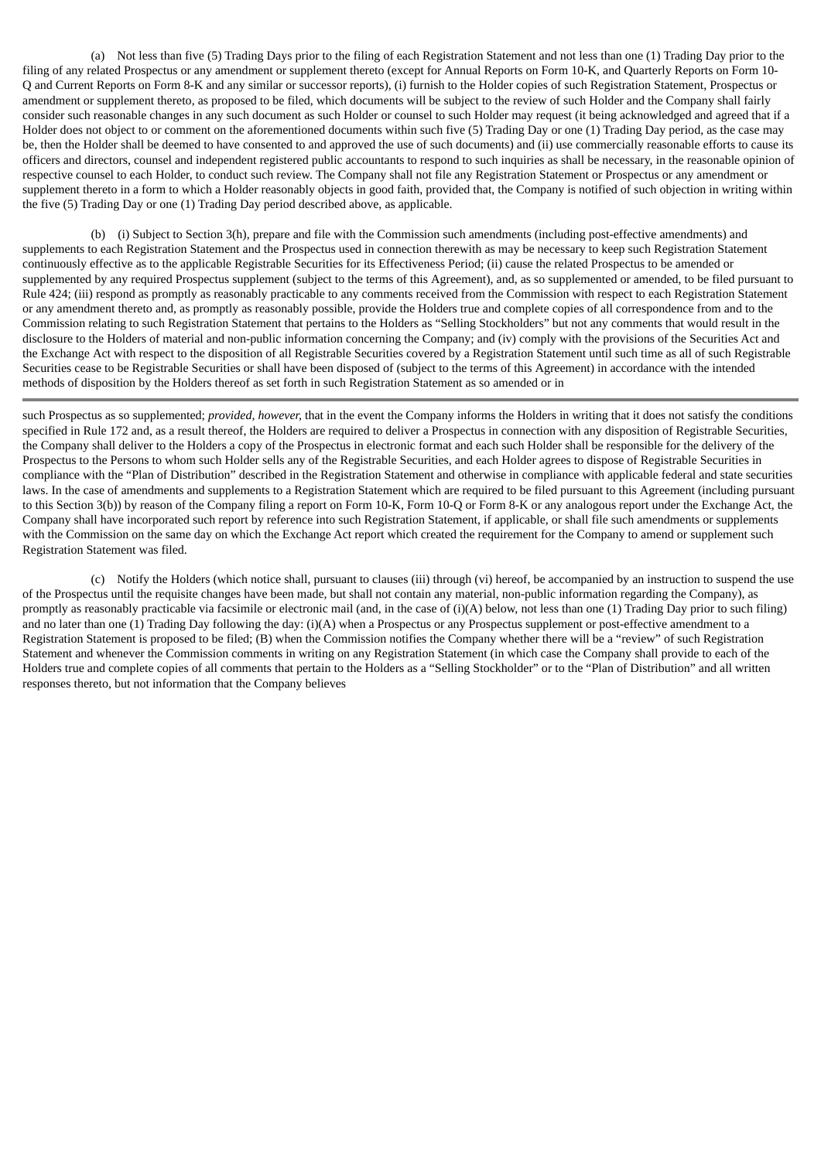(a) Not less than five (5) Trading Days prior to the filing of each Registration Statement and not less than one (1) Trading Day prior to the filing of any related Prospectus or any amendment or supplement thereto (except for Annual Reports on Form 10-K, and Quarterly Reports on Form 10- Q and Current Reports on Form 8-K and any similar or successor reports), (i) furnish to the Holder copies of such Registration Statement, Prospectus or amendment or supplement thereto, as proposed to be filed, which documents will be subject to the review of such Holder and the Company shall fairly consider such reasonable changes in any such document as such Holder or counsel to such Holder may request (it being acknowledged and agreed that if a Holder does not object to or comment on the aforementioned documents within such five (5) Trading Day or one (1) Trading Day period, as the case may be, then the Holder shall be deemed to have consented to and approved the use of such documents) and (ii) use commercially reasonable efforts to cause its officers and directors, counsel and independent registered public accountants to respond to such inquiries as shall be necessary, in the reasonable opinion of respective counsel to each Holder, to conduct such review. The Company shall not file any Registration Statement or Prospectus or any amendment or supplement thereto in a form to which a Holder reasonably objects in good faith, provided that, the Company is notified of such objection in writing within the five (5) Trading Day or one (1) Trading Day period described above, as applicable.

(b) (i) Subject to Section 3(h), prepare and file with the Commission such amendments (including post-effective amendments) and supplements to each Registration Statement and the Prospectus used in connection therewith as may be necessary to keep such Registration Statement continuously effective as to the applicable Registrable Securities for its Effectiveness Period; (ii) cause the related Prospectus to be amended or supplemented by any required Prospectus supplement (subject to the terms of this Agreement), and, as so supplemented or amended, to be filed pursuant to Rule 424; (iii) respond as promptly as reasonably practicable to any comments received from the Commission with respect to each Registration Statement or any amendment thereto and, as promptly as reasonably possible, provide the Holders true and complete copies of all correspondence from and to the Commission relating to such Registration Statement that pertains to the Holders as "Selling Stockholders" but not any comments that would result in the disclosure to the Holders of material and non-public information concerning the Company; and (iv) comply with the provisions of the Securities Act and the Exchange Act with respect to the disposition of all Registrable Securities covered by a Registration Statement until such time as all of such Registrable Securities cease to be Registrable Securities or shall have been disposed of (subject to the terms of this Agreement) in accordance with the intended methods of disposition by the Holders thereof as set forth in such Registration Statement as so amended or in

such Prospectus as so supplemented; *provided, however,* that in the event the Company informs the Holders in writing that it does not satisfy the conditions specified in Rule 172 and, as a result thereof, the Holders are required to deliver a Prospectus in connection with any disposition of Registrable Securities, the Company shall deliver to the Holders a copy of the Prospectus in electronic format and each such Holder shall be responsible for the delivery of the Prospectus to the Persons to whom such Holder sells any of the Registrable Securities, and each Holder agrees to dispose of Registrable Securities in compliance with the "Plan of Distribution" described in the Registration Statement and otherwise in compliance with applicable federal and state securities laws. In the case of amendments and supplements to a Registration Statement which are required to be filed pursuant to this Agreement (including pursuant to this Section 3(b)) by reason of the Company filing a report on Form 10-K, Form 10-Q or Form 8-K or any analogous report under the Exchange Act, the Company shall have incorporated such report by reference into such Registration Statement, if applicable, or shall file such amendments or supplements with the Commission on the same day on which the Exchange Act report which created the requirement for the Company to amend or supplement such Registration Statement was filed.

(c) Notify the Holders (which notice shall, pursuant to clauses (iii) through (vi) hereof, be accompanied by an instruction to suspend the use of the Prospectus until the requisite changes have been made, but shall not contain any material, non-public information regarding the Company), as promptly as reasonably practicable via facsimile or electronic mail (and, in the case of (i)(A) below, not less than one (1) Trading Day prior to such filing) and no later than one (1) Trading Day following the day: (i)(A) when a Prospectus or any Prospectus supplement or post-effective amendment to a Registration Statement is proposed to be filed; (B) when the Commission notifies the Company whether there will be a "review" of such Registration Statement and whenever the Commission comments in writing on any Registration Statement (in which case the Company shall provide to each of the Holders true and complete copies of all comments that pertain to the Holders as a "Selling Stockholder" or to the "Plan of Distribution" and all written responses thereto, but not information that the Company believes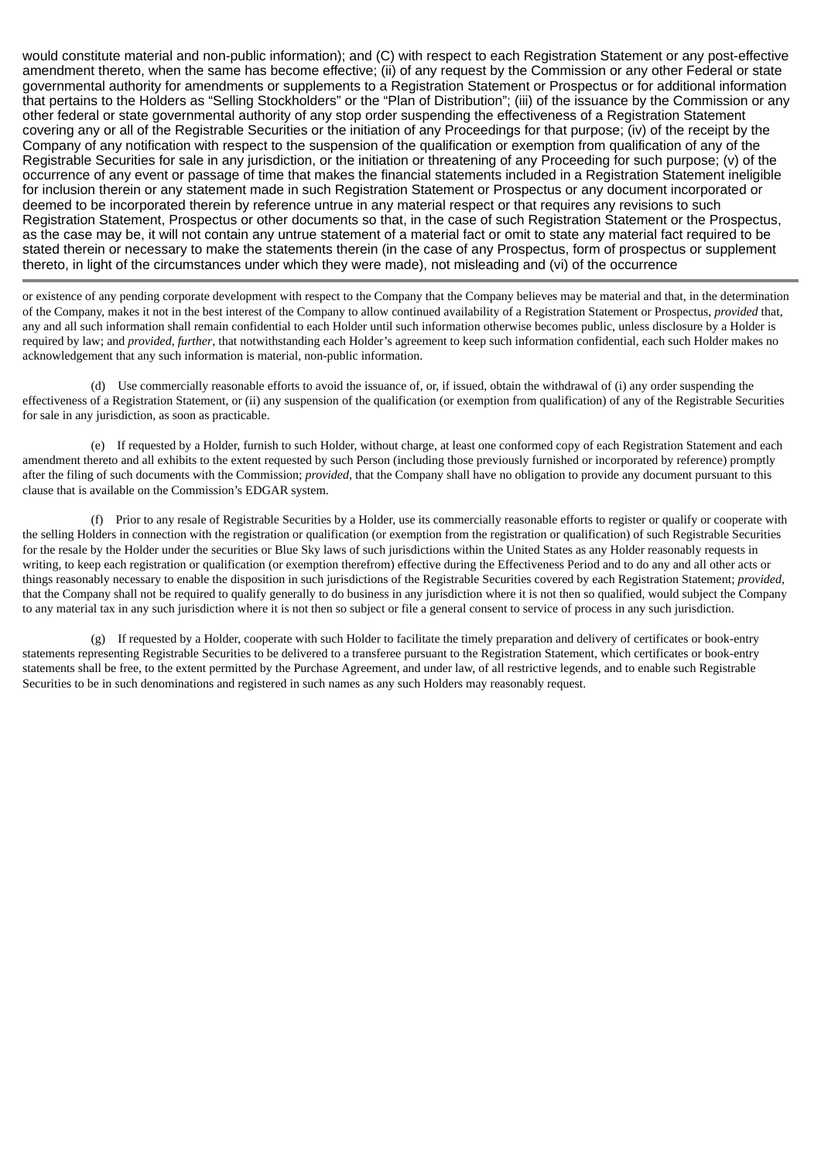would constitute material and non-public information); and (C) with respect to each Registration Statement or any post-effective amendment thereto, when the same has become effective; (ii) of any request by the Commission or any other Federal or state governmental authority for amendments or supplements to a Registration Statement or Prospectus or for additional information that pertains to the Holders as "Selling Stockholders" or the "Plan of Distribution"; (iii) of the issuance by the Commission or any other federal or state governmental authority of any stop order suspending the effectiveness of a Registration Statement covering any or all of the Registrable Securities or the initiation of any Proceedings for that purpose; (iv) of the receipt by the Company of any notification with respect to the suspension of the qualification or exemption from qualification of any of the Registrable Securities for sale in any jurisdiction, or the initiation or threatening of any Proceeding for such purpose; (v) of the occurrence of any event or passage of time that makes the financial statements included in a Registration Statement ineligible for inclusion therein or any statement made in such Registration Statement or Prospectus or any document incorporated or deemed to be incorporated therein by reference untrue in any material respect or that requires any revisions to such Registration Statement, Prospectus or other documents so that, in the case of such Registration Statement or the Prospectus, as the case may be, it will not contain any untrue statement of a material fact or omit to state any material fact required to be stated therein or necessary to make the statements therein (in the case of any Prospectus, form of prospectus or supplement thereto, in light of the circumstances under which they were made), not misleading and (vi) of the occurrence

or existence of any pending corporate development with respect to the Company that the Company believes may be material and that, in the determination of the Company, makes it not in the best interest of the Company to allow continued availability of a Registration Statement or Prospectus, *provided* that, any and all such information shall remain confidential to each Holder until such information otherwise becomes public, unless disclosure by a Holder is required by law; and *provided*, *further*, that notwithstanding each Holder's agreement to keep such information confidential, each such Holder makes no acknowledgement that any such information is material, non-public information.

(d) Use commercially reasonable efforts to avoid the issuance of, or, if issued, obtain the withdrawal of (i) any order suspending the effectiveness of a Registration Statement, or (ii) any suspension of the qualification (or exemption from qualification) of any of the Registrable Securities for sale in any jurisdiction, as soon as practicable.

(e) If requested by a Holder, furnish to such Holder, without charge, at least one conformed copy of each Registration Statement and each amendment thereto and all exhibits to the extent requested by such Person (including those previously furnished or incorporated by reference) promptly after the filing of such documents with the Commission; *provided*, that the Company shall have no obligation to provide any document pursuant to this clause that is available on the Commission's EDGAR system.

(f) Prior to any resale of Registrable Securities by a Holder, use its commercially reasonable efforts to register or qualify or cooperate with the selling Holders in connection with the registration or qualification (or exemption from the registration or qualification) of such Registrable Securities for the resale by the Holder under the securities or Blue Sky laws of such jurisdictions within the United States as any Holder reasonably requests in writing, to keep each registration or qualification (or exemption therefrom) effective during the Effectiveness Period and to do any and all other acts or things reasonably necessary to enable the disposition in such jurisdictions of the Registrable Securities covered by each Registration Statement; *provided*, that the Company shall not be required to qualify generally to do business in any jurisdiction where it is not then so qualified, would subject the Company to any material tax in any such jurisdiction where it is not then so subject or file a general consent to service of process in any such jurisdiction.

(g) If requested by a Holder, cooperate with such Holder to facilitate the timely preparation and delivery of certificates or book-entry statements representing Registrable Securities to be delivered to a transferee pursuant to the Registration Statement, which certificates or book-entry statements shall be free, to the extent permitted by the Purchase Agreement, and under law, of all restrictive legends, and to enable such Registrable Securities to be in such denominations and registered in such names as any such Holders may reasonably request.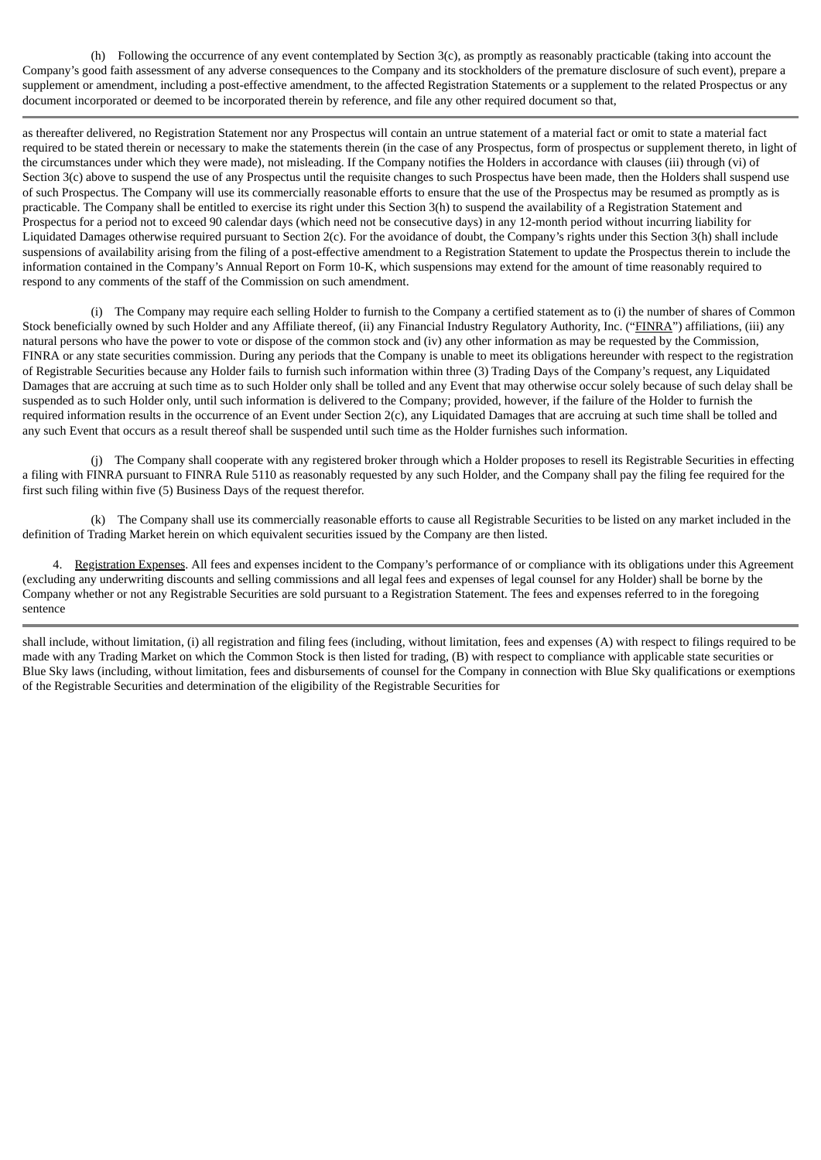(h) Following the occurrence of any event contemplated by Section 3(c), as promptly as reasonably practicable (taking into account the Company's good faith assessment of any adverse consequences to the Company and its stockholders of the premature disclosure of such event), prepare a supplement or amendment, including a post-effective amendment, to the affected Registration Statements or a supplement to the related Prospectus or any document incorporated or deemed to be incorporated therein by reference, and file any other required document so that,

as thereafter delivered, no Registration Statement nor any Prospectus will contain an untrue statement of a material fact or omit to state a material fact required to be stated therein or necessary to make the statements therein (in the case of any Prospectus, form of prospectus or supplement thereto, in light of the circumstances under which they were made), not misleading. If the Company notifies the Holders in accordance with clauses (iii) through (vi) of Section 3(c) above to suspend the use of any Prospectus until the requisite changes to such Prospectus have been made, then the Holders shall suspend use of such Prospectus. The Company will use its commercially reasonable efforts to ensure that the use of the Prospectus may be resumed as promptly as is practicable. The Company shall be entitled to exercise its right under this Section 3(h) to suspend the availability of a Registration Statement and Prospectus for a period not to exceed 90 calendar days (which need not be consecutive days) in any 12-month period without incurring liability for Liquidated Damages otherwise required pursuant to Section 2(c). For the avoidance of doubt, the Company's rights under this Section 3(h) shall include suspensions of availability arising from the filing of a post-effective amendment to a Registration Statement to update the Prospectus therein to include the information contained in the Company's Annual Report on Form 10-K, which suspensions may extend for the amount of time reasonably required to respond to any comments of the staff of the Commission on such amendment.

(i) The Company may require each selling Holder to furnish to the Company a certified statement as to (i) the number of shares of Common Stock beneficially owned by such Holder and any Affiliate thereof, (ii) any Financial Industry Regulatory Authority, Inc. ("FINRA") affiliations, (iii) any natural persons who have the power to vote or dispose of the common stock and (iv) any other information as may be requested by the Commission, FINRA or any state securities commission. During any periods that the Company is unable to meet its obligations hereunder with respect to the registration of Registrable Securities because any Holder fails to furnish such information within three (3) Trading Days of the Company's request, any Liquidated Damages that are accruing at such time as to such Holder only shall be tolled and any Event that may otherwise occur solely because of such delay shall be suspended as to such Holder only, until such information is delivered to the Company; provided, however, if the failure of the Holder to furnish the required information results in the occurrence of an Event under Section 2(c), any Liquidated Damages that are accruing at such time shall be tolled and any such Event that occurs as a result thereof shall be suspended until such time as the Holder furnishes such information.

(j) The Company shall cooperate with any registered broker through which a Holder proposes to resell its Registrable Securities in effecting a filing with FINRA pursuant to FINRA Rule 5110 as reasonably requested by any such Holder, and the Company shall pay the filing fee required for the first such filing within five (5) Business Days of the request therefor.

(k) The Company shall use its commercially reasonable efforts to cause all Registrable Securities to be listed on any market included in the definition of Trading Market herein on which equivalent securities issued by the Company are then listed.

4. Registration Expenses. All fees and expenses incident to the Company's performance of or compliance with its obligations under this Agreement (excluding any underwriting discounts and selling commissions and all legal fees and expenses of legal counsel for any Holder) shall be borne by the Company whether or not any Registrable Securities are sold pursuant to a Registration Statement. The fees and expenses referred to in the foregoing sentence

shall include, without limitation, (i) all registration and filing fees (including, without limitation, fees and expenses (A) with respect to filings required to be made with any Trading Market on which the Common Stock is then listed for trading, (B) with respect to compliance with applicable state securities or Blue Sky laws (including, without limitation, fees and disbursements of counsel for the Company in connection with Blue Sky qualifications or exemptions of the Registrable Securities and determination of the eligibility of the Registrable Securities for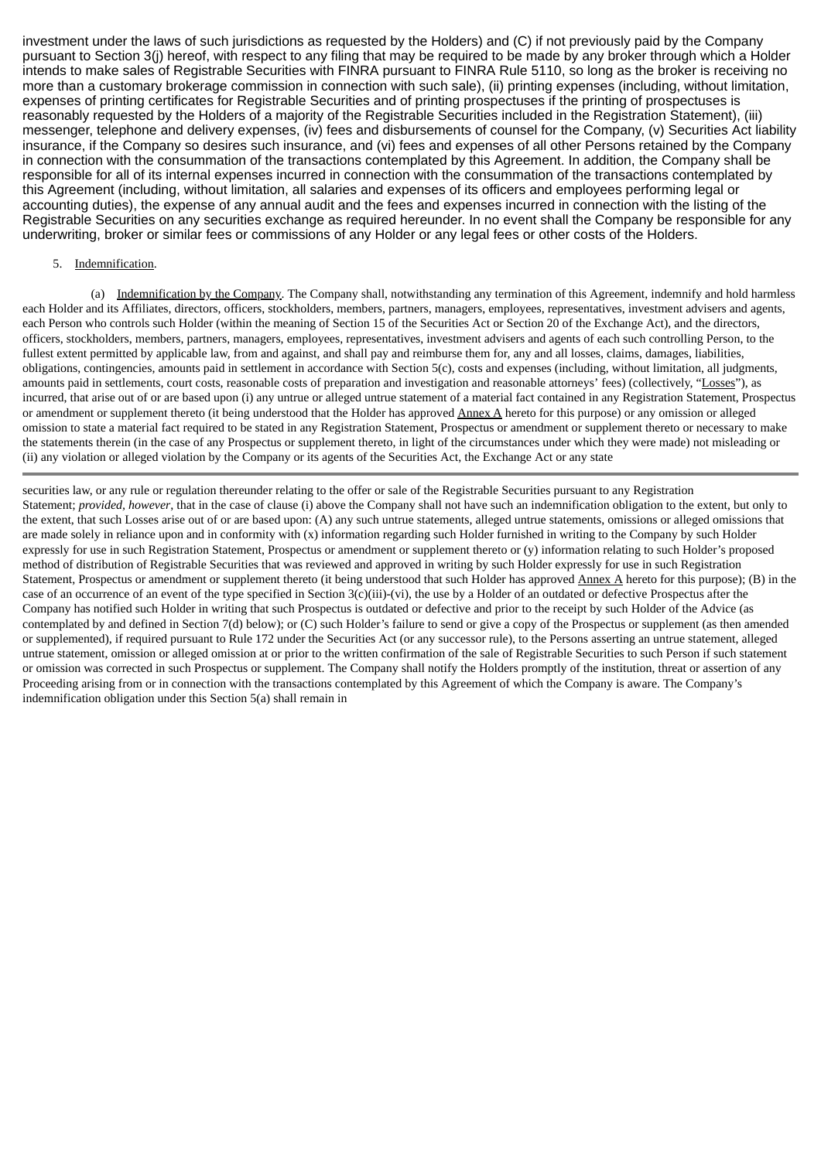investment under the laws of such jurisdictions as requested by the Holders) and (C) if not previously paid by the Company pursuant to Section 3(j) hereof, with respect to any filing that may be required to be made by any broker through which a Holder intends to make sales of Registrable Securities with FINRA pursuant to FINRA Rule 5110, so long as the broker is receiving no more than a customary brokerage commission in connection with such sale), (ii) printing expenses (including, without limitation, expenses of printing certificates for Registrable Securities and of printing prospectuses if the printing of prospectuses is reasonably requested by the Holders of a majority of the Registrable Securities included in the Registration Statement), (iii) messenger, telephone and delivery expenses, (iv) fees and disbursements of counsel for the Company, (v) Securities Act liability insurance, if the Company so desires such insurance, and (vi) fees and expenses of all other Persons retained by the Company in connection with the consummation of the transactions contemplated by this Agreement. In addition, the Company shall be responsible for all of its internal expenses incurred in connection with the consummation of the transactions contemplated by this Agreement (including, without limitation, all salaries and expenses of its officers and employees performing legal or accounting duties), the expense of any annual audit and the fees and expenses incurred in connection with the listing of the Registrable Securities on any securities exchange as required hereunder. In no event shall the Company be responsible for any underwriting, broker or similar fees or commissions of any Holder or any legal fees or other costs of the Holders.

# 5. Indemnification.

(a) Indemnification by the Company. The Company shall, notwithstanding any termination of this Agreement, indemnify and hold harmless each Holder and its Affiliates, directors, officers, stockholders, members, partners, managers, employees, representatives, investment advisers and agents, each Person who controls such Holder (within the meaning of Section 15 of the Securities Act or Section 20 of the Exchange Act), and the directors, officers, stockholders, members, partners, managers, employees, representatives, investment advisers and agents of each such controlling Person, to the fullest extent permitted by applicable law, from and against, and shall pay and reimburse them for, any and all losses, claims, damages, liabilities, obligations, contingencies, amounts paid in settlement in accordance with Section 5(c), costs and expenses (including, without limitation, all judgments, amounts paid in settlements, court costs, reasonable costs of preparation and investigation and reasonable attorneys' fees) (collectively, "Losses"), as incurred, that arise out of or are based upon (i) any untrue or alleged untrue statement of a material fact contained in any Registration Statement, Prospectus or amendment or supplement thereto (it being understood that the Holder has approved Annex A hereto for this purpose) or any omission or alleged omission to state a material fact required to be stated in any Registration Statement, Prospectus or amendment or supplement thereto or necessary to make the statements therein (in the case of any Prospectus or supplement thereto, in light of the circumstances under which they were made) not misleading or (ii) any violation or alleged violation by the Company or its agents of the Securities Act, the Exchange Act or any state

securities law, or any rule or regulation thereunder relating to the offer or sale of the Registrable Securities pursuant to any Registration Statement; *provided, however*, that in the case of clause (i) above the Company shall not have such an indemnification obligation to the extent, but only to the extent, that such Losses arise out of or are based upon: (A) any such untrue statements, alleged untrue statements, omissions or alleged omissions that are made solely in reliance upon and in conformity with (x) information regarding such Holder furnished in writing to the Company by such Holder expressly for use in such Registration Statement, Prospectus or amendment or supplement thereto or (y) information relating to such Holder's proposed method of distribution of Registrable Securities that was reviewed and approved in writing by such Holder expressly for use in such Registration Statement, Prospectus or amendment or supplement thereto (it being understood that such Holder has approved  $\Delta$ nnex  $\Delta$  hereto for this purpose); (B) in the case of an occurrence of an event of the type specified in Section 3(c)(iii)-(vi), the use by a Holder of an outdated or defective Prospectus after the Company has notified such Holder in writing that such Prospectus is outdated or defective and prior to the receipt by such Holder of the Advice (as contemplated by and defined in Section 7(d) below); or (C) such Holder's failure to send or give a copy of the Prospectus or supplement (as then amended or supplemented), if required pursuant to Rule 172 under the Securities Act (or any successor rule), to the Persons asserting an untrue statement, alleged untrue statement, omission or alleged omission at or prior to the written confirmation of the sale of Registrable Securities to such Person if such statement or omission was corrected in such Prospectus or supplement. The Company shall notify the Holders promptly of the institution, threat or assertion of any Proceeding arising from or in connection with the transactions contemplated by this Agreement of which the Company is aware. The Company's indemnification obligation under this Section 5(a) shall remain in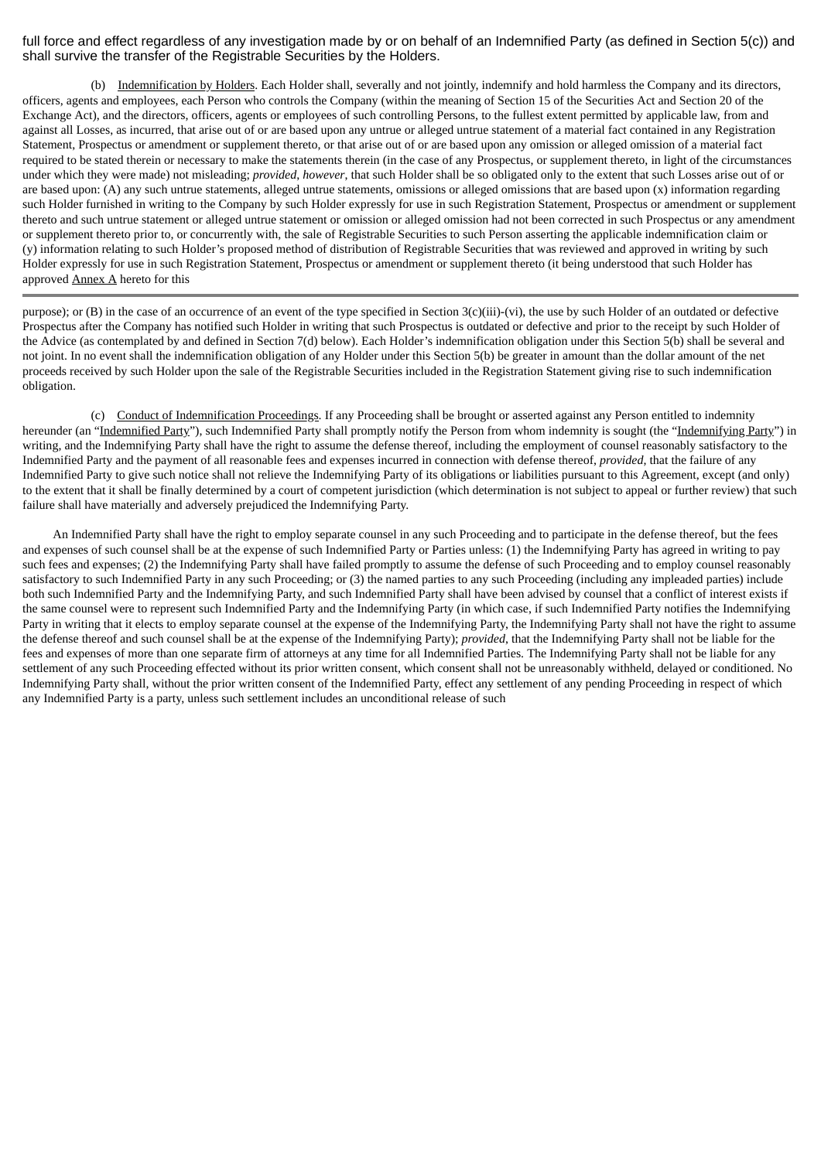# full force and effect regardless of any investigation made by or on behalf of an Indemnified Party (as defined in Section 5(c)) and shall survive the transfer of the Registrable Securities by the Holders.

(b) Indemnification by Holders. Each Holder shall, severally and not jointly, indemnify and hold harmless the Company and its directors, officers, agents and employees, each Person who controls the Company (within the meaning of Section 15 of the Securities Act and Section 20 of the Exchange Act), and the directors, officers, agents or employees of such controlling Persons, to the fullest extent permitted by applicable law, from and against all Losses, as incurred, that arise out of or are based upon any untrue or alleged untrue statement of a material fact contained in any Registration Statement, Prospectus or amendment or supplement thereto, or that arise out of or are based upon any omission or alleged omission of a material fact required to be stated therein or necessary to make the statements therein (in the case of any Prospectus, or supplement thereto, in light of the circumstances under which they were made) not misleading; *provided*, *however*, that such Holder shall be so obligated only to the extent that such Losses arise out of or are based upon:  $(A)$  any such untrue statements, alleged untrue statements, omissions or alleged omissions that are based upon  $(x)$  information regarding such Holder furnished in writing to the Company by such Holder expressly for use in such Registration Statement, Prospectus or amendment or supplement thereto and such untrue statement or alleged untrue statement or omission or alleged omission had not been corrected in such Prospectus or any amendment or supplement thereto prior to, or concurrently with, the sale of Registrable Securities to such Person asserting the applicable indemnification claim or (y) information relating to such Holder's proposed method of distribution of Registrable Securities that was reviewed and approved in writing by such Holder expressly for use in such Registration Statement, Prospectus or amendment or supplement thereto (it being understood that such Holder has approved Annex A hereto for this

purpose); or (B) in the case of an occurrence of an event of the type specified in Section 3(c)(iii)-(vi), the use by such Holder of an outdated or defective Prospectus after the Company has notified such Holder in writing that such Prospectus is outdated or defective and prior to the receipt by such Holder of the Advice (as contemplated by and defined in Section 7(d) below). Each Holder's indemnification obligation under this Section 5(b) shall be several and not joint. In no event shall the indemnification obligation of any Holder under this Section 5(b) be greater in amount than the dollar amount of the net proceeds received by such Holder upon the sale of the Registrable Securities included in the Registration Statement giving rise to such indemnification obligation.

(c) Conduct of Indemnification Proceedings. If any Proceeding shall be brought or asserted against any Person entitled to indemnity hereunder (an "Indemnified Party"), such Indemnified Party shall promptly notify the Person from whom indemnity is sought (the "Indemnifying Party") in writing, and the Indemnifying Party shall have the right to assume the defense thereof, including the employment of counsel reasonably satisfactory to the Indemnified Party and the payment of all reasonable fees and expenses incurred in connection with defense thereof, *provided*, that the failure of any Indemnified Party to give such notice shall not relieve the Indemnifying Party of its obligations or liabilities pursuant to this Agreement, except (and only) to the extent that it shall be finally determined by a court of competent jurisdiction (which determination is not subject to appeal or further review) that such failure shall have materially and adversely prejudiced the Indemnifying Party.

An Indemnified Party shall have the right to employ separate counsel in any such Proceeding and to participate in the defense thereof, but the fees and expenses of such counsel shall be at the expense of such Indemnified Party or Parties unless: (1) the Indemnifying Party has agreed in writing to pay such fees and expenses; (2) the Indemnifying Party shall have failed promptly to assume the defense of such Proceeding and to employ counsel reasonably satisfactory to such Indemnified Party in any such Proceeding; or (3) the named parties to any such Proceeding (including any impleaded parties) include both such Indemnified Party and the Indemnifying Party, and such Indemnified Party shall have been advised by counsel that a conflict of interest exists if the same counsel were to represent such Indemnified Party and the Indemnifying Party (in which case, if such Indemnified Party notifies the Indemnifying Party in writing that it elects to employ separate counsel at the expense of the Indemnifying Party, the Indemnifying Party shall not have the right to assume the defense thereof and such counsel shall be at the expense of the Indemnifying Party); *provided*, that the Indemnifying Party shall not be liable for the fees and expenses of more than one separate firm of attorneys at any time for all Indemnified Parties. The Indemnifying Party shall not be liable for any settlement of any such Proceeding effected without its prior written consent, which consent shall not be unreasonably withheld, delayed or conditioned. No Indemnifying Party shall, without the prior written consent of the Indemnified Party, effect any settlement of any pending Proceeding in respect of which any Indemnified Party is a party, unless such settlement includes an unconditional release of such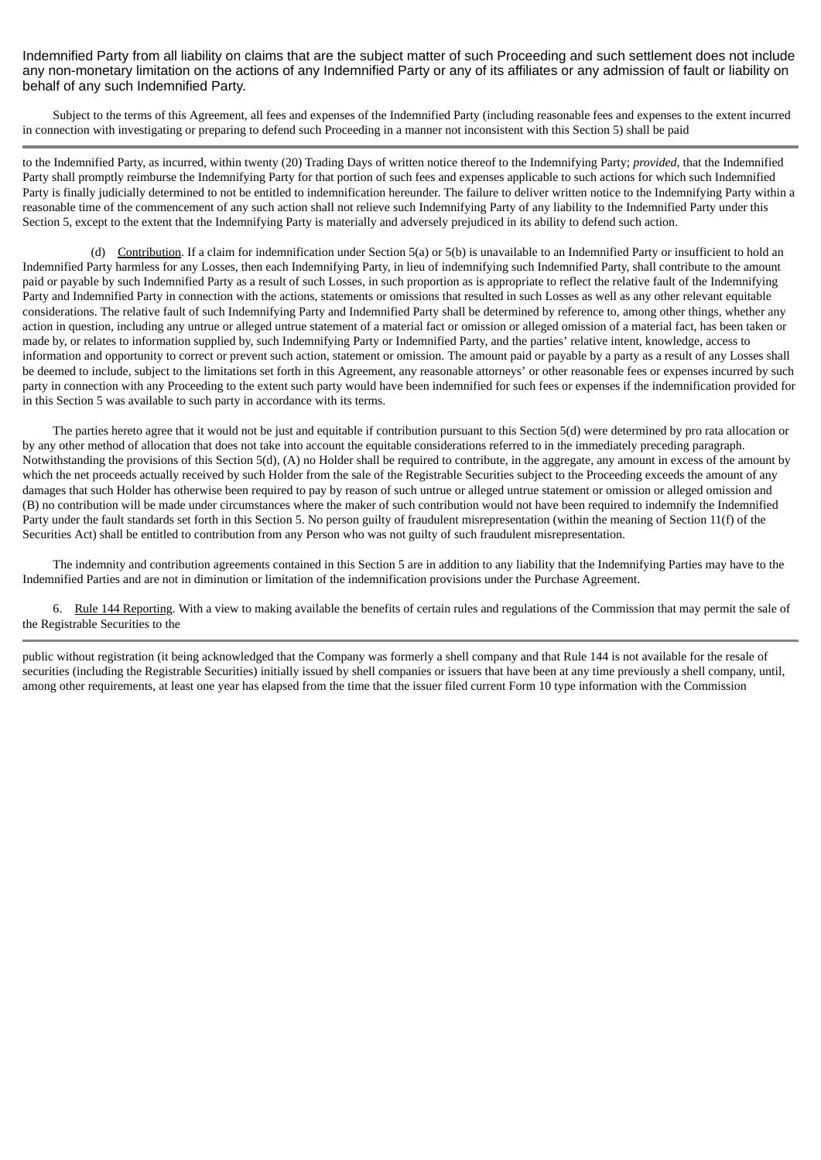Indemnified Party from all liability on claims that are the subject matter of such Proceeding and such settlement does not include any non-monetary limitation on the actions of any Indemnified Party or any of its affiliates or any admission of fault or liability on behalf of any such Indemnified Party.

Subject to the terms of this Agreement, all fees and expenses of the Indemnified Party (including reasonable fees and expenses to the extent incurred in connection with investigating or preparing to defend such Proceeding in a manner not inconsistent with this Section 5) shall be paid

to the Indemnified Party, as incurred, within twenty (20) Trading Days of written notice thereof to the Indemnifying Party; *provided*, that the Indemnified Party shall promptly reimburse the Indemnifying Party for that portion of such fees and expenses applicable to such actions for which such Indemnified Party is finally judicially determined to not be entitled to indemnification hereunder. The failure to deliver written notice to the Indemnifying Party within a reasonable time of the commencement of any such action shall not relieve such Indemnifying Party of any liability to the Indemnified Party under this Section 5, except to the extent that the Indemnifying Party is materially and adversely prejudiced in its ability to defend such action.

(d) Contribution. If a claim for indemnification under Section 5(a) or 5(b) is unavailable to an Indemnified Party or insufficient to hold an Indemnified Party harmless for any Losses, then each Indemnifying Party, in lieu of indemnifying such Indemnified Party, shall contribute to the amount paid or payable by such Indemnified Party as a result of such Losses, in such proportion as is appropriate to reflect the relative fault of the Indemnifying Party and Indemnified Party in connection with the actions, statements or omissions that resulted in such Losses as well as any other relevant equitable considerations. The relative fault of such Indemnifying Party and Indemnified Party shall be determined by reference to, among other things, whether any action in question, including any untrue or alleged untrue statement of a material fact or omission or alleged omission of a material fact, has been taken or made by, or relates to information supplied by, such Indemnifying Party or Indemnified Party, and the parties' relative intent, knowledge, access to information and opportunity to correct or prevent such action, statement or omission. The amount paid or payable by a party as a result of any Losses shall be deemed to include, subject to the limitations set forth in this Agreement, any reasonable attorneys' or other reasonable fees or expenses incurred by such party in connection with any Proceeding to the extent such party would have been indemnified for such fees or expenses if the indemnification provided for in this Section 5 was available to such party in accordance with its terms.

The parties hereto agree that it would not be just and equitable if contribution pursuant to this Section 5(d) were determined by pro rata allocation or by any other method of allocation that does not take into account the equitable considerations referred to in the immediately preceding paragraph. Notwithstanding the provisions of this Section 5(d), (A) no Holder shall be required to contribute, in the aggregate, any amount in excess of the amount by which the net proceeds actually received by such Holder from the sale of the Registrable Securities subject to the Proceeding exceeds the amount of any damages that such Holder has otherwise been required to pay by reason of such untrue or alleged untrue statement or omission or alleged omission and (B) no contribution will be made under circumstances where the maker of such contribution would not have been required to indemnify the Indemnified Party under the fault standards set forth in this Section 5. No person guilty of fraudulent misrepresentation (within the meaning of Section 11(f) of the Securities Act) shall be entitled to contribution from any Person who was not guilty of such fraudulent misrepresentation.

The indemnity and contribution agreements contained in this Section 5 are in addition to any liability that the Indemnifying Parties may have to the Indemnified Parties and are not in diminution or limitation of the indemnification provisions under the Purchase Agreement.

6. Rule 144 Reporting. With a view to making available the benefits of certain rules and regulations of the Commission that may permit the sale of the Registrable Securities to the

public without registration (it being acknowledged that the Company was formerly a shell company and that Rule 144 is not available for the resale of securities (including the Registrable Securities) initially issued by shell companies or issuers that have been at any time previously a shell company, until, among other requirements, at least one year has elapsed from the time that the issuer filed current Form 10 type information with the Commission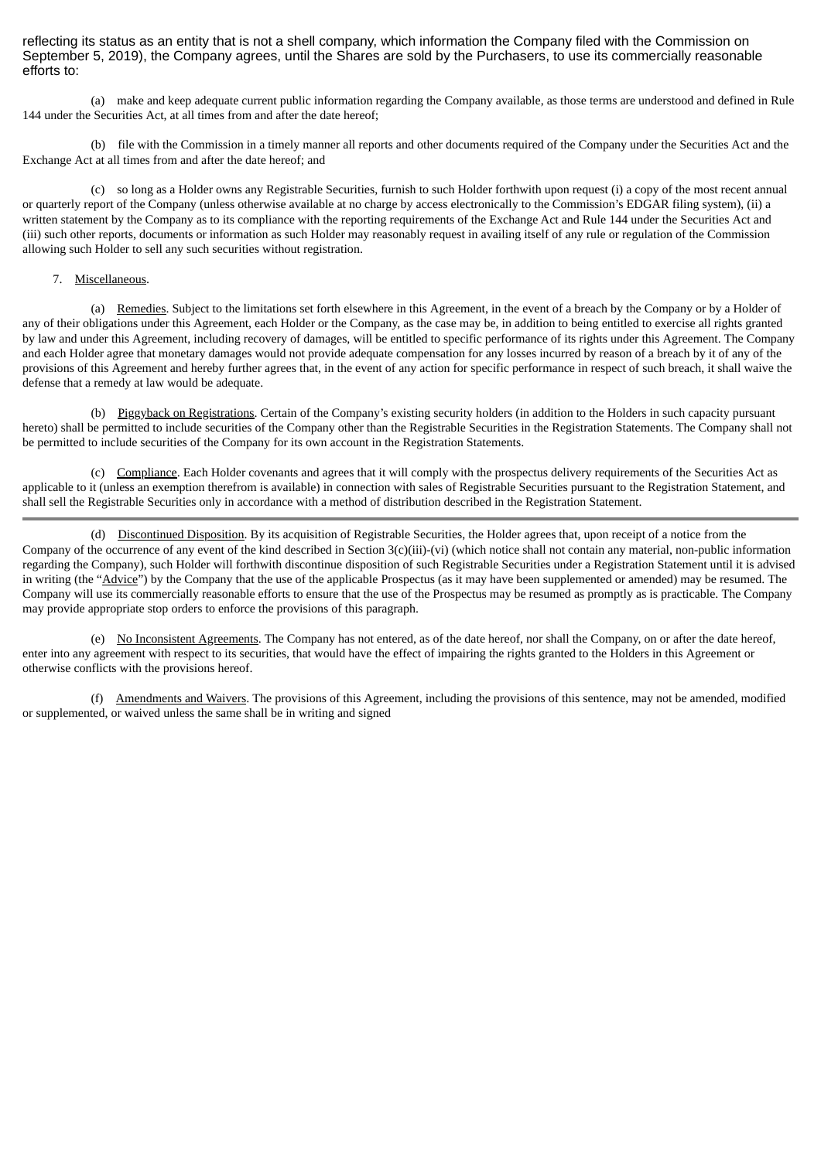reflecting its status as an entity that is not a shell company, which information the Company filed with the Commission on September 5, 2019), the Company agrees, until the Shares are sold by the Purchasers, to use its commercially reasonable efforts to:

(a) make and keep adequate current public information regarding the Company available, as those terms are understood and defined in Rule 144 under the Securities Act, at all times from and after the date hereof;

(b) file with the Commission in a timely manner all reports and other documents required of the Company under the Securities Act and the Exchange Act at all times from and after the date hereof; and

(c) so long as a Holder owns any Registrable Securities, furnish to such Holder forthwith upon request (i) a copy of the most recent annual or quarterly report of the Company (unless otherwise available at no charge by access electronically to the Commission's EDGAR filing system), (ii) a written statement by the Company as to its compliance with the reporting requirements of the Exchange Act and Rule 144 under the Securities Act and (iii) such other reports, documents or information as such Holder may reasonably request in availing itself of any rule or regulation of the Commission allowing such Holder to sell any such securities without registration.

### 7. Miscellaneous.

(a) Remedies. Subject to the limitations set forth elsewhere in this Agreement, in the event of a breach by the Company or by a Holder of any of their obligations under this Agreement, each Holder or the Company, as the case may be, in addition to being entitled to exercise all rights granted by law and under this Agreement, including recovery of damages, will be entitled to specific performance of its rights under this Agreement. The Company and each Holder agree that monetary damages would not provide adequate compensation for any losses incurred by reason of a breach by it of any of the provisions of this Agreement and hereby further agrees that, in the event of any action for specific performance in respect of such breach, it shall waive the defense that a remedy at law would be adequate.

(b) Piggyback on Registrations. Certain of the Company's existing security holders (in addition to the Holders in such capacity pursuant hereto) shall be permitted to include securities of the Company other than the Registrable Securities in the Registration Statements. The Company shall not be permitted to include securities of the Company for its own account in the Registration Statements.

(c) Compliance. Each Holder covenants and agrees that it will comply with the prospectus delivery requirements of the Securities Act as applicable to it (unless an exemption therefrom is available) in connection with sales of Registrable Securities pursuant to the Registration Statement, and shall sell the Registrable Securities only in accordance with a method of distribution described in the Registration Statement.

(d) Discontinued Disposition. By its acquisition of Registrable Securities, the Holder agrees that, upon receipt of a notice from the Company of the occurrence of any event of the kind described in Section 3(c)(iii)-(vi) (which notice shall not contain any material, non-public information regarding the Company), such Holder will forthwith discontinue disposition of such Registrable Securities under a Registration Statement until it is advised in writing (the "Advice") by the Company that the use of the applicable Prospectus (as it may have been supplemented or amended) may be resumed. The Company will use its commercially reasonable efforts to ensure that the use of the Prospectus may be resumed as promptly as is practicable. The Company may provide appropriate stop orders to enforce the provisions of this paragraph.

(e) No Inconsistent Agreements. The Company has not entered, as of the date hereof, nor shall the Company, on or after the date hereof, enter into any agreement with respect to its securities, that would have the effect of impairing the rights granted to the Holders in this Agreement or otherwise conflicts with the provisions hereof.

(f) Amendments and Waivers. The provisions of this Agreement, including the provisions of this sentence, may not be amended, modified or supplemented, or waived unless the same shall be in writing and signed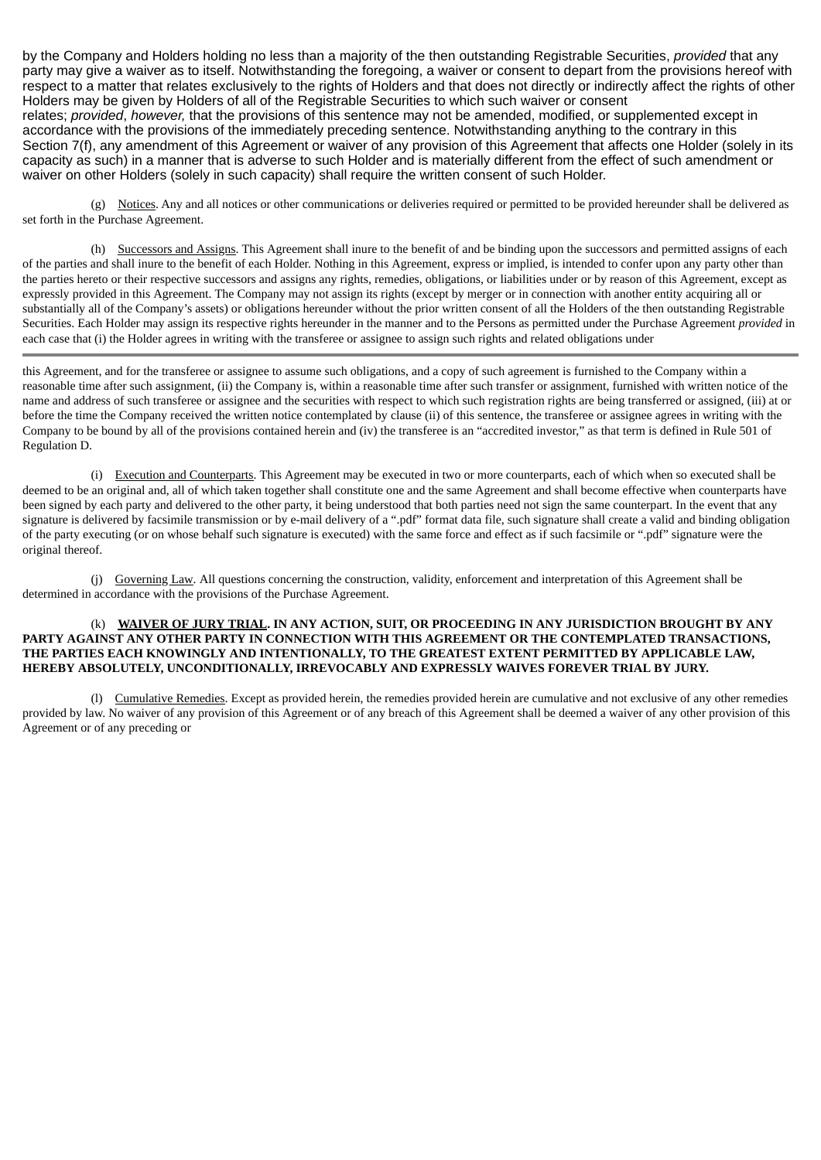by the Company and Holders holding no less than a majority of the then outstanding Registrable Securities, *provided* that any party may give a waiver as to itself. Notwithstanding the foregoing, a waiver or consent to depart from the provisions hereof with respect to a matter that relates exclusively to the rights of Holders and that does not directly or indirectly affect the rights of other Holders may be given by Holders of all of the Registrable Securities to which such waiver or consent relates; *provided*, *however,* that the provisions of this sentence may not be amended, modified, or supplemented except in accordance with the provisions of the immediately preceding sentence. Notwithstanding anything to the contrary in this Section 7(f), any amendment of this Agreement or waiver of any provision of this Agreement that affects one Holder (solely in its capacity as such) in a manner that is adverse to such Holder and is materially different from the effect of such amendment or waiver on other Holders (solely in such capacity) shall require the written consent of such Holder.

(g) Notices. Any and all notices or other communications or deliveries required or permitted to be provided hereunder shall be delivered as set forth in the Purchase Agreement.

(h) Successors and Assigns. This Agreement shall inure to the benefit of and be binding upon the successors and permitted assigns of each of the parties and shall inure to the benefit of each Holder. Nothing in this Agreement, express or implied, is intended to confer upon any party other than the parties hereto or their respective successors and assigns any rights, remedies, obligations, or liabilities under or by reason of this Agreement, except as expressly provided in this Agreement. The Company may not assign its rights (except by merger or in connection with another entity acquiring all or substantially all of the Company's assets) or obligations hereunder without the prior written consent of all the Holders of the then outstanding Registrable Securities. Each Holder may assign its respective rights hereunder in the manner and to the Persons as permitted under the Purchase Agreement *provided* in each case that (i) the Holder agrees in writing with the transferee or assignee to assign such rights and related obligations under

this Agreement, and for the transferee or assignee to assume such obligations, and a copy of such agreement is furnished to the Company within a reasonable time after such assignment, (ii) the Company is, within a reasonable time after such transfer or assignment, furnished with written notice of the name and address of such transferee or assignee and the securities with respect to which such registration rights are being transferred or assigned, (iii) at or before the time the Company received the written notice contemplated by clause (ii) of this sentence, the transferee or assignee agrees in writing with the Company to be bound by all of the provisions contained herein and (iv) the transferee is an "accredited investor," as that term is defined in Rule 501 of Regulation D.

(i) Execution and Counterparts. This Agreement may be executed in two or more counterparts, each of which when so executed shall be deemed to be an original and, all of which taken together shall constitute one and the same Agreement and shall become effective when counterparts have been signed by each party and delivered to the other party, it being understood that both parties need not sign the same counterpart. In the event that any signature is delivered by facsimile transmission or by e-mail delivery of a ".pdf" format data file, such signature shall create a valid and binding obligation of the party executing (or on whose behalf such signature is executed) with the same force and effect as if such facsimile or ".pdf" signature were the original thereof.

(j) Governing Law. All questions concerning the construction, validity, enforcement and interpretation of this Agreement shall be determined in accordance with the provisions of the Purchase Agreement.

### (k) **WAIVER OF JURY TRIAL. IN ANY ACTION, SUIT, OR PROCEEDING IN ANY JURISDICTION BROUGHT BY ANY PARTY AGAINST ANY OTHER PARTY IN CONNECTION WITH THIS AGREEMENT OR THE CONTEMPLATED TRANSACTIONS, THE PARTIES EACH KNOWINGLY AND INTENTIONALLY, TO THE GREATEST EXTENT PERMITTED BY APPLICABLE LAW, HEREBY ABSOLUTELY, UNCONDITIONALLY, IRREVOCABLY AND EXPRESSLY WAIVES FOREVER TRIAL BY JURY.**

(l) Cumulative Remedies. Except as provided herein, the remedies provided herein are cumulative and not exclusive of any other remedies provided by law. No waiver of any provision of this Agreement or of any breach of this Agreement shall be deemed a waiver of any other provision of this Agreement or of any preceding or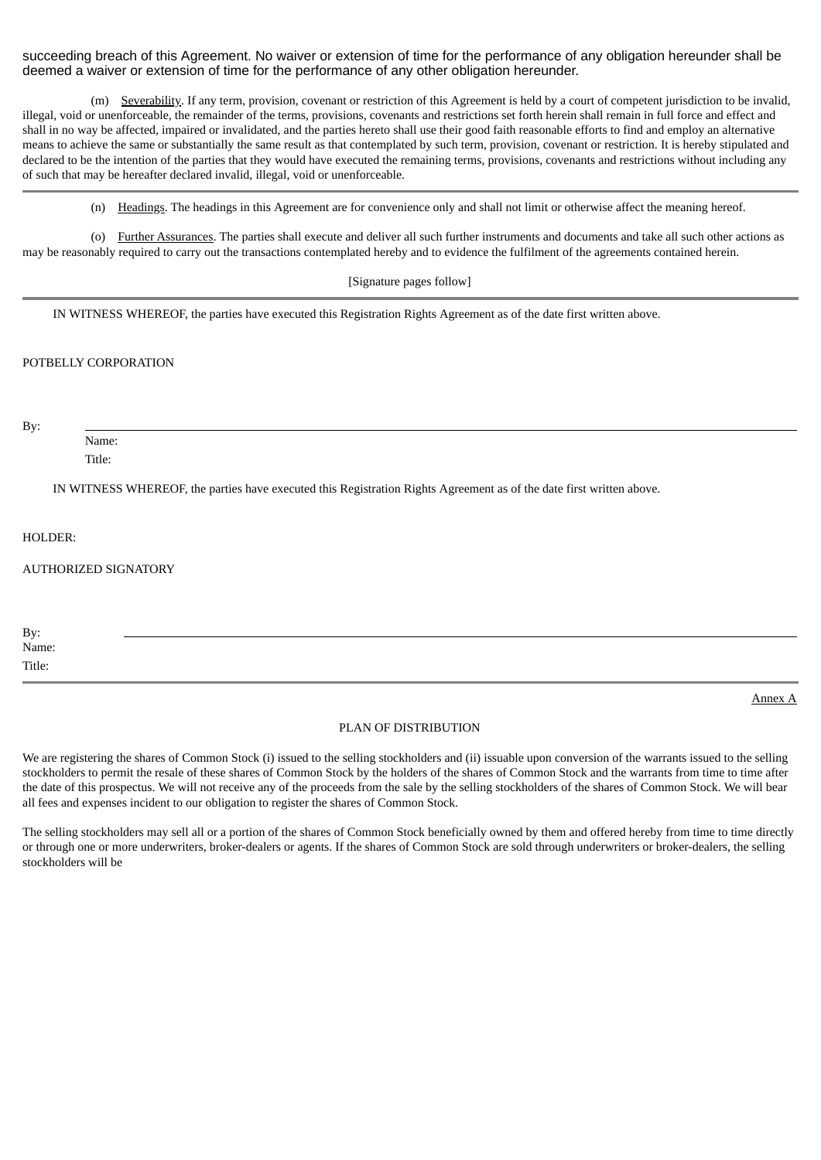succeeding breach of this Agreement. No waiver or extension of time for the performance of any obligation hereunder shall be deemed a waiver or extension of time for the performance of any other obligation hereunder.

(m) Severability. If any term, provision, covenant or restriction of this Agreement is held by a court of competent jurisdiction to be invalid, illegal, void or unenforceable, the remainder of the terms, provisions, covenants and restrictions set forth herein shall remain in full force and effect and shall in no way be affected, impaired or invalidated, and the parties hereto shall use their good faith reasonable efforts to find and employ an alternative means to achieve the same or substantially the same result as that contemplated by such term, provision, covenant or restriction. It is hereby stipulated and declared to be the intention of the parties that they would have executed the remaining terms, provisions, covenants and restrictions without including any of such that may be hereafter declared invalid, illegal, void or unenforceable.

(n) Headings. The headings in this Agreement are for convenience only and shall not limit or otherwise affect the meaning hereof.

(o) Further Assurances. The parties shall execute and deliver all such further instruments and documents and take all such other actions as may be reasonably required to carry out the transactions contemplated hereby and to evidence the fulfilment of the agreements contained herein.

[Signature pages follow]

IN WITNESS WHEREOF, the parties have executed this Registration Rights Agreement as of the date first written above.

# POTBELLY CORPORATION

By:

Name:

Title:

IN WITNESS WHEREOF, the parties have executed this Registration Rights Agreement as of the date first written above.

HOLDER:

# AUTHORIZED SIGNATORY

| By:    |  |  |
|--------|--|--|
| Name:  |  |  |
| Title: |  |  |

PLAN OF DISTRIBUTION

Annex A

We are registering the shares of Common Stock (i) issued to the selling stockholders and (ii) issuable upon conversion of the warrants issued to the selling stockholders to permit the resale of these shares of Common Stock by the holders of the shares of Common Stock and the warrants from time to time after the date of this prospectus. We will not receive any of the proceeds from the sale by the selling stockholders of the shares of Common Stock. We will bear all fees and expenses incident to our obligation to register the shares of Common Stock.

The selling stockholders may sell all or a portion of the shares of Common Stock beneficially owned by them and offered hereby from time to time directly or through one or more underwriters, broker-dealers or agents. If the shares of Common Stock are sold through underwriters or broker-dealers, the selling stockholders will be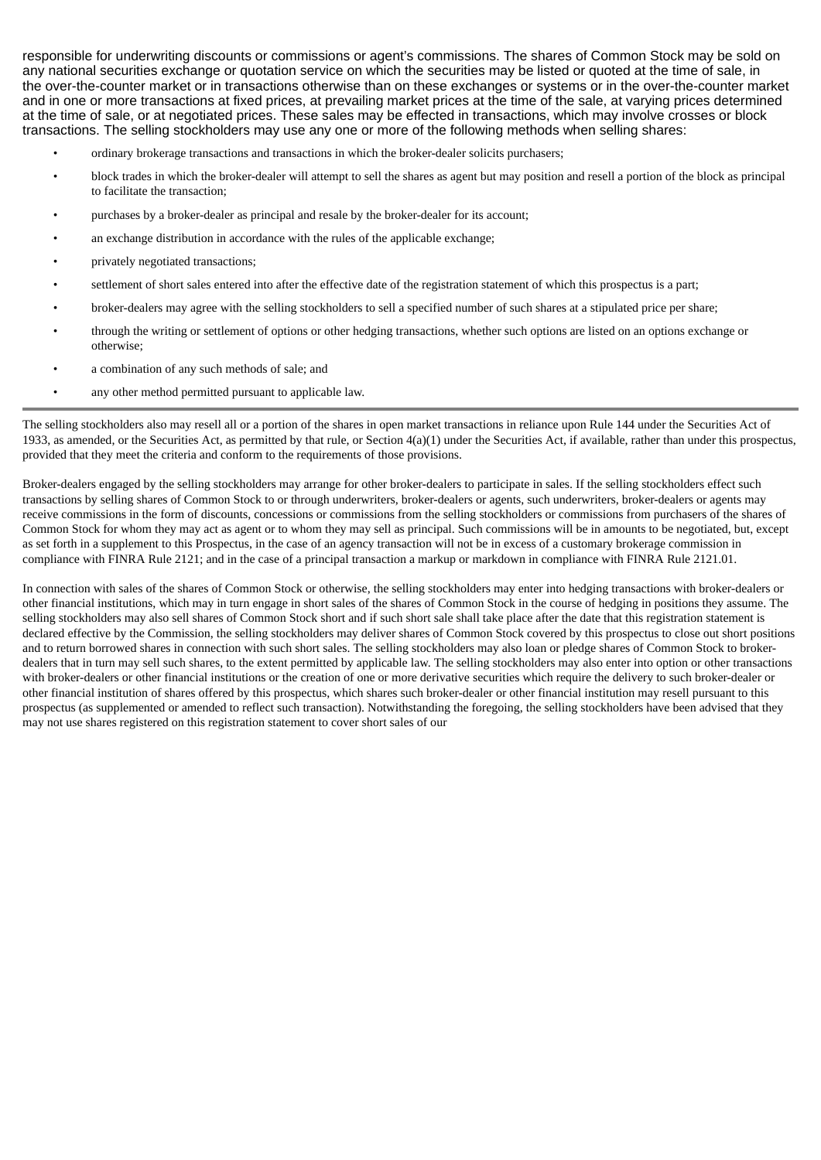responsible for underwriting discounts or commissions or agent's commissions. The shares of Common Stock may be sold on any national securities exchange or quotation service on which the securities may be listed or quoted at the time of sale, in the over-the-counter market or in transactions otherwise than on these exchanges or systems or in the over-the-counter market and in one or more transactions at fixed prices, at prevailing market prices at the time of the sale, at varying prices determined at the time of sale, or at negotiated prices. These sales may be effected in transactions, which may involve crosses or block transactions. The selling stockholders may use any one or more of the following methods when selling shares:

- ordinary brokerage transactions and transactions in which the broker-dealer solicits purchasers;
- block trades in which the broker-dealer will attempt to sell the shares as agent but may position and resell a portion of the block as principal to facilitate the transaction;
- purchases by a broker-dealer as principal and resale by the broker-dealer for its account;
- an exchange distribution in accordance with the rules of the applicable exchange;
- privately negotiated transactions;
- settlement of short sales entered into after the effective date of the registration statement of which this prospectus is a part;
- broker-dealers may agree with the selling stockholders to sell a specified number of such shares at a stipulated price per share;
- through the writing or settlement of options or other hedging transactions, whether such options are listed on an options exchange or otherwise;
- a combination of any such methods of sale; and
- any other method permitted pursuant to applicable law.

The selling stockholders also may resell all or a portion of the shares in open market transactions in reliance upon Rule 144 under the Securities Act of 1933, as amended, or the Securities Act, as permitted by that rule, or Section  $4(a)(1)$  under the Securities Act, if available, rather than under this prospectus, provided that they meet the criteria and conform to the requirements of those provisions.

Broker-dealers engaged by the selling stockholders may arrange for other broker-dealers to participate in sales. If the selling stockholders effect such transactions by selling shares of Common Stock to or through underwriters, broker-dealers or agents, such underwriters, broker-dealers or agents may receive commissions in the form of discounts, concessions or commissions from the selling stockholders or commissions from purchasers of the shares of Common Stock for whom they may act as agent or to whom they may sell as principal. Such commissions will be in amounts to be negotiated, but, except as set forth in a supplement to this Prospectus, in the case of an agency transaction will not be in excess of a customary brokerage commission in compliance with FINRA Rule 2121; and in the case of a principal transaction a markup or markdown in compliance with FINRA Rule 2121.01.

In connection with sales of the shares of Common Stock or otherwise, the selling stockholders may enter into hedging transactions with broker-dealers or other financial institutions, which may in turn engage in short sales of the shares of Common Stock in the course of hedging in positions they assume. The selling stockholders may also sell shares of Common Stock short and if such short sale shall take place after the date that this registration statement is declared effective by the Commission, the selling stockholders may deliver shares of Common Stock covered by this prospectus to close out short positions and to return borrowed shares in connection with such short sales. The selling stockholders may also loan or pledge shares of Common Stock to brokerdealers that in turn may sell such shares, to the extent permitted by applicable law. The selling stockholders may also enter into option or other transactions with broker-dealers or other financial institutions or the creation of one or more derivative securities which require the delivery to such broker-dealer or other financial institution of shares offered by this prospectus, which shares such broker-dealer or other financial institution may resell pursuant to this prospectus (as supplemented or amended to reflect such transaction). Notwithstanding the foregoing, the selling stockholders have been advised that they may not use shares registered on this registration statement to cover short sales of our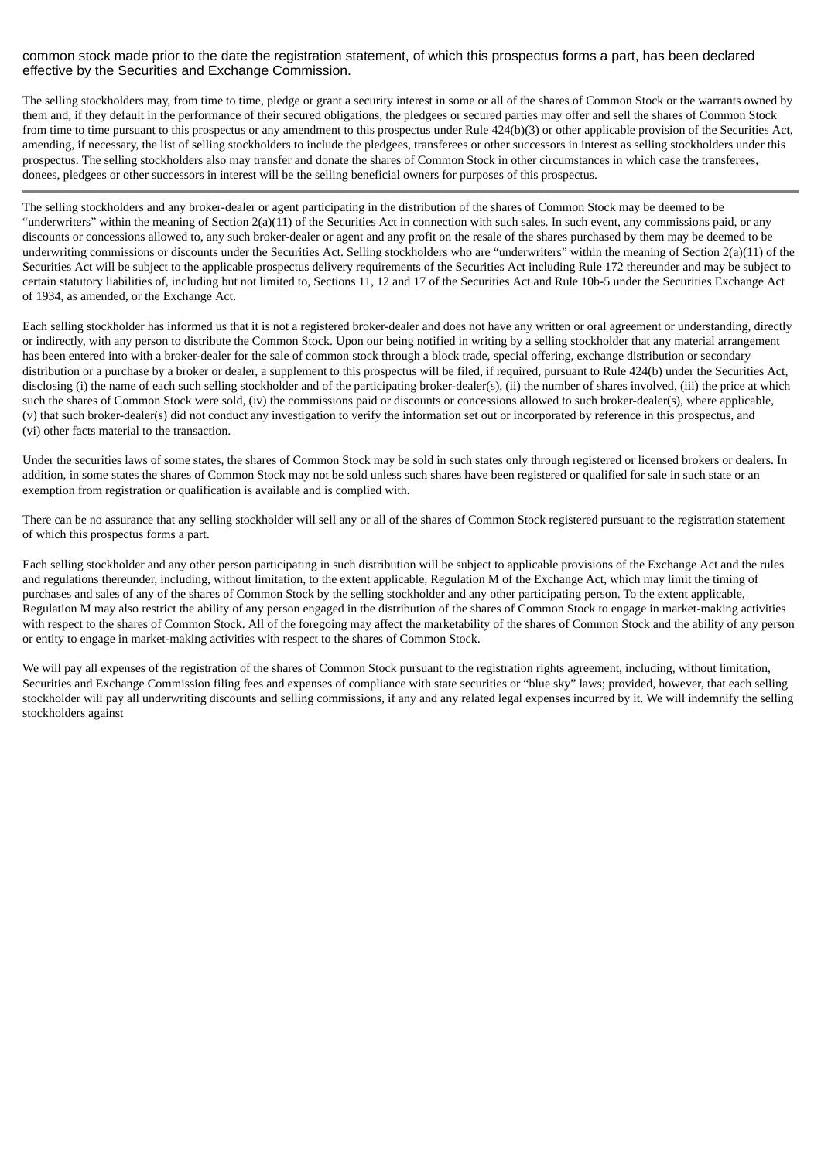# common stock made prior to the date the registration statement, of which this prospectus forms a part, has been declared effective by the Securities and Exchange Commission.

The selling stockholders may, from time to time, pledge or grant a security interest in some or all of the shares of Common Stock or the warrants owned by them and, if they default in the performance of their secured obligations, the pledgees or secured parties may offer and sell the shares of Common Stock from time to time pursuant to this prospectus or any amendment to this prospectus under Rule 424(b)(3) or other applicable provision of the Securities Act, amending, if necessary, the list of selling stockholders to include the pledgees, transferees or other successors in interest as selling stockholders under this prospectus. The selling stockholders also may transfer and donate the shares of Common Stock in other circumstances in which case the transferees, donees, pledgees or other successors in interest will be the selling beneficial owners for purposes of this prospectus.

The selling stockholders and any broker-dealer or agent participating in the distribution of the shares of Common Stock may be deemed to be "underwriters" within the meaning of Section 2(a)(11) of the Securities Act in connection with such sales. In such event, any commissions paid, or any discounts or concessions allowed to, any such broker-dealer or agent and any profit on the resale of the shares purchased by them may be deemed to be underwriting commissions or discounts under the Securities Act. Selling stockholders who are "underwriters" within the meaning of Section 2(a)(11) of the Securities Act will be subject to the applicable prospectus delivery requirements of the Securities Act including Rule 172 thereunder and may be subject to certain statutory liabilities of, including but not limited to, Sections 11, 12 and 17 of the Securities Act and Rule 10b-5 under the Securities Exchange Act of 1934, as amended, or the Exchange Act.

Each selling stockholder has informed us that it is not a registered broker-dealer and does not have any written or oral agreement or understanding, directly or indirectly, with any person to distribute the Common Stock. Upon our being notified in writing by a selling stockholder that any material arrangement has been entered into with a broker-dealer for the sale of common stock through a block trade, special offering, exchange distribution or secondary distribution or a purchase by a broker or dealer, a supplement to this prospectus will be filed, if required, pursuant to Rule 424(b) under the Securities Act, disclosing (i) the name of each such selling stockholder and of the participating broker-dealer(s), (ii) the number of shares involved, (iii) the price at which such the shares of Common Stock were sold, (iv) the commissions paid or discounts or concessions allowed to such broker-dealer(s), where applicable, (v) that such broker-dealer(s) did not conduct any investigation to verify the information set out or incorporated by reference in this prospectus, and (vi) other facts material to the transaction.

Under the securities laws of some states, the shares of Common Stock may be sold in such states only through registered or licensed brokers or dealers. In addition, in some states the shares of Common Stock may not be sold unless such shares have been registered or qualified for sale in such state or an exemption from registration or qualification is available and is complied with.

There can be no assurance that any selling stockholder will sell any or all of the shares of Common Stock registered pursuant to the registration statement of which this prospectus forms a part.

Each selling stockholder and any other person participating in such distribution will be subject to applicable provisions of the Exchange Act and the rules and regulations thereunder, including, without limitation, to the extent applicable, Regulation M of the Exchange Act, which may limit the timing of purchases and sales of any of the shares of Common Stock by the selling stockholder and any other participating person. To the extent applicable, Regulation M may also restrict the ability of any person engaged in the distribution of the shares of Common Stock to engage in market-making activities with respect to the shares of Common Stock. All of the foregoing may affect the marketability of the shares of Common Stock and the ability of any person or entity to engage in market-making activities with respect to the shares of Common Stock.

We will pay all expenses of the registration of the shares of Common Stock pursuant to the registration rights agreement, including, without limitation, Securities and Exchange Commission filing fees and expenses of compliance with state securities or "blue sky" laws; provided, however, that each selling stockholder will pay all underwriting discounts and selling commissions, if any and any related legal expenses incurred by it. We will indemnify the selling stockholders against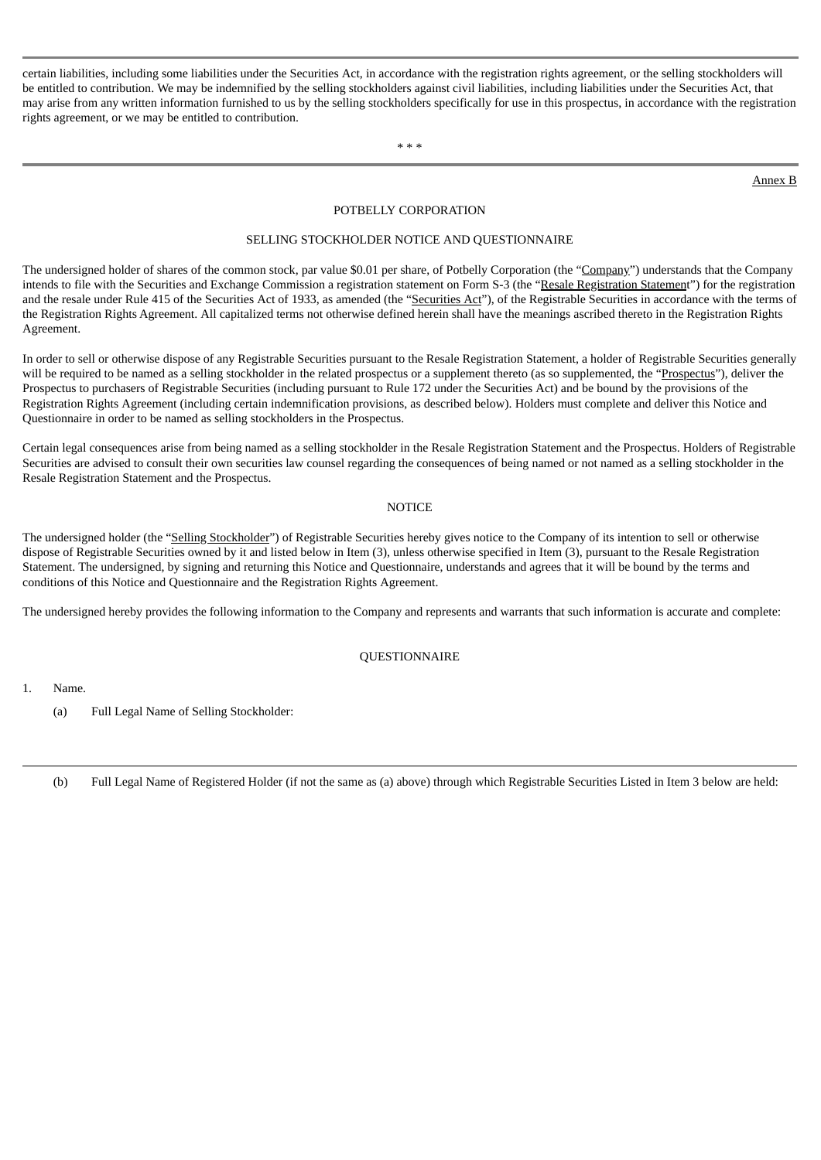certain liabilities, including some liabilities under the Securities Act, in accordance with the registration rights agreement, or the selling stockholders will be entitled to contribution. We may be indemnified by the selling stockholders against civil liabilities, including liabilities under the Securities Act, that may arise from any written information furnished to us by the selling stockholders specifically for use in this prospectus, in accordance with the registration rights agreement, or we may be entitled to contribution.

\* \* \*

Annex B

# POTBELLY CORPORATION

### SELLING STOCKHOLDER NOTICE AND QUESTIONNAIRE

The undersigned holder of shares of the common stock, par value \$0.01 per share, of Potbelly Corporation (the "Company") understands that the Company intends to file with the Securities and Exchange Commission a registration statement on Form S-3 (the "Resale Registration Statement") for the registration and the resale under Rule 415 of the Securities Act of 1933, as amended (the "Securities Act"), of the Registrable Securities in accordance with the terms of the Registration Rights Agreement. All capitalized terms not otherwise defined herein shall have the meanings ascribed thereto in the Registration Rights Agreement.

In order to sell or otherwise dispose of any Registrable Securities pursuant to the Resale Registration Statement, a holder of Registrable Securities generally will be required to be named as a selling stockholder in the related prospectus or a supplement thereto (as so supplemented, the "Prospectus"), deliver the Prospectus to purchasers of Registrable Securities (including pursuant to Rule 172 under the Securities Act) and be bound by the provisions of the Registration Rights Agreement (including certain indemnification provisions, as described below). Holders must complete and deliver this Notice and Questionnaire in order to be named as selling stockholders in the Prospectus.

Certain legal consequences arise from being named as a selling stockholder in the Resale Registration Statement and the Prospectus. Holders of Registrable Securities are advised to consult their own securities law counsel regarding the consequences of being named or not named as a selling stockholder in the Resale Registration Statement and the Prospectus.

### **NOTICE**

The undersigned holder (the "Selling Stockholder") of Registrable Securities hereby gives notice to the Company of its intention to sell or otherwise dispose of Registrable Securities owned by it and listed below in Item (3), unless otherwise specified in Item (3), pursuant to the Resale Registration Statement. The undersigned, by signing and returning this Notice and Questionnaire, understands and agrees that it will be bound by the terms and conditions of this Notice and Questionnaire and the Registration Rights Agreement.

The undersigned hereby provides the following information to the Company and represents and warrants that such information is accurate and complete:

### QUESTIONNAIRE

1. Name.

(a) Full Legal Name of Selling Stockholder:

(b) Full Legal Name of Registered Holder (if not the same as (a) above) through which Registrable Securities Listed in Item 3 below are held: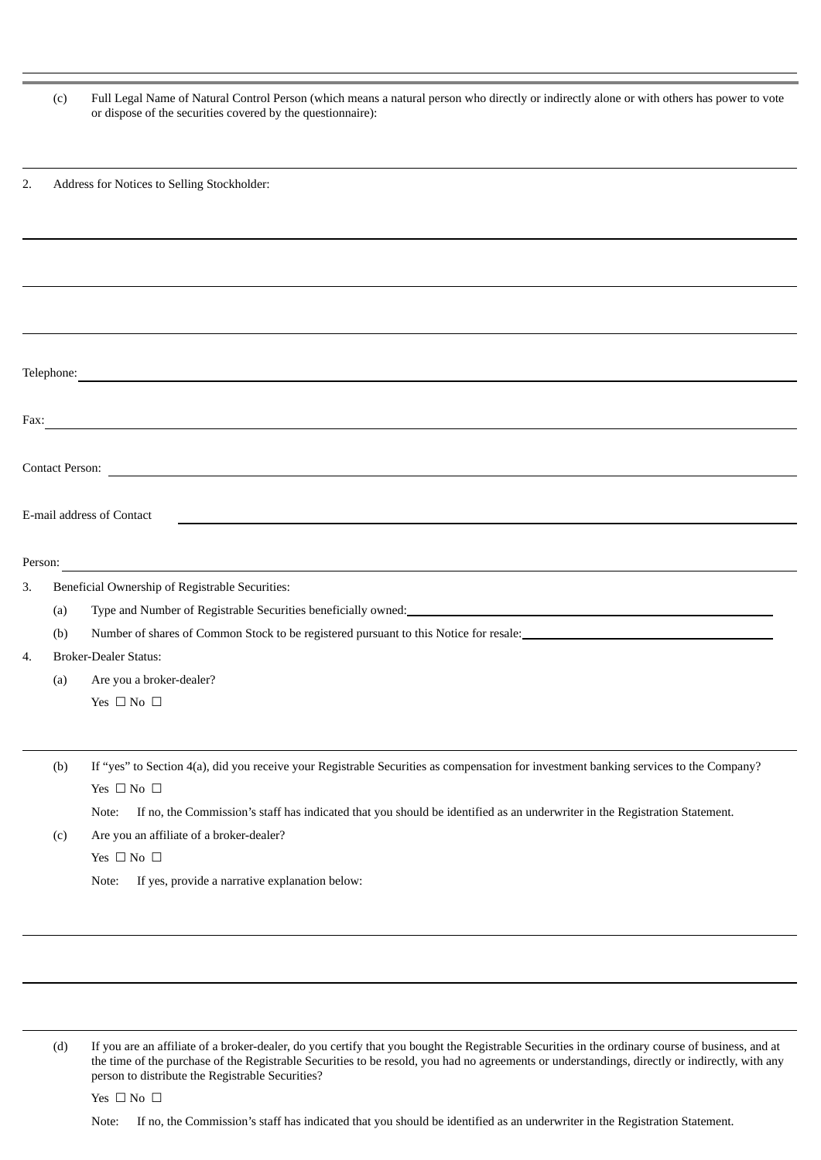(c) Full Legal Name of Natural Control Person (which means a natural person who directly or indirectly alone or with others has power to vote or dispose of the securities covered by the questionnaire):

2. Address for Notices to Selling Stockholder:

| Telephone:                                                                            |     |                                                                                                                                                                                                                                       |  |  |  |  |
|---------------------------------------------------------------------------------------|-----|---------------------------------------------------------------------------------------------------------------------------------------------------------------------------------------------------------------------------------------|--|--|--|--|
| Fax:                                                                                  |     |                                                                                                                                                                                                                                       |  |  |  |  |
| <b>Contact Person:</b><br><u> 1989 - Johann Stoff, amerikansk politiker (d. 1989)</u> |     |                                                                                                                                                                                                                                       |  |  |  |  |
| E-mail address of Contact                                                             |     |                                                                                                                                                                                                                                       |  |  |  |  |
| Person:                                                                               |     |                                                                                                                                                                                                                                       |  |  |  |  |
| 3.                                                                                    |     | Beneficial Ownership of Registrable Securities:                                                                                                                                                                                       |  |  |  |  |
|                                                                                       | (a) | Type and Number of Registrable Securities beneficially owned:<br><u>Land Communication</u> Communication Communication Communication Communication Communication Communication Communication Communication Communication Communicatio |  |  |  |  |
|                                                                                       | (b) | Number of shares of Common Stock to be registered pursuant to this Notice for resale:                                                                                                                                                 |  |  |  |  |
| 4.                                                                                    |     | <b>Broker-Dealer Status:</b>                                                                                                                                                                                                          |  |  |  |  |
|                                                                                       | (a) | Are you a broker-dealer?                                                                                                                                                                                                              |  |  |  |  |
|                                                                                       |     | Yes $\Box$ No $\Box$                                                                                                                                                                                                                  |  |  |  |  |
|                                                                                       |     |                                                                                                                                                                                                                                       |  |  |  |  |
|                                                                                       | (b) | If "yes" to Section 4(a), did you receive your Registrable Securities as compensation for investment banking services to the Company?                                                                                                 |  |  |  |  |
|                                                                                       |     | Yes $\Box$ No $\Box$                                                                                                                                                                                                                  |  |  |  |  |
|                                                                                       |     | If no, the Commission's staff has indicated that you should be identified as an underwriter in the Registration Statement.<br>Note:                                                                                                   |  |  |  |  |
|                                                                                       | (c) | Are you an affiliate of a broker-dealer?                                                                                                                                                                                              |  |  |  |  |
|                                                                                       |     | Yes $\Box$ No $\Box$                                                                                                                                                                                                                  |  |  |  |  |
|                                                                                       |     | If yes, provide a narrative explanation below:<br>Note:                                                                                                                                                                               |  |  |  |  |
|                                                                                       |     |                                                                                                                                                                                                                                       |  |  |  |  |

(d) If you are an affiliate of a broker-dealer, do you certify that you bought the Registrable Securities in the ordinary course of business, and at the time of the purchase of the Registrable Securities to be resold, you had no agreements or understandings, directly or indirectly, with any person to distribute the Registrable Securities?

Yes □ No □

Note: If no, the Commission's staff has indicated that you should be identified as an underwriter in the Registration Statement.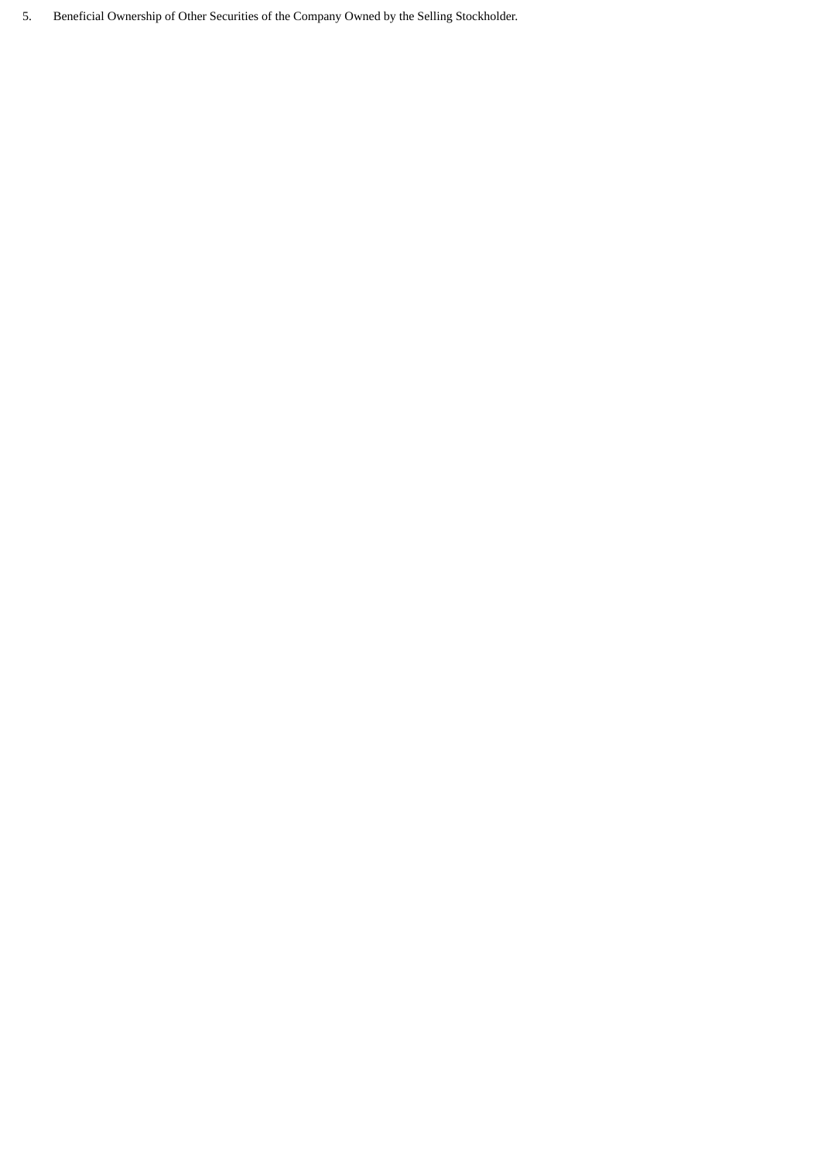5. Beneficial Ownership of Other Securities of the Company Owned by the Selling Stockholder.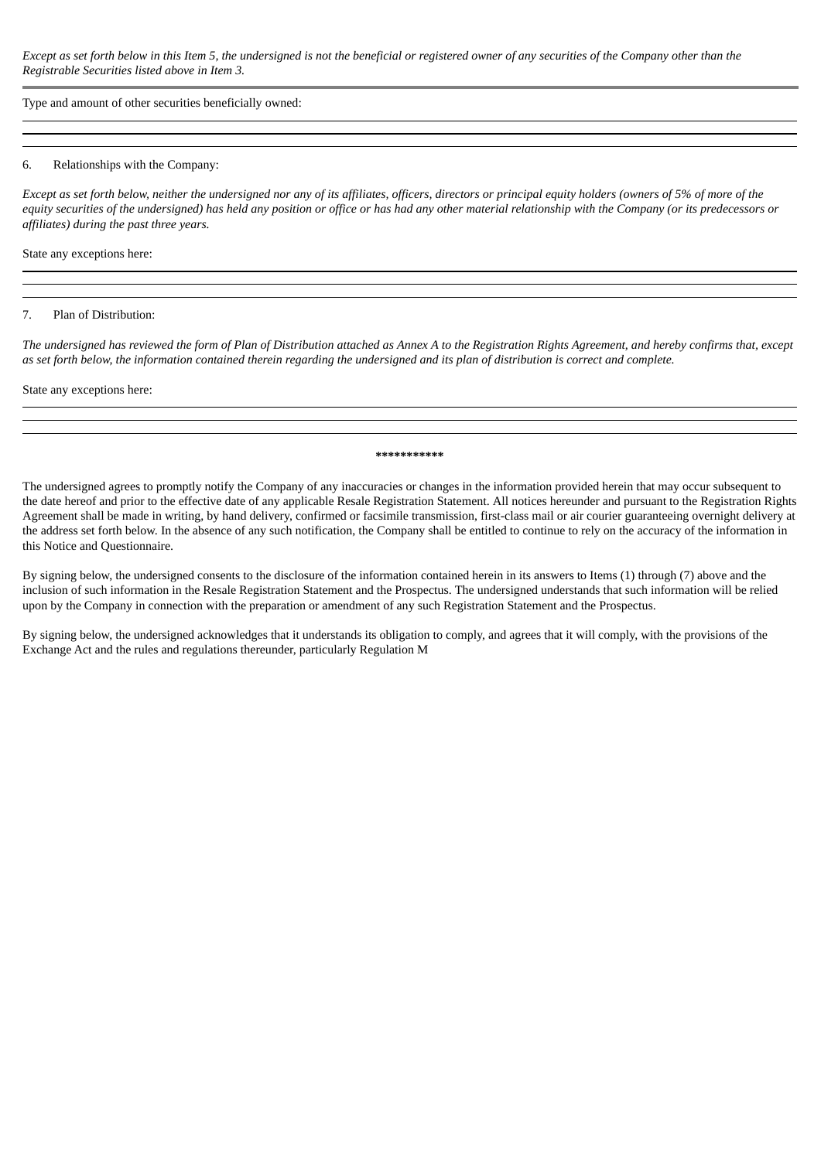Except as set forth below in this Item 5, the undersigned is not the beneficial or registered owner of any securities of the Company other than the *Registrable Securities listed above in Item 3.*

Type and amount of other securities beneficially owned:

#### 6. Relationships with the Company:

Except as set forth below, neither the undersigned nor any of its affiliates, officers, directors or principal equity holders (owners of 5% of more of the equity securities of the undersigned) has held any position or office or has had any other material relationship with the Company (or its predecessors or *affiliates) during the past three years.*

State any exceptions here:

#### 7. Plan of Distribution:

The undersigned has reviewed the form of Plan of Distribution attached as Annex A to the Registration Rights Agreement, and hereby confirms that, except as set forth below, the information contained therein reaardina the undersianed and its plan of distribution is correct and complete.

State any exceptions here:

#### **\*\*\*\*\*\*\*\*\*\*\***

The undersigned agrees to promptly notify the Company of any inaccuracies or changes in the information provided herein that may occur subsequent to the date hereof and prior to the effective date of any applicable Resale Registration Statement. All notices hereunder and pursuant to the Registration Rights Agreement shall be made in writing, by hand delivery, confirmed or facsimile transmission, first-class mail or air courier guaranteeing overnight delivery at the address set forth below. In the absence of any such notification, the Company shall be entitled to continue to rely on the accuracy of the information in this Notice and Questionnaire.

By signing below, the undersigned consents to the disclosure of the information contained herein in its answers to Items (1) through (7) above and the inclusion of such information in the Resale Registration Statement and the Prospectus. The undersigned understands that such information will be relied upon by the Company in connection with the preparation or amendment of any such Registration Statement and the Prospectus.

By signing below, the undersigned acknowledges that it understands its obligation to comply, and agrees that it will comply, with the provisions of the Exchange Act and the rules and regulations thereunder, particularly Regulation M